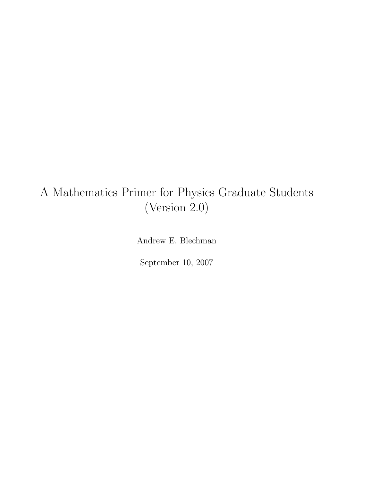## A Mathematics Primer for Physics Graduate Students (Version 2.0)

Andrew E. Blechman

September 10, 2007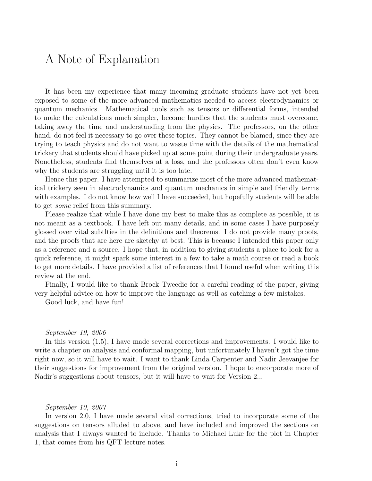## A Note of Explanation

It has been my experience that many incoming graduate students have not yet been exposed to some of the more advanced mathematics needed to access electrodynamics or quantum mechanics. Mathematical tools such as tensors or differential forms, intended to make the calculations much simpler, become hurdles that the students must overcome, taking away the time and understanding from the physics. The professors, on the other hand, do not feel it necessary to go over these topics. They cannot be blamed, since they are trying to teach physics and do not want to waste time with the details of the mathematical trickery that students should have picked up at some point during their undergraduate years. Nonetheless, students find themselves at a loss, and the professors often don't even know why the students are struggling until it is too late.

Hence this paper. I have attempted to summarize most of the more advanced mathematical trickery seen in electrodynamics and quantum mechanics in simple and friendly terms with examples. I do not know how well I have succeeded, but hopefully students will be able to get some relief from this summary.

Please realize that while I have done my best to make this as complete as possible, it is not meant as a textbook. I have left out many details, and in some cases I have purposely glossed over vital subtlties in the definitions and theorems. I do not provide many proofs, and the proofs that are here are sketchy at best. This is because I intended this paper only as a reference and a source. I hope that, in addition to giving students a place to look for a quick reference, it might spark some interest in a few to take a math course or read a book to get more details. I have provided a list of references that I found useful when writing this review at the end.

Finally, I would like to thank Brock Tweedie for a careful reading of the paper, giving very helpful advice on how to improve the language as well as catching a few mistakes.

Good luck, and have fun!

#### September 19, 2006

In this version (1.5), I have made several corrections and improvements. I would like to write a chapter on analysis and conformal mapping, but unfortunately I haven't got the time right now, so it will have to wait. I want to thank Linda Carpenter and Nadir Jeevanjee for their suggestions for improvement from the original version. I hope to encorporate more of Nadir's suggestions about tensors, but it will have to wait for Version 2...

#### September 10, 2007

In version 2.0, I have made several vital corrections, tried to incorporate some of the suggestions on tensors alluded to above, and have included and improved the sections on analysis that I always wanted to include. Thanks to Michael Luke for the plot in Chapter 1, that comes from his QFT lecture notes.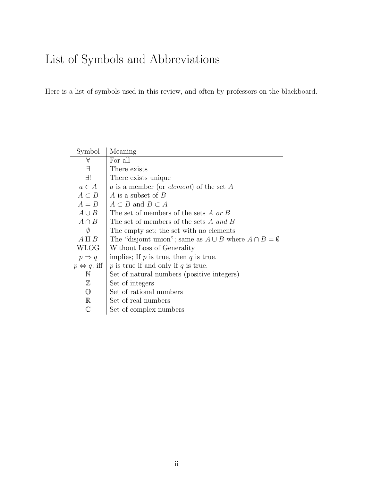## List of Symbols and Abbreviations

Here is a list of symbols used in this review, and often by professors on the blackboard.

| Symbol                      | Meaning                                                               |
|-----------------------------|-----------------------------------------------------------------------|
| A                           | For all                                                               |
| Ξ                           | There exists                                                          |
| $\exists!$                  | There exists unique                                                   |
| $a \in A$                   | a is a member (or <i>element</i> ) of the set A                       |
| $A \subset B$               | A is a subset of $B$                                                  |
| $A = B$                     | $A \subset B$ and $B \subset A$                                       |
| $A \cup B$                  | The set of members of the sets A or B                                 |
| $A \cap B$                  | The set of members of the sets A and B                                |
| Ø                           | The empty set; the set with no elements                               |
| $A \amalg B$                | The "disjoint union"; same as $A \cup B$ where $A \cap B = \emptyset$ |
| WLOG                        | Without Loss of Generality                                            |
| $p \Rightarrow q$           | implies; If $p$ is true, then $q$ is true.                            |
| $p \Leftrightarrow q$ ; iff | p is true if and only if q is true.                                   |
| $\mathbb N$                 | Set of natural numbers (positive integers)                            |
| $\mathbb Z$                 | Set of integers                                                       |
| $\mathbb Q$                 | Set of rational numbers                                               |
| $\mathbb R$                 | Set of real numbers                                                   |
| $\mathbb C$                 | Set of complex numbers                                                |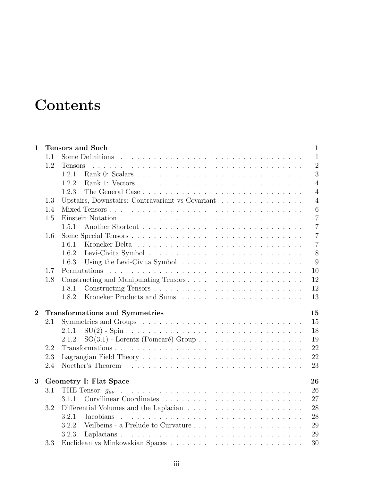## **Contents**

| $\mathbf{1}$   |                                      | <b>Tensors and Such</b><br>$\mathbf{1}$                                                      |  |  |  |  |
|----------------|--------------------------------------|----------------------------------------------------------------------------------------------|--|--|--|--|
|                | 1.1                                  | $\mathbf{1}$<br>Some Definitions                                                             |  |  |  |  |
|                | 1.2                                  | $\overline{2}$<br>'Tensors                                                                   |  |  |  |  |
|                |                                      | 3<br>1.2.1                                                                                   |  |  |  |  |
|                |                                      | 1.2.2<br>$\overline{4}$                                                                      |  |  |  |  |
|                |                                      | 1.2.3<br>$\overline{4}$                                                                      |  |  |  |  |
|                | 1.3                                  | Upstairs, Downstairs: Contravariant vs Covariant<br>$\overline{4}$                           |  |  |  |  |
|                | 1.4                                  | $\,6$                                                                                        |  |  |  |  |
|                | 1.5                                  | $\overline{7}$                                                                               |  |  |  |  |
|                |                                      | $\overline{7}$<br>1.5.1                                                                      |  |  |  |  |
|                | 1.6                                  | $\overline{7}$                                                                               |  |  |  |  |
|                |                                      | $\overline{7}$<br>1.6.1                                                                      |  |  |  |  |
|                |                                      | 8<br>1.6.2                                                                                   |  |  |  |  |
|                |                                      | 9<br>Using the Levi-Civita Symbol $\dots \dots \dots \dots \dots \dots \dots \dots$<br>1.6.3 |  |  |  |  |
|                | 1.7                                  | 10                                                                                           |  |  |  |  |
|                | 1.8                                  | 12<br>Constructing and Manipulating Tensors                                                  |  |  |  |  |
|                |                                      | 12<br>1.8.1                                                                                  |  |  |  |  |
|                |                                      | 1.8.2<br>13                                                                                  |  |  |  |  |
| $\overline{2}$ | 15<br>Transformations and Symmetries |                                                                                              |  |  |  |  |
|                | 2.1                                  | 15                                                                                           |  |  |  |  |
|                |                                      | 18<br>2.1.1                                                                                  |  |  |  |  |
|                |                                      | 19<br>2.1.2                                                                                  |  |  |  |  |
|                | 2.2                                  | 22                                                                                           |  |  |  |  |
|                | 2.3                                  | 22                                                                                           |  |  |  |  |
|                | 2.4                                  | 23                                                                                           |  |  |  |  |
| 3              | <b>Geometry I: Flat Space</b><br>26  |                                                                                              |  |  |  |  |
|                | 3.1                                  | 26                                                                                           |  |  |  |  |
|                |                                      | 27<br>3.1.1                                                                                  |  |  |  |  |
|                | 3.2                                  | 28                                                                                           |  |  |  |  |
|                |                                      | 3.2.1<br>28<br>Jacobians                                                                     |  |  |  |  |
|                |                                      | 3.2.2<br>29                                                                                  |  |  |  |  |
|                |                                      | 29<br>3.2.3                                                                                  |  |  |  |  |
|                | 3.3                                  | 30                                                                                           |  |  |  |  |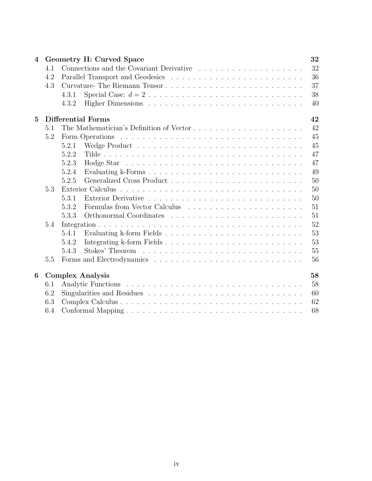| $\overline{4}$ |                                 | Geometry II: Curved Space    | 32 |  |  |  |
|----------------|---------------------------------|------------------------------|----|--|--|--|
|                | 4.1                             |                              | 32 |  |  |  |
|                | 4.2                             |                              | 36 |  |  |  |
| 4.3            |                                 | Curvature-The Riemann Tensor | 37 |  |  |  |
|                |                                 | 4.3.1                        | 38 |  |  |  |
|                |                                 | 4.3.2                        | 40 |  |  |  |
| $\overline{5}$ | <b>Differential Forms</b><br>42 |                              |    |  |  |  |
|                | 5.1                             |                              | 42 |  |  |  |
|                | 5.2                             |                              | 45 |  |  |  |
|                |                                 | 5.2.1                        | 45 |  |  |  |
|                |                                 | 5.2.2                        | 47 |  |  |  |
|                |                                 | 5.2.3                        | 47 |  |  |  |
|                |                                 | 5.2.4                        | 49 |  |  |  |
|                |                                 | 5.2.5                        | 50 |  |  |  |
|                | 5.3                             |                              | 50 |  |  |  |
|                |                                 | 5.3.1                        | 50 |  |  |  |
|                |                                 | 5.3.2                        | 51 |  |  |  |
|                |                                 | 5.3.3                        | 51 |  |  |  |
|                | 5.4                             |                              | 52 |  |  |  |
|                |                                 | 5.4.1                        | 53 |  |  |  |
|                |                                 | 5.4.2                        | 53 |  |  |  |
|                |                                 | 5.4.3                        | 55 |  |  |  |
|                | 5.5                             |                              | 56 |  |  |  |
| 6              | <b>Complex Analysis</b>         |                              |    |  |  |  |
|                | 6.1                             |                              | 58 |  |  |  |
|                | 6.2                             |                              | 60 |  |  |  |
|                | 6.3                             |                              | 62 |  |  |  |
| 6.4            |                                 |                              | 68 |  |  |  |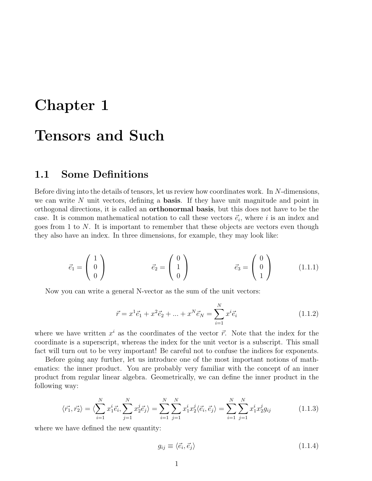## Chapter 1

## Tensors and Such

## 1.1 Some Definitions

Before diving into the details of tensors, let us review how coordinates work. In N-dimensions, we can write  $N$  unit vectors, defining a **basis**. If they have unit magnitude and point in orthogonal directions, it is called an orthonormal basis, but this does not have to be the case. It is common mathematical notation to call these vectors  $\vec{e}_i$ , where i is an index and goes from 1 to N. It is important to remember that these objects are vectors even though they also have an index. In three dimensions, for example, they may look like:

$$
\vec{e}_1 = \begin{pmatrix} 1 \\ 0 \\ 0 \end{pmatrix} \qquad \qquad \vec{e}_2 = \begin{pmatrix} 0 \\ 1 \\ 0 \end{pmatrix} \qquad \qquad \vec{e}_3 = \begin{pmatrix} 0 \\ 0 \\ 1 \end{pmatrix} \qquad (1.1.1)
$$

Now you can write a general N-vector as the sum of the unit vectors:

$$
\vec{r} = x^1 \vec{e}_1 + x^2 \vec{e}_2 + \dots + x^N \vec{e}_N = \sum_{i=1}^N x^i \vec{e}_i
$$
\n(1.1.2)

where we have written  $x^i$  as the coordinates of the vector  $\vec{r}$ . Note that the index for the coordinate is a superscript, whereas the index for the unit vector is a subscript. This small fact will turn out to be very important! Be careful not to confuse the indices for exponents.

Before going any further, let us introduce one of the most important notions of mathematics: the inner product. You are probably very familiar with the concept of an inner product from regular linear algebra. Geometrically, we can define the inner product in the following way:

$$
\langle \vec{r_1}, \vec{r_2} \rangle = \langle \sum_{i=1}^N x_1^i \vec{e_i}, \sum_{j=1}^N x_2^j \vec{e_j} \rangle = \sum_{i=1}^N \sum_{j=1}^N x_1^i x_2^j \langle \vec{e_i}, \vec{e_j} \rangle = \sum_{i=1}^N \sum_{j=1}^N x_1^i x_2^j g_{ij}
$$
(1.1.3)

where we have defined the new quantity:

$$
g_{ij} \equiv \langle \vec{e_i}, \vec{e_j} \rangle \tag{1.1.4}
$$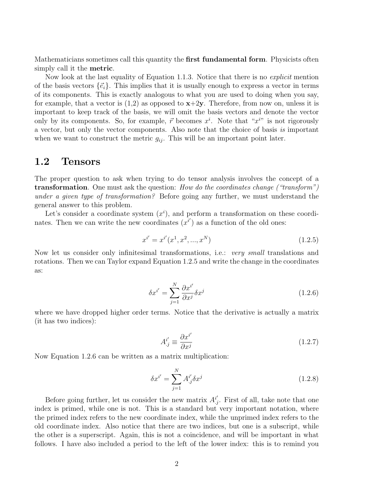Mathematicians sometimes call this quantity the **first fundamental form**. Physicists often simply call it the **metric**.

Now look at the last equality of Equation 1.1.3. Notice that there is no explicit mention of the basis vectors  $\{\vec{e}_i\}$ . This implies that it is usually enough to express a vector in terms of its components. This is exactly analogous to what you are used to doing when you say, for example, that a vector is  $(1,2)$  as opposed to  $x+2y$ . Therefore, from now on, unless it is important to keep track of the basis, we will omit the basis vectors and denote the vector only by its components. So, for example,  $\vec{r}$  becomes  $x^i$ . Note that " $x^{i}$ " is not rigorously a vector, but only the vector components. Also note that the choice of basis is important when we want to construct the metric  $g_{ij}$ . This will be an important point later.

### 1.2 Tensors

The proper question to ask when trying to do tensor analysis involves the concept of a **transformation**. One must ask the question: *How do the coordinates change ("transform")* under a given type of transformation? Before going any further, we must understand the general answer to this problem.

Let's consider a coordinate system  $(x<sup>i</sup>)$ , and perform a transformation on these coordinates. Then we can write the new coordinates  $(x^{i'})$  as a function of the old ones:

$$
x^{i'} = x^{i'}(x^1, x^2, ..., x^N)
$$
\n(1.2.5)

Now let us consider only infinitesimal transformations, i.e.: very small translations and rotations. Then we can Taylor expand Equation 1.2.5 and write the change in the coordinates as:

$$
\delta x^{i'} = \sum_{j=1}^{N} \frac{\partial x^{i'}}{\partial x^j} \delta x^j \tag{1.2.6}
$$

where we have dropped higher order terms. Notice that the derivative is actually a matrix (it has two indices):

$$
A_{.j}^{i'} \equiv \frac{\partial x^{i'}}{\partial x^j} \tag{1.2.7}
$$

Now Equation 1.2.6 can be written as a matrix multiplication:

$$
\delta x^{i'} = \sum_{j=1}^{N} A^{i'}_{.j} \delta x^j
$$
\n(1.2.8)

Before going further, let us consider the new matrix  $A^{i'}_{.j}$ . First of all, take note that one index is primed, while one is not. This is a standard but very important notation, where the primed index refers to the new coordinate index, while the unprimed index refers to the old coordinate index. Also notice that there are two indices, but one is a subscript, while the other is a superscript. Again, this is not a coincidence, and will be important in what follows. I have also included a period to the left of the lower index: this is to remind you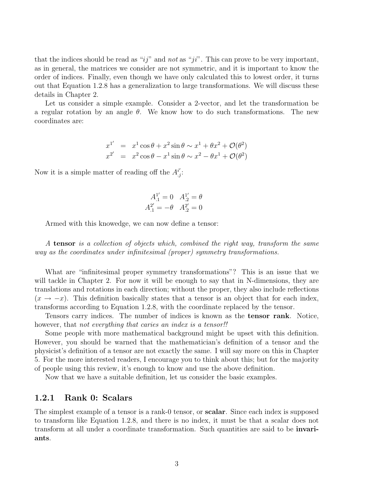that the indices should be read as " $ij$ " and not as " $ji$ ". This can prove to be very important, as in general, the matrices we consider are not symmetric, and it is important to know the order of indices. Finally, even though we have only calculated this to lowest order, it turns out that Equation 1.2.8 has a generalization to large transformations. We will discuss these details in Chapter 2.

Let us consider a simple example. Consider a 2-vector, and let the transformation be a regular rotation by an angle  $\theta$ . We know how to do such transformations. The new coordinates are:

$$
x^{1'} = x^1 \cos \theta + x^2 \sin \theta \sim x^1 + \theta x^2 + \mathcal{O}(\theta^2)
$$
  

$$
x^{2'} = x^2 \cos \theta - x^1 \sin \theta \sim x^2 - \theta x^1 + \mathcal{O}(\theta^2)
$$

Now it is a simple matter of reading off the  $A^i_j$ :

$$
A_{.1}^{1'} = 0 \t A_{.2}^{1'} = \theta
$$
  

$$
A_{.1}^{2'} = -\theta \t A_{.2}^{2'} = 0
$$

Armed with this knowedge, we can now define a tensor:

A tensor is a collection of objects which, combined the right way, transform the same way as the coordinates under infinitesimal (proper) symmetry transformations.

What are "infinitesimal proper symmetry transformations"? This is an issue that we will tackle in Chapter 2. For now it will be enough to say that in N-dimensions, they are translations and rotations in each direction; without the proper, they also include reflections  $(x \to -x)$ . This definition basically states that a tensor is an object that for each index, transforms according to Equation 1.2.8, with the coordinate replaced by the tensor.

Tensors carry indices. The number of indices is known as the tensor rank. Notice, however, that not everything that caries an index is a tensor!!

Some people with more mathematical background might be upset with this definition. However, you should be warned that the mathematician's definition of a tensor and the physicist's definition of a tensor are not exactly the same. I will say more on this in Chapter 5. For the more interested readers, I encourage you to think about this; but for the majority of people using this review, it's enough to know and use the above definition.

Now that we have a suitable definition, let us consider the basic examples.

#### 1.2.1 Rank 0: Scalars

The simplest example of a tensor is a rank-0 tensor, or **scalar**. Since each index is supposed to transform like Equation 1.2.8, and there is no index, it must be that a scalar does not transform at all under a coordinate transformation. Such quantities are said to be invariants.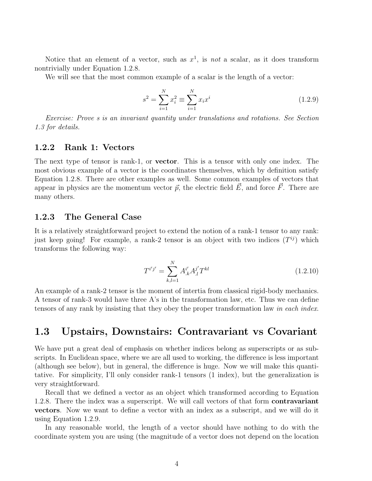Notice that an element of a vector, such as  $x<sup>1</sup>$ , is not a scalar, as it does transform nontrivially under Equation 1.2.8.

We will see that the most common example of a scalar is the length of a vector:

$$
s^2 = \sum_{i=1}^{N} x_i^2 \equiv \sum_{i=1}^{N} x_i x^i
$$
 (1.2.9)

Exercise: Prove s is an invariant quantity under translations and rotations. See Section 1.3 for details.

#### 1.2.2 Rank 1: Vectors

The next type of tensor is rank-1, or vector. This is a tensor with only one index. The most obvious example of a vector is the coordinates themselves, which by definition satisfy Equation 1.2.8. There are other examples as well. Some common examples of vectors that appear in physics are the momentum vector  $\vec{p}$ , the electric field  $\vec{E}$ , and force  $\vec{F}$ . There are many others.

#### 1.2.3 The General Case

It is a relatively straightforward project to extend the notion of a rank-1 tensor to any rank: just keep going! For example, a rank-2 tensor is an object with two indices  $(T^{ij})$  which transforms the following way:

$$
T^{i'j'} = \sum_{k,l=1}^{N} A_{.k}^{i'} A_{.l}^{j'} T^{kl}
$$
\n(1.2.10)

An example of a rank-2 tensor is the moment of intertia from classical rigid-body mechanics. A tensor of rank-3 would have three A's in the transformation law, etc. Thus we can define tensors of any rank by insisting that they obey the proper transformation law in each index.

### 1.3 Upstairs, Downstairs: Contravariant vs Covariant

We have put a great deal of emphasis on whether indices belong as superscripts or as subscripts. In Euclidean space, where we are all used to working, the difference is less important (although see below), but in general, the difference is huge. Now we will make this quantitative. For simplicity, I'll only consider rank-1 tensors (1 index), but the generalization is very straightforward.

Recall that we defined a vector as an object which transformed according to Equation 1.2.8. There the index was a superscript. We will call vectors of that form **contravariant** vectors. Now we want to define a vector with an index as a subscript, and we will do it using Equation 1.2.9.

In any reasonable world, the length of a vector should have nothing to do with the coordinate system you are using (the magnitude of a vector does not depend on the location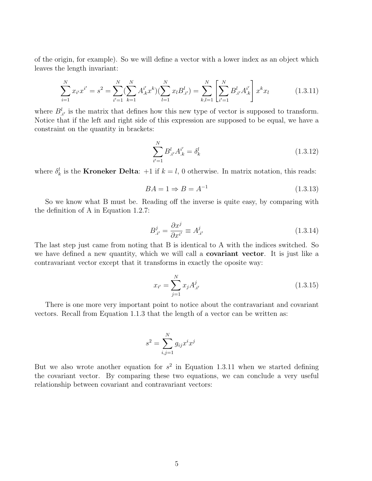of the origin, for example). So we will define a vector with a lower index as an object which leaves the length invariant:

$$
\sum_{i=1}^{N} x_{i'} x^{i'} = s^2 = \sum_{i'=1}^{N} (\sum_{k=1}^{N} A_{.k}^{i'} x^k)(\sum_{l=1}^{N} x_l B_{.i'}^l) = \sum_{k,l=1}^{N} \left[ \sum_{i'=1}^{N} B_{.i'}^l A_{.k}^{i'} \right] x^k x_l \tag{1.3.11}
$$

where  $B_{i}^{l}$  is the matrix that defines how this new type of vector is supposed to transform. Notice that if the left and right side of this expression are supposed to be equal, we have a constraint on the quantity in brackets:

$$
\sum_{i'=1}^{N} B_{i'}^{l} A_{k}^{i'} = \delta_{k}^{l}
$$
\n(1.3.12)

where  $\delta_k^l$  is the **Kroneker Delta**:  $+1$  if  $k = l$ , 0 otherwise. In matrix notation, this reads:

$$
BA = 1 \Rightarrow B = A^{-1}
$$
\n<sup>(1.3.13)</sup>

So we know what B must be. Reading off the inverse is quite easy, by comparing with the definition of A in Equation 1.2.7:

$$
B_{i'}^j = \frac{\partial x^j}{\partial x^{i'}} \equiv A_{i'}^j \tag{1.3.14}
$$

The last step just came from noting that B is identical to A with the indices switched. So we have defined a new quantity, which we will call a **covariant vector**. It is just like a contravariant vector except that it transforms in exactly the oposite way:

$$
x_{i'} = \sum_{j=1}^{N} x_j A^j_{i'}
$$
 (1.3.15)

There is one more very important point to notice about the contravariant and covariant vectors. Recall from Equation 1.1.3 that the length of a vector can be written as:

$$
s^2 = \sum_{i,j=1}^{N} g_{ij} x^i x^j
$$

But we also wrote another equation for  $s^2$  in Equation 1.3.11 when we started defining the covariant vector. By comparing these two equations, we can conclude a very useful relationship between covariant and contravariant vectors: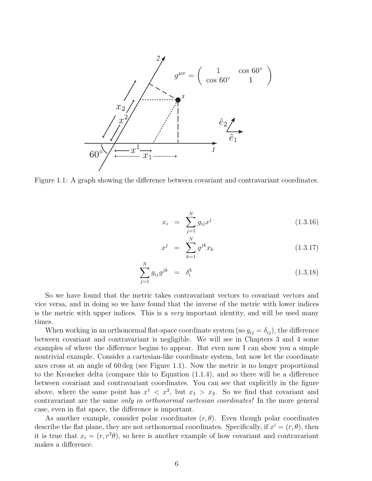

Figure 1.1: A graph showing the difference between covariant and contravariant coordinates.

$$
x_i = \sum_{j=1}^{N} g_{ij} x^j
$$
 (1.3.16)

$$
x^{j} = \sum_{k=1}^{N} g^{jk} x_{k}
$$
 (1.3.17)

$$
\sum_{j=1}^{N} g_{ij} g^{jk} = \delta_i^k \tag{1.3.18}
$$

So we have found that the metric takes contravariant vectors to covariant vectors and vice versa, and in doing so we have found that the inverse of the metric with lower indices is the metric with upper indices. This is a very important identity, and will be used many times.

When working in an orthonormal flat-space coordinate system (so  $g_{ij} = \delta_{ij}$ ), the difference between covariant and contravariant is negligible. We will see in Chapters 3 and 4 some examples of where the difference begins to appear. But even now I can show you a simple nontrivial example. Consider a cartesian-like coordinate system, but now let the coordinate axes cross at an angle of 60 deg (see Figure 1.1). Now the metric is no longer proportional to the Kroneker delta (compare this to Equation (1.1.4), and so there will be a difference between covariant and contravariant coordinates. You can see that explicitly in the figure above, where the same point has  $x^1 \, < x^2$ , but  $x_1 \, > x_2$ . So we find that covariant and contravariant are the same only in orthonormal cartesian coordinates! In the more general case, even in flat space, the difference is important.

As another example, consider polar coordinates  $(r, \theta)$ . Even though polar coordinates describe the flat plane, they are not orthonormal coordinates. Specifically, if  $x^i = (r, \theta)$ , then it is true that  $x_i = (r, r^2\theta)$ , so here is another example of how covariant and contravariant makes a difference.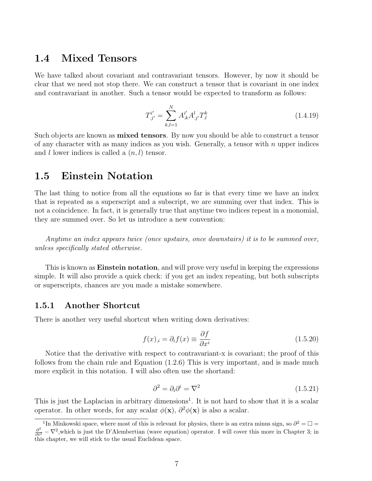## 1.4 Mixed Tensors

We have talked about covariant and contravariant tensors. However, by now it should be clear that we need not stop there. We can construct a tensor that is covariant in one index and contravariant in another. Such a tensor would be expected to transform as follows:

$$
T_{.j'}^{i'} = \sum_{k,l=1}^{N} A_{.k}^{i'} A_{.j'}^l T_{.l}^k
$$
 (1.4.19)

Such objects are known as mixed tensors. By now you should be able to construct a tensor of any character with as many indices as you wish. Generally, a tensor with  $n$  upper indices and  $l$  lower indices is called a  $(n, l)$  tensor.

## 1.5 Einstein Notation

The last thing to notice from all the equations so far is that every time we have an index that is repeated as a superscript and a subscript, we are summing over that index. This is not a coincidence. In fact, it is generally true that anytime two indices repeat in a monomial, they are summed over. So let us introduce a new convention:

Anytime an index appears twice (once upstairs, once downstairs) it is to be summed over, unless specifically stated otherwise.

This is known as **Einstein notation**, and will prove very useful in keeping the expressions simple. It will also provide a quick check: if you get an index repeating, but both subscripts or superscripts, chances are you made a mistake somewhere.

#### 1.5.1 Another Shortcut

There is another very useful shortcut when writing down derivatives:

$$
f(x)_{,i} = \partial_i f(x) \equiv \frac{\partial f}{\partial x^i} \tag{1.5.20}
$$

Notice that the derivative with respect to contravariant-x is covariant; the proof of this follows from the chain rule and Equation (1.2.6) This is very important, and is made much more explicit in this notation. I will also often use the shortand:

$$
\partial^2 = \partial_i \partial^i = \nabla^2 \tag{1.5.21}
$$

This is just the Laplacian in arbitrary dimensions<sup>1</sup>. It is not hard to show that it is a scalar operator. In other words, for any scalar  $\phi(\mathbf{x})$ ,  $\partial^2\phi(\mathbf{x})$  is also a scalar.

<sup>&</sup>lt;sup>1</sup>In Minkowski space, where most of this is relevant for physics, there is an extra minus sign, so  $\partial^2 = \Box$  $\frac{\partial^2}{\partial t^2}$  –  $\nabla^2$ , which is just the D'Alembertian (wave equation) operator. I will cover this more in Chapter 3; in this chapter, we will stick to the usual Euclidean space.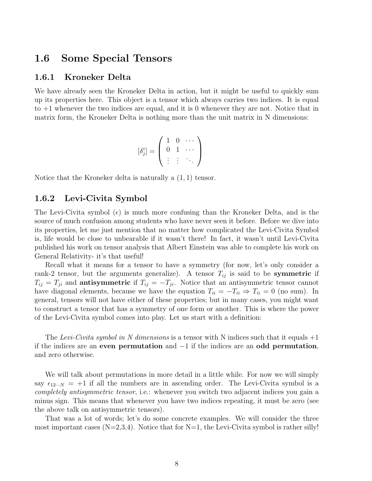### 1.6 Some Special Tensors

#### 1.6.1 Kroneker Delta

We have already seen the Kroneker Delta in action, but it might be useful to quickly sum up its properties here. This object is a tensor which always carries two indices. It is equal to +1 whenever the two indices are equal, and it is 0 whenever they are not. Notice that in matrix form, the Kroneker Delta is nothing more than the unit matrix in N dimensions:

$$
[\delta_j^i] = \left( \begin{array}{cccc} 1 & 0 & \cdots \\ 0 & 1 & \cdots \\ \vdots & \vdots & \ddots \end{array} \right)
$$

Notice that the Kroneker delta is naturally a (1, 1) tensor.

#### 1.6.2 Levi-Civita Symbol

The Levi-Civita symbol  $(\epsilon)$  is much more confusing than the Kroneker Delta, and is the source of much confusion among students who have never seen it before. Before we dive into its properties, let me just mention that no matter how complicated the Levi-Civita Symbol is, life would be close to unbearable if it wasn't there! In fact, it wasn't until Levi-Civita published his work on tensor analysis that Albert Einstein was able to complete his work on General Relativity- it's that useful!

Recall what it means for a tensor to have a symmetry (for now, let's only consider a rank-2 tensor, but the arguments generalize). A tensor  $T_{ij}$  is said to be **symmetric** if  $T_{ij} = T_{ji}$  and **antisymmetric** if  $T_{ij} = -T_{ji}$ . Notice that an antisymmetric tensor cannot have diagonal elements, because we have the equation  $T_{ii} = -T_{ii} \Rightarrow T_{ii} = 0$  (no sum). In general, tensors will not have either of these properties; but in many cases, you might want to construct a tensor that has a symmetry of one form or another. This is where the power of the Levi-Civita symbol comes into play. Let us start with a definition:

The Levi-Civita symbol in N dimensions is a tensor with N indices such that it equals  $+1$ if the indices are an even permutation and  $-1$  if the indices are an odd permutation, and zero otherwise.

We will talk about permutations in more detail in a little while. For now we will simply say  $\epsilon_{12\cdots N}$  = +1 if all the numbers are in ascending order. The Levi-Civita symbol is a completely antisymmetric tensor, i.e.: whenever you switch two adjacent indices you gain a minus sign. This means that whenever you have two indices repeating, it must be zero (see the above talk on antisymmetric tensors).

That was a lot of words; let's do some concrete examples. We will consider the three most important cases  $(N=2,3,4)$ . Notice that for N=1, the Levi-Civita symbol is rather silly!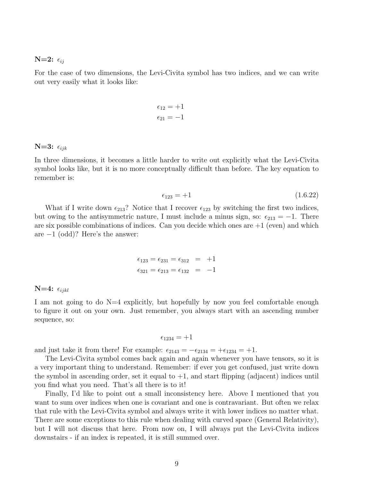N=2:  $\epsilon_{ij}$ 

For the case of two dimensions, the Levi-Civita symbol has two indices, and we can write out very easily what it looks like:

$$
\epsilon_{12} = +1
$$

$$
\epsilon_{21} = -1
$$

N=3:  $\epsilon_{ijk}$ 

In three dimensions, it becomes a little harder to write out explicitly what the Levi-Civita symbol looks like, but it is no more conceptually difficult than before. The key equation to remember is:

$$
\epsilon_{123} = +1 \tag{1.6.22}
$$

What if I write down  $\epsilon_{213}$ ? Notice that I recover  $\epsilon_{123}$  by switching the first two indices, but owing to the antisymmetric nature, I must include a minus sign, so:  $\epsilon_{213} = -1$ . There are six possible combinations of indices. Can you decide which ones are  $+1$  (even) and which are −1 (odd)? Here's the answer:

$$
\epsilon_{123} = \epsilon_{231} = \epsilon_{312} = +1
$$
  
\n $\epsilon_{321} = \epsilon_{213} = \epsilon_{132} = -1$ 

N=4:  $\epsilon_{ijkl}$ 

I am not going to do  $N=4$  explicitly, but hopefully by now you feel comfortable enough to figure it out on your own. Just remember, you always start with an ascending number sequence, so:

$$
\epsilon_{1234}=+1
$$

and just take it from there! For example:  $\epsilon_{2143} = -\epsilon_{2134} = +\epsilon_{1234} = +1$ .

The Levi-Civita symbol comes back again and again whenever you have tensors, so it is a very important thing to understand. Remember: if ever you get confused, just write down the symbol in ascending order, set it equal to  $+1$ , and start flipping (adjacent) indices until you find what you need. That's all there is to it!

Finally, I'd like to point out a small inconsistency here. Above I mentioned that you want to sum over indices when one is covariant and one is contravariant. But often we relax that rule with the Levi-Civita symbol and always write it with lower indices no matter what. There are some exceptions to this rule when dealing with curved space (General Relativity), but I will not discuss that here. From now on, I will always put the Levi-Civita indices downstairs - if an index is repeated, it is still summed over.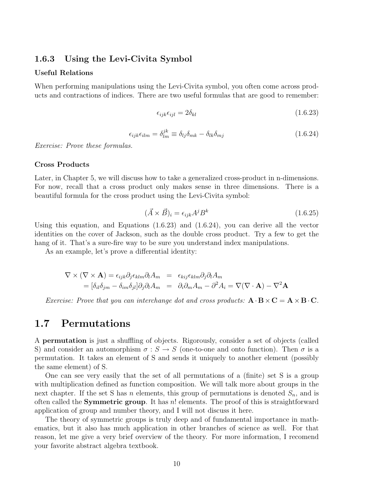#### 1.6.3 Using the Levi-Civita Symbol

#### Useful Relations

When performing manipulations using the Levi-Civita symbol, you often come across products and contractions of indices. There are two useful formulas that are good to remember:

$$
\epsilon_{ijk}\epsilon_{ijl} = 2\delta_{kl} \tag{1.6.23}
$$

$$
\epsilon_{ijk}\epsilon_{ilm} = \delta_{lm}^{jk} \equiv \delta_{lj}\delta_{mk} - \delta_{lk}\delta_{mj} \tag{1.6.24}
$$

Exercise: Prove these formulas.

#### Cross Products

Later, in Chapter 5, we will discuss how to take a generalized cross-product in n-dimensions. For now, recall that a cross product only makes sense in three dimensions. There is a beautiful formula for the cross product using the Levi-Civita symbol:

$$
(\vec{A} \times \vec{B})_i = \epsilon_{ijk} A^j B^k \tag{1.6.25}
$$

Using this equation, and Equations (1.6.23) and (1.6.24), you can derive all the vector identities on the cover of Jackson, such as the double cross product. Try a few to get the hang of it. That's a sure-fire way to be sure you understand index manipulations.

As an example, let's prove a differential identity:

$$
\nabla \times (\nabla \times \mathbf{A}) = \epsilon_{ijk} \partial_j \epsilon_{klm} \partial_l A_m = \epsilon_{kij} \epsilon_{klm} \partial_j \partial_l A_m
$$
  
=  $[\delta_{il} \delta_{jm} - \delta_{im} \delta_{jl}] \partial_j \partial_l A_m = \partial_i \partial_m A_m - \partial^2 A_i = \nabla (\nabla \cdot \mathbf{A}) - \nabla^2 \mathbf{A}$ 

*Exercise: Prove that you can interchange dot and cross products:*  $\mathbf{A} \cdot \mathbf{B} \times \mathbf{C} = \mathbf{A} \times \mathbf{B} \cdot \mathbf{C}$ .

### 1.7 Permutations

A permutation is just a shuffling of objects. Rigorously, consider a set of objects (called S) and consider an automorphism  $\sigma : S \to S$  (one-to-one and onto function). Then  $\sigma$  is a permutation. It takes an element of S and sends it uniquely to another element (possibly the same element) of S.

One can see very easily that the set of all permutations of a (finite) set S is a group with multiplication defined as function composition. We will talk more about groups in the next chapter. If the set S has n elements, this group of permutations is denoted  $S_n$ , and is often called the **Symmetric group**. It has  $n!$  elements. The proof of this is straightforward application of group and number theory, and I will not discuss it here.

The theory of symmetric groups is truly deep and of fundamental importance in mathematics, but it also has much application in other branches of science as well. For that reason, let me give a very brief overview of the theory. For more information, I recomend your favorite abstract algebra textbook.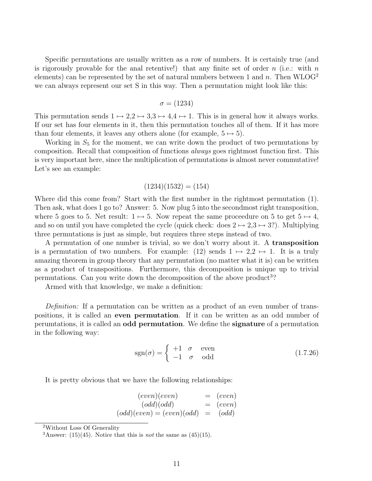Specific permutations are usually written as a row of numbers. It is certainly true (and is rigorously provable for the anal retentive!) that any finite set of order n (i.e.: with n elements) can be represented by the set of natural numbers between 1 and  $n$ . Then WLOG<sup>2</sup> we can always represent our set S in this way. Then a permutation might look like this:

$$
\sigma = (1234)
$$

This permutation sends  $1 \mapsto 2.2 \mapsto 3.3 \mapsto 4.4 \mapsto 1$ . This is in general how it always works. If our set has four elements in it, then this permutation touches all of them. If it has more than four elements, it leaves any others alone (for example,  $5 \mapsto 5$ ).

Working in  $S_5$  for the moment, we can write down the product of two permutations by composition. Recall that composition of functions always goes rightmost function first. This is very important here, since the multiplication of permutations is almost never commutative! Let's see an example:

#### $(1234)(1532) = (154)$

Where did this come from? Start with the first number in the rightmost permutation (1). Then ask, what does 1 go to? Answer: 5. Now plug 5 into the secondmost right transposition, where 5 goes to 5. Net result:  $1 \mapsto 5$ . Now repeat the same proceedure on 5 to get  $5 \mapsto 4$ , and so on until you have completed the cycle (quick check: does  $2 \mapsto 2,3 \mapsto 3$ ?). Multiplying three permutations is just as simple, but requires three steps instead of two.

A permutation of one number is trivial, so we don't worry about it. A transposition is a permutation of two numbers. For example: (12) sends  $1 \mapsto 2.2 \mapsto 1$ . It is a truly amazing theorem in group theory that any permutation (no matter what it is) can be written as a product of transpositions. Furthermore, this decomposition is unique up to trivial permutations. Can you write down the decomposition of the above product<sup>3</sup>?

Armed with that knowledge, we make a definition:

Definition: If a permutation can be written as a product of an even number of transpositions, it is called an even permutation. If it can be written as an odd number of perumtations, it is called an odd permutation. We define the signature of a permutation in the following way:

$$
sgn(\sigma) = \begin{cases} +1 & \sigma \quad \text{even} \\ -1 & \sigma \quad \text{odd} \end{cases}
$$
 (1.7.26)

It is pretty obvious that we have the following relationships:

$$
(even)(even) = (even)
$$
  
\n
$$
(odd)(odd) = (even)
$$
  
\n
$$
(odd)(even) = (even)(odd) = (odd)
$$

<sup>2</sup>Without Loss Of Generality

<sup>&</sup>lt;sup>3</sup>Answer: (15)(45). Notice that this is *not* the same as (45)(15).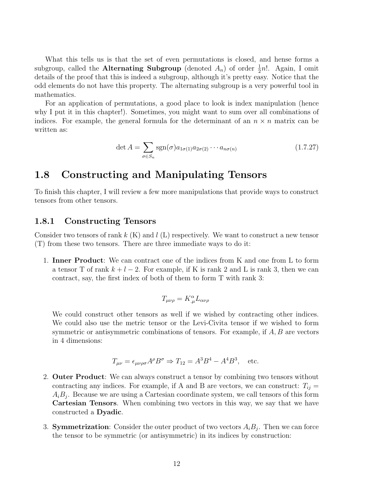What this tells us is that the set of even permutations is closed, and hense forms a subgroup, called the **Alternating Subgroup** (denoted  $A_n$ ) of order  $\frac{1}{2}n!$ . Again, I omit details of the proof that this is indeed a subgroup, although it's pretty easy. Notice that the odd elements do not have this property. The alternating subgroup is a very powerful tool in mathematics.

For an application of permutations, a good place to look is index manipulation (hence why I put it in this chapter!). Sometimes, you might want to sum over all combinations of indices. For example, the general formula for the determinant of an  $n \times n$  matrix can be written as:

$$
\det A = \sum_{\sigma \in S_n} \text{sgn}(\sigma) a_{1\sigma(1)} a_{2\sigma(2)} \cdots a_{n\sigma(n)} \tag{1.7.27}
$$

## 1.8 Constructing and Manipulating Tensors

To finish this chapter, I will review a few more manipulations that provide ways to construct tensors from other tensors.

#### 1.8.1 Constructing Tensors

Consider two tensors of rank  $k(K)$  and  $l(L)$  respectively. We want to construct a new tensor (T) from these two tensors. There are three immediate ways to do it:

1. Inner Product: We can contract one of the indices from K and one from L to form a tensor T of rank  $k + l - 2$ . For example, if K is rank 2 and L is rank 3, then we can contract, say, the first index of both of them to form T with rank 3:

$$
T_{\mu\nu\rho} = K^{\alpha}_{.\mu} L_{\alpha\nu\rho}
$$

We could construct other tensors as well if we wished by contracting other indices. We could also use the metric tensor or the Levi-Civita tensor if we wished to form symmetric or antisymmetric combinations of tensors. For example, if  $A, B$  are vectors in 4 dimensions:

$$
T_{\mu\nu} = \epsilon_{\mu\nu\rho\sigma} A^{\rho} B^{\sigma} \Rightarrow T_{12} = A^3 B^4 - A^4 B^3, \text{ etc.}
$$

- 2. Outer Product: We can always construct a tensor by combining two tensors without contracting any indices. For example, if A and B are vectors, we can construct:  $T_{ij} =$  $A_iB_j$ . Because we are using a Cartesian coordinate system, we call tensors of this form Cartesian Tensors. When combining two vectors in this way, we say that we have constructed a Dyadic.
- 3. **Symmetrization**: Consider the outer product of two vectors  $A_i B_j$ . Then we can force the tensor to be symmetric (or antisymmetric) in its indices by construction: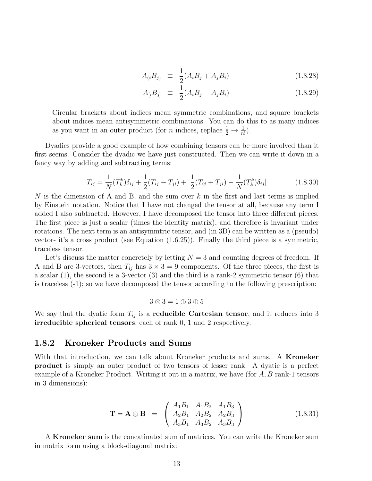$$
A_{(i}B_{j}) \equiv \frac{1}{2}(A_{i}B_{j} + A_{j}B_{i}) \qquad (1.8.28)
$$

$$
A_{[i}B_{j]} \equiv \frac{1}{2}(A_iB_j - A_jB_i) \tag{1.8.29}
$$

Circular brackets about indices mean symmetric combinations, and square brackets about indices mean antisymmetric combinations. You can do this to as many indices as you want in an outer product (for *n* indices, replace  $\frac{1}{2} \rightarrow \frac{1}{n!}$ ).

Dyadics provide a good example of how combining tensors can be more involved than it first seems. Consider the dyadic we have just constructed. Then we can write it down in a fancy way by adding and subtracting terms:

$$
T_{ij} = \frac{1}{N} (T_k^k) \delta_{ij} + \frac{1}{2} (T_{ij} - T_{ji}) + \left[ \frac{1}{2} (T_{ij} + T_{ji}) - \frac{1}{N} (T_k^k) \delta_{ij} \right]
$$
(1.8.30)

N is the dimension of A and B, and the sum over k in the first and last terms is implied by Einstein notation. Notice that I have not changed the tensor at all, because any term I added I also subtracted. However, I have decomposed the tensor into three different pieces. The first piece is just a scalar (times the identity matrix), and therefore is invariant under rotations. The next term is an antisymmtric tensor, and (in 3D) can be written as a (pseudo) vector- it's a cross product (see Equation (1.6.25)). Finally the third piece is a symmetric, traceless tensor.

Let's discuss the matter concretely by letting  $N = 3$  and counting degrees of freedom. If A and B are 3-vectors, then  $T_{ij}$  has  $3 \times 3 = 9$  components. Of the three pieces, the first is a scalar (1), the second is a 3-vector (3) and the third is a rank-2 symmetric tensor (6) that is traceless (-1); so we have decomposed the tensor according to the following prescription:

$$
3 \otimes 3 = 1 \oplus 3 \oplus 5
$$

We say that the dyatic form  $T_{ij}$  is a **reducible Cartesian tensor**, and it reduces into 3 irreducible spherical tensors, each of rank 0, 1 and 2 respectively.

#### 1.8.2 Kroneker Products and Sums

With that introduction, we can talk about Kroneker products and sums. A **Kroneker** product is simply an outer product of two tensors of lesser rank. A dyatic is a perfect example of a Kroneker Product. Writing it out in a matrix, we have (for A, B rank-1 tensors in 3 dimensions):

$$
\mathbf{T} = \mathbf{A} \otimes \mathbf{B} = \begin{pmatrix} A_1 B_1 & A_1 B_2 & A_1 B_3 \\ A_2 B_1 & A_2 B_2 & A_2 B_3 \\ A_3 B_1 & A_3 B_2 & A_3 B_3 \end{pmatrix}
$$
(1.8.31)

A Kroneker sum is the concatinated sum of matrices. You can write the Kroneker sum in matrix form using a block-diagonal matrix: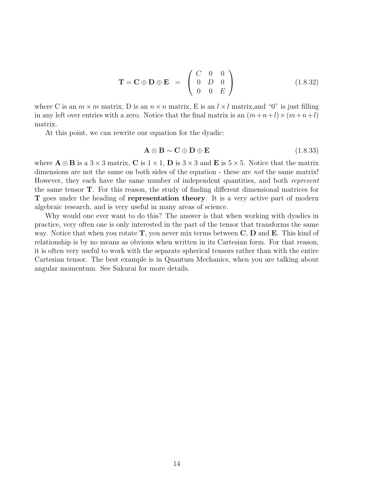$$
\mathbf{T} = \mathbf{C} \oplus \mathbf{D} \oplus \mathbf{E} = \begin{pmatrix} C & 0 & 0 \\ 0 & D & 0 \\ 0 & 0 & E \end{pmatrix}
$$
 (1.8.32)

where C is an  $m \times m$  matrix, D is an  $n \times n$  matrix, E is an  $l \times l$  matrix, and "0" is just filling in any left over entries with a zero. Notice that the final matrix is an  $(m+n+l)\times(m+n+l)$ matrix.

At this point, we can rewrite our equation for the dyadic:

$$
\mathbf{A} \otimes \mathbf{B} \sim \mathbf{C} \oplus \mathbf{D} \oplus \mathbf{E} \tag{1.8.33}
$$

where  $\mathbf{A} \otimes \mathbf{B}$  is a 3 × 3 matrix, **C** is  $1 \times 1$ , **D** is  $3 \times 3$  and **E** is  $5 \times 5$ . Notice that the matrix dimensions are not the same on both sides of the equation - these are *not* the same matrix! However, they each have the same number of independent quantities, and both represent the same tensor T. For this reason, the study of finding different dimensional matrices for **T** goes under the heading of **representation theory**. It is a very active part of modern algebraic research, and is very useful in many areas of science.

Why would one ever want to do this? The answer is that when working with dyadics in practice, very often one is only interested in the part of the tensor that transforms the same way. Notice that when you rotate  $T$ , you never mix terms between  $C$ ,  $D$  and  $E$ . This kind of relationship is by no means as obvious when written in its Cartesian form. For that reason, it is often very useful to work with the separate spherical tensors rather than with the entire Cartesian tensor. The best example is in Quantum Mechanics, when you are talking about angular momentum. See Sakurai for more details.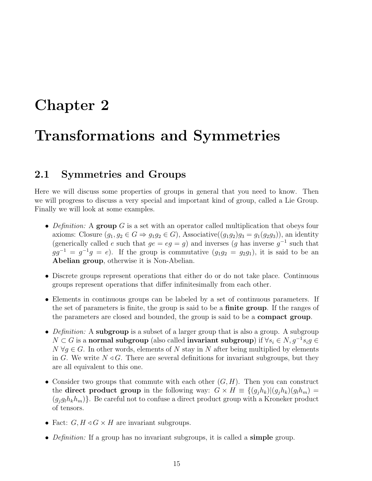## Chapter 2

## Transformations and Symmetries

## 2.1 Symmetries and Groups

Here we will discuss some properties of groups in general that you need to know. Then we will progress to discuss a very special and important kind of group, called a Lie Group. Finally we will look at some examples.

- Definition: A group G is a set with an operator called multiplication that obeys four axioms: Closure  $(g_1, g_2 \in G \Rightarrow g_1 g_2 \in G)$ , Associative $((g_1 g_2) g_3 = g_1 (g_2 g_3))$ , an identity (generically called e such that  $ge = eg = g$ ) and inverses (g has inverse  $g^{-1}$  such that  $gg^{-1} = g^{-1}g = e$ ). If the group is commutative  $(g_1g_2 = g_2g_1)$ , it is said to be an Abelian group, otherwise it is Non-Abelian.
- Discrete groups represent operations that either do or do not take place. Continuous groups represent operations that differ infinitesimally from each other.
- Elements in continuous groups can be labeled by a set of continuous parameters. If the set of parameters is finite, the group is said to be a finite group. If the ranges of the parameters are closed and bounded, the group is said to be a compact group.
- Definition: A subgroup is a subset of a larger group that is also a group. A subgroup  $N \subset G$  is a normal subgroup (also called invariant subgroup) if  $\forall s_i \in N$ ,  $g^{-1}s_ig$  ∈  $N \forall g \in G$ . In other words, elements of N stay in N after being multiplied by elements in G. We write  $N \triangleleft G$ . There are several definitions for invariant subgroups, but they are all equivalent to this one.
- Consider two groups that commute with each other  $(G, H)$ . Then you can construct the direct product group in the following way:  $G \times H \equiv \{(g_i h_k)|(g_j h_k)(g_l h_m) =$  $(q_i q_l h_k h_m)$ . Be careful not to confuse a direct product group with a Kroneker product of tensors.
- Fact:  $G, H \triangleleft G \times H$  are invariant subgroups.
- Definition: If a group has no invariant subgroups, it is called a **simple** group.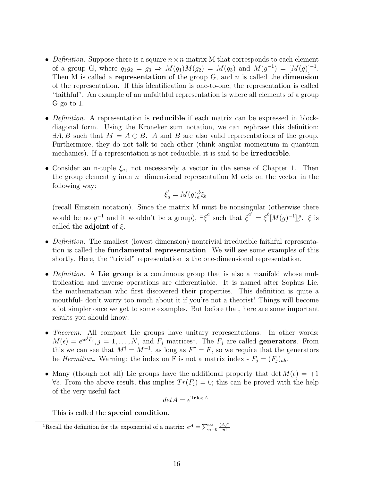- Definition: Suppose there is a square  $n \times n$  matrix M that corresponds to each element of a group G, where  $g_1g_2 = g_3 \Rightarrow M(g_1)M(g_2) = M(g_3)$  and  $M(g^{-1}) = [M(g)]^{-1}$ . Then M is called a representation of the group  $G$ , and n is called the dimension of the representation. If this identification is one-to-one, the representation is called "faithful". An example of an unfaithful representation is where all elements of a group G go to 1.
- Definition: A representation is **reducible** if each matrix can be expressed in blockdiagonal form. Using the Kroneker sum notation, we can rephrase this definition:  $\exists A, B$  such that  $M = A \oplus B$ . A and B are also valid representations of the group. Furthermore, they do not talk to each other (think angular momentum in quantum mechanics). If a representation is not reducible, it is said to be irreducible.
- Consider an n-tuple  $\xi_a$ , not necessarely a vector in the sense of Chapter 1. Then the group element g inan n–dimensional representation M acts on the vector in the following way:

$$
\xi'_a = M(g)^{b}_{a} \xi_b
$$

(recall Einstein notation). Since the matrix M must be nonsingular (otherwise there would be no  $g^{-1}$  and it wouldn't be a group),  $\exists \bar{\xi}^a$  such that  $\bar{\xi}^{a'} = \bar{\xi}^b[M(g)^{-1}]_b^a$ .  $\bar{\xi}$  is called the **adjoint** of  $\xi$ .

- Definition: The smallest (lowest dimension) nontrivial irreducible faithful representation is called the fundamental representation. We will see some examples of this shortly. Here, the "trivial" representation is the one-dimensional representation.
- Definition: A Lie group is a continuous group that is also a manifold whose multiplication and inverse operations are differentiable. It is named after Sophus Lie, the mathematician who first discovered their properties. This definition is quite a mouthful- don't worry too much about it if you're not a theorist! Things will become a lot simpler once we get to some examples. But before that, here are some important results you should know:
- *Theorem:* All compact Lie groups have unitary representations. In other words:  $M(\epsilon) = e^{i\epsilon^j F_j}$ ,  $j = 1, ..., N$ , and  $F_j$  matrices<sup>1</sup>. The  $F_j$  are called **generators**. From this we can see that  $M^{\dagger} = M^{-1}$ , as long as  $F^{\dagger} = F$ , so we require that the generators be *Hermitian*. Warning: the index on F is not a matrix index -  $F_j = (F_j)_{ab}$ .
- Many (though not all) Lie groups have the additional property that  $\det M(\epsilon) = +1$  $\forall \epsilon$ . From the above result, this implies  $Tr(F_i) = 0$ ; this can be proved with the help of the very useful fact

$$
det A = e^{\text{Tr}\log A}
$$

This is called the special condition.

<sup>1</sup>Recall the definition for the exponential of a matrix:  $e^A = \sum_{n=0}^{\infty} \frac{(A)^n}{n!}$  $n!$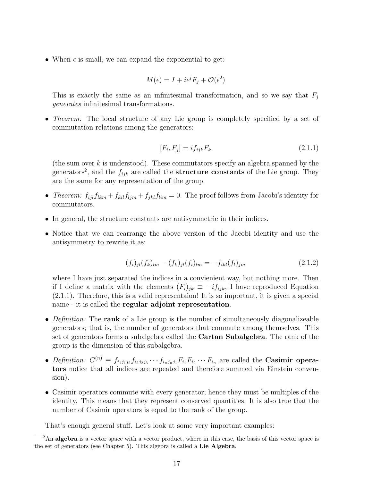• When  $\epsilon$  is small, we can expand the exponential to get:

$$
M(\epsilon) = I + i\epsilon^{j}F_{j} + \mathcal{O}(\epsilon^{2})
$$

This is exactly the same as an infinitesimal transformation, and so we say that  $F_i$ generates infinitesimal transformations.

• *Theorem:* The local structure of any Lie group is completely specified by a set of commutation relations among the generators:

$$
[F_i, F_j] = i f_{ijk} F_k \tag{2.1.1}
$$

(the sum over  $k$  is understood). These commutators specify an algebra spanned by the generators<sup>2</sup>, and the  $f_{ijk}$  are called the **structure constants** of the Lie group. They are the same for any representation of the group.

- Theorem:  $f_{ijl}f_{lkm} + f_{kil}f_{ljm} + f_{jkl}f_{lim} = 0$ . The proof follows from Jacobi's identity for commutators.
- In general, the structure constants are antisymmetric in their indices.
- Notice that we can rearrange the above version of the Jacobi identity and use the antisymmetry to rewrite it as:

$$
(f_i)_{jl}(f_k)_{lm} - (f_k)_{jl}(f_i)_{lm} = -f_{ikl}(f_l)_{jm}
$$
\n(2.1.2)

where I have just separated the indices in a convienient way, but nothing more. Then if I define a matrix with the elements  $(F_i)_{ik} \equiv -if_{iik}$ , I have reproduced Equation (2.1.1). Therefore, this is a valid representaion! It is so important, it is given a special name - it is called the regular adjoint representation.

- Definition: The rank of a Lie group is the number of simultaneously diagonalizeable generators; that is, the number of generators that commute among themselves. This set of generators forms a subalgebra called the Cartan Subalgebra. The rank of the group is the dimension of this subalgebra.
- Definition:  $C^{(n)} \equiv f_{i_1j_1j_2}f_{i_2j_2j_3}\cdots f_{i_nj_nj_1}F_{i_1}F_{i_2}\cdots F_{i_n}$  are called the **Casimir opera**tors notice that all indices are repeated and therefore summed via Einstein convension).
- Casimir operators commute with every generator; hence they must be multiples of the identity. This means that they represent conserved quantities. It is also true that the number of Casimir operators is equal to the rank of the group.

That's enough general stuff. Let's look at some very important examples:

<sup>&</sup>lt;sup>2</sup>An algebra is a vector space with a vector product, where in this case, the basis of this vector space is the set of generators (see Chapter 5). This algebra is called a Lie Algebra.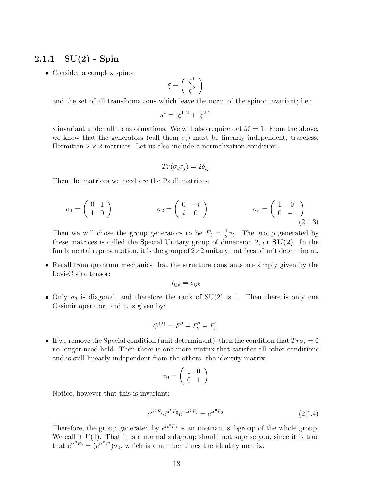### 2.1.1 SU(2) - Spin

• Consider a complex spinor

$$
\xi = \left(\begin{array}{c} \xi^1 \\ \xi^2 \end{array}\right)
$$

and the set of all transformations which leave the norm of the spinor invariant; i.e.:

$$
s^2 = |\xi^1|^2 + |\xi^2|^2
$$

s invariant under all transformations. We will also require det  $M = 1$ . From the above, we know that the generators (call them  $\sigma_i$ ) must be linearly independent, traceless, Hermitian  $2 \times 2$  matrices. Let us also include a normalization condition:

$$
Tr(\sigma_i \sigma_j) = 2\delta_{ij}
$$

Then the matrices we need are the Pauli matrices:

$$
\sigma_1 = \begin{pmatrix} 0 & 1 \\ 1 & 0 \end{pmatrix} \qquad \qquad \sigma_2 = \begin{pmatrix} 0 & -i \\ i & 0 \end{pmatrix} \qquad \qquad \sigma_3 = \begin{pmatrix} 1 & 0 \\ 0 & -1 \end{pmatrix}
$$
\n(2.1.3)

Then we will chose the group generators to be  $F_i = \frac{1}{2}\sigma_i$ . The group generated by these matrices is called the Special Unitary group of dimension 2, or  $SU(2)$ . In the fundamental representation, it is the group of  $2\times 2$  unitary matrices of unit determinant.

• Recall from quantum mechanics that the structure constants are simply given by the Levi-Civita tensor:

$$
f_{ijk} = \epsilon_{ijk}
$$

• Only  $\sigma_3$  is diagonal, and therefore the rank of SU(2) is 1. Then there is only one Casimir operator, and it is given by:

$$
C^{(2)} = F_1^2 + F_2^2 + F_3^2
$$

• If we remove the Special condition (unit determinant), then the condition that  $Tr \sigma_i = 0$ no longer need hold. Then there is one more matrix that satisfies all other conditions and is still linearly independent from the others- the identity matrix:

$$
\sigma_0=\left(\begin{array}{cc} 1 & 0 \\ 0 & 1 \end{array}\right)
$$

Notice, however that this is invariant:

$$
e^{i\epsilon^j F_j} e^{i\epsilon^0 F_0} e^{-i\epsilon^j F_j} = e^{i\epsilon^0 F_0}
$$
\n(2.1.4)

Therefore, the group generated by  $e^{i\epsilon^0 F_0}$  is an invariant subgroup of the whole group. We call it  $U(1)$ . That it is a normal subgroup should not suprise you, since it is true that  $e^{i\epsilon^0 F_0} = (e^{i\epsilon^0/2})\sigma_0$ , which is a number times the identity matrix.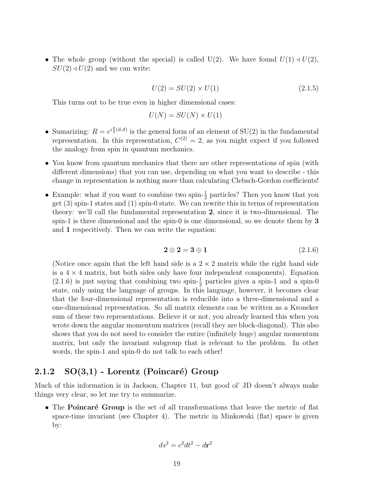• The whole group (without the special) is called U(2). We have found  $U(1) \triangleleft U(2)$ ,  $SU(2) \triangleleft U(2)$  and we can write:

$$
U(2) = SU(2) \times U(1) \tag{2.1.5}
$$

This turns out to be true even in higher dimensional cases:

$$
U(N) = SU(N) \times U(1)
$$

- Sumarizing:  $R = e^{i\frac{\theta}{2}(\vec{n}\cdot\vec{\sigma})}$  is the general form of an element of SU(2) in the fundamental representation. In this representation,  $C^{(2)} = 2$ , as you might expect if you followed the analogy from spin in quantum mechanics.
- You know from quantum mechanics that there are other representations of spin (with different dimensions) that you can use, depending on what you want to describe - this change in representation is nothing more than calculating Clebsch-Gordon coefficients!
- Example: what if you want to combine two spin- $\frac{1}{2}$  particles? Then you know that you get (3) spin-1 states and (1) spin-0 state. We can rewrite this in terms of representation theory: we'll call the fundamental representation 2, since it is two-dimensional. The spin-1 is three dimensional and the spin-0 is one dimensional, so we denote them by 3 and 1 respecitively. Then we can write the equation:

$$
2 \otimes 2 = 3 \oplus 1 \tag{2.1.6}
$$

(Notice once again that the left hand side is a  $2 \times 2$  matrix while the right hand side is a  $4 \times 4$  matrix, but both sides only have four independent components). Equation  $(2.1.6)$  is just saying that combining two spin- $\frac{1}{2}$  particles gives a spin-1 and a spin-0 state, only using the language of groups. In this language, however, it becomes clear that the four-dimensional representation is reducible into a three-dimensional and a one-dimensional representation. So all matrix elements can be written as a Kroneker sum of these two representations. Believe it or not, you already learned this when you wrote down the angular momentum matrices (recall they are block-diagonal). This also shows that you do not need to consider the entire (infinitely huge) angular momentum matrix, but only the invariant subgroup that is relevant to the problem. In other words, the spin-1 and spin-0 do not talk to each other!

### $2.1.2 \quad SO(3,1)$  - Lorentz (Poincaré) Group

Much of this information is in Jackson, Chapter 11, but good ol' JD doesn't always make things very clear, so let me try to summarize.

• The **Poincaré Group** is the set of all transformations that leave the metric of flat space-time invariant (see Chapter 4). The metric in Minkowski (flat) space is given by:

$$
ds^2 = c^2 dt^2 - d\mathbf{r}^2
$$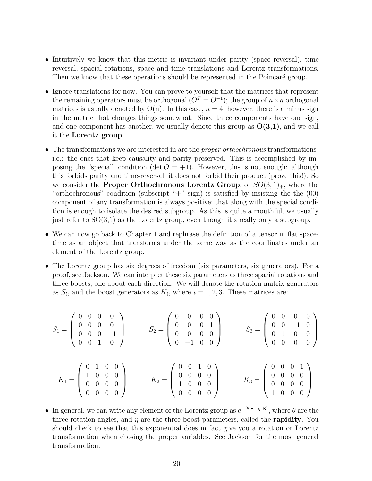- Intuitively we know that this metric is invariant under parity (space reversal), time reversal, spacial rotations, space and time translations and Lorentz transformations. Then we know that these operations should be represented in the Poincaré group.
- Ignore translations for now. You can prove to yourself that the matrices that represent the remaining operators must be orthogonal  $(O<sup>T</sup> = O<sup>-1</sup>)$ ; the group of  $n \times n$  orthogonal matrices is usually denoted by  $O(n)$ . In this case,  $n = 4$ ; however, there is a minus sign in the metric that changes things somewhat. Since three components have one sign, and one component has another, we usually denote this group as  $O(3,1)$ , and we call it the Lorentz group.
- The transformations we are interested in are the *proper orthochronous* transformationsi.e.: the ones that keep causality and parity preserved. This is accomplished by imposing the "special" condition (det  $O = +1$ ). However, this is not enough: although this forbids parity and time-reversal, it does not forbid their product (prove this!). So we consider the **Proper Orthochronous Lorentz Group**, or  $SO(3, 1)_+$ , where the "orthochronous" condition (subscript " $+$ " sign) is satisfied by insisting the the  $(00)$ component of any transformation is always positive; that along with the special condition is enough to isolate the desired subgroup. As this is quite a mouthful, we usually just refer to SO(3,1) as the Lorentz group, even though it's really only a subgroup.
- We can now go back to Chapter 1 and rephrase the definition of a tensor in flat spacetime as an object that transforms under the same way as the coordinates under an element of the Lorentz group.
- The Lorentz group has six degrees of freedom (six parameters, six generators). For a proof, see Jackson. We can interpret these six parameters as three spacial rotations and three boosts, one about each direction. We will denote the rotation matrix generators as  $S_i$ , and the boost generators as  $K_i$ , where  $i = 1, 2, 3$ . These matrices are:

$$
S_1 = \begin{pmatrix} 0 & 0 & 0 & 0 \\ 0 & 0 & 0 & 0 \\ 0 & 0 & 0 & -1 \\ 0 & 0 & 1 & 0 \end{pmatrix} \qquad \qquad S_2 = \begin{pmatrix} 0 & 0 & 0 & 0 \\ 0 & 0 & 0 & 1 \\ 0 & 0 & 0 & 0 \\ 0 & -1 & 0 & 0 \end{pmatrix} \qquad \qquad S_3 = \begin{pmatrix} 0 & 0 & 0 & 0 \\ 0 & 0 & -1 & 0 \\ 0 & 1 & 0 & 0 \\ 0 & 0 & 0 & 0 \end{pmatrix}
$$

$$
K_1 = \begin{pmatrix} 0 & 1 & 0 & 0 \\ 1 & 0 & 0 & 0 \\ 0 & 0 & 0 & 0 \\ 0 & 0 & 0 & 0 \end{pmatrix} \qquad K_2 = \begin{pmatrix} 0 & 0 & 1 & 0 \\ 0 & 0 & 0 & 0 \\ 1 & 0 & 0 & 0 \\ 0 & 0 & 0 & 0 \end{pmatrix} \qquad K_3 = \begin{pmatrix} 0 & 0 & 0 & 1 \\ 0 & 0 & 0 & 0 \\ 0 & 0 & 0 & 0 \\ 1 & 0 & 0 & 0 \end{pmatrix}
$$

• In general, we can write any element of the Lorentz group as  $e^{-[\theta \cdot S + \eta \cdot K]}$ , where  $\theta$  are the three rotation angles, and  $\eta$  are the three boost parameters, called the **rapidity**. You should check to see that this exponential does in fact give you a rotation or Lorentz transformation when chosing the proper variables. See Jackson for the most general transformation.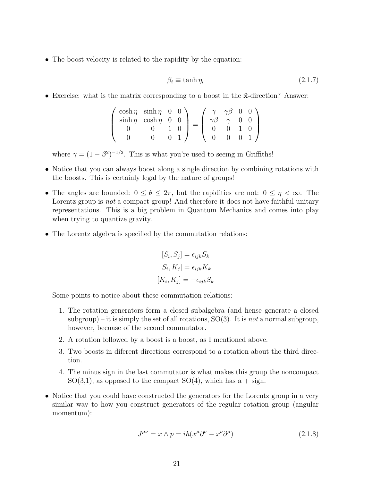• The boost velocity is related to the rapidity by the equation:

$$
\beta_i \equiv \tanh \eta_i \tag{2.1.7}
$$

• Exercise: what is the matrix corresponding to a boost in the  $\hat{\mathbf{x}}$ -direction? Answer:

$$
\left(\begin{array}{cccc} \cosh \eta & \sinh \eta & 0 & 0 \\ \sinh \eta & \cosh \eta & 0 & 0 \\ 0 & 0 & 1 & 0 \\ 0 & 0 & 0 & 1 \end{array}\right) = \left(\begin{array}{cccc} \gamma & \gamma \beta & 0 & 0 \\ \gamma \beta & \gamma & 0 & 0 \\ 0 & 0 & 1 & 0 \\ 0 & 0 & 0 & 1 \end{array}\right)
$$

where  $\gamma = (1 - \beta^2)^{-1/2}$ . This is what you're used to seeing in Griffiths!

- Notice that you can always boost along a single direction by combining rotations with the boosts. This is certainly legal by the nature of groups!
- The angles are bounded:  $0 \le \theta \le 2\pi$ , but the rapidities are not:  $0 \le \eta < \infty$ . The Lorentz group is *not* a compact group! And therefore it does not have faithful unitary representations. This is a big problem in Quantum Mechanics and comes into play when trying to quantize gravity.
- The Lorentz algebra is specified by the commutation relations:

$$
[S_i, S_j] = \epsilon_{ijk} S_k
$$

$$
[S_i, K_j] = \epsilon_{ijk} K_k
$$

$$
[K_i, K_j] = -\epsilon_{ijk} S_k
$$

Some points to notice about these commutation relations:

- 1. The rotation generators form a closed subalgebra (and hense generate a closed subgroup) – it is simply the set of all rotations,  $SO(3)$ . It is not a normal subgroup, however, becuase of the second commutator.
- 2. A rotation followed by a boost is a boost, as I mentioned above.
- 3. Two boosts in diferent directions correspond to a rotation about the third direction.
- 4. The minus sign in the last commutator is what makes this group the noncompact  $SO(3,1)$ , as opposed to the compact  $SO(4)$ , which has a + sign.
- Notice that you could have constructed the generators for the Lorentz group in a very similar way to how you construct generators of the regular rotation group (angular momentum):

$$
J^{\mu\nu} = x \wedge p = i\hbar (x^{\mu}\partial^{\nu} - x^{\nu}\partial^{\mu})
$$
\n(2.1.8)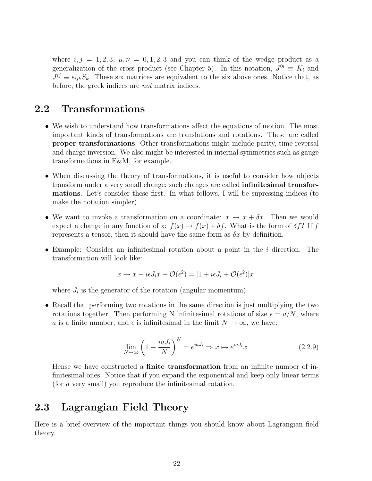where  $i, j = 1, 2, 3, \mu, \nu = 0, 1, 2, 3$  and you can think of the wedge product as a generalization of the cross product (see Chapter 5). In this notation,  $\hat{J}^{0i} \equiv K_i$  and  $J^{ij} \equiv \epsilon_{ijk} S_k$ . These six matrices are equivalent to the six above ones. Notice that, as before, the greek indices are not matrix indices.

## 2.2 Transformations

- We wish to understand how transformations affect the equations of motion. The most important kinds of transformations are translations and rotations. These are called proper transformations. Other transformations might include parity, time reversal and charge inversion. We also might be interested in internal symmetries such as gauge transformations in E&M, for example.
- When discussing the theory of transformations, it is useful to consider how objects transform under a very small change; such changes are called infinitesimal transformations. Let's consider these first. In what follows, I will be supressing indices (to make the notation simpler).
- We want to invoke a transformation on a coordinate:  $x \to x + \delta x$ . Then we would expect a change in any function of x:  $f(x) \to f(x) + \delta f$ . What is the form of  $\delta f$ ? If f represents a tensor, then it should have the same form as  $\delta x$  by definition.
- Example: Consider an infinitesimal rotation about a point in the *i* direction. The transformation will look like:

$$
x \to x + i\epsilon J_i x + \mathcal{O}(\epsilon^2) = [1 + i\epsilon J_i + \mathcal{O}(\epsilon^2)]x
$$

where  $J_i$  is the generator of the rotation (angular momentum).

• Recall that performing two rotations in the same direction is just multiplying the two rotations together. Then performing N infinitesimal rotations of size  $\epsilon = a/N$ , where a is a finite number, and  $\epsilon$  is infinitesimal in the limit  $N \to \infty$ , we have:

$$
\lim_{N \to \infty} \left( 1 + \frac{i a J_i}{N} \right)^N = e^{i a J_i} \Rightarrow x \mapsto e^{i a J_i} x \tag{2.2.9}
$$

Hense we have constructed a **finite transformation** from an infinite number of infinitesimal ones. Notice that if you expand the exponential and keep only linear terms (for a very small) you reproduce the infinitesimal rotation.

## 2.3 Lagrangian Field Theory

Here is a brief overview of the important things you should know about Lagrangian field theory.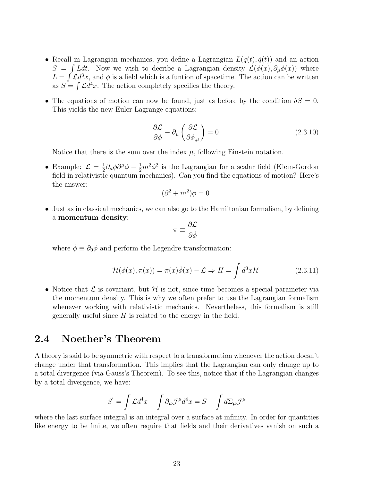- Recall in Lagrangian mechanics, you define a Lagrangian  $L(q(t), \dot{q}(t))$  and an action  $S = \int Ldt$ . Now we wish to decribe a Lagrangian density  $\mathcal{L}(\phi(x), \partial_{\mu}\phi(x))$  where  $L = \int \mathcal{L}d^3x$ , and  $\phi$  is a field which is a funtion of spacetime. The action can be written as  $S = \int \mathcal{L}d^4x$ . The action completely specifies the theory.
- The equations of motion can now be found, just as before by the condition  $\delta S = 0$ . This yields the new Euler-Lagrange equations:

$$
\frac{\partial \mathcal{L}}{\partial \phi} - \partial_{\mu} \left( \frac{\partial \mathcal{L}}{\partial \phi_{,\mu}} \right) = 0 \tag{2.3.10}
$$

Notice that there is the sum over the index  $\mu$ , following Einstein notation.

• Example:  $\mathcal{L} = \frac{1}{2} \partial_{\mu} \phi \partial^{\mu} \phi - \frac{1}{2} m^2 \phi^2$  is the Lagrangian for a scalar field (Klein-Gordon field in relativistic quantum mechanics). Can you find the equations of motion? Here's the answer:

$$
(\partial^2 + m^2)\phi = 0
$$

• Just as in classical mechanics, we can also go to the Hamiltonian formalism, by defining a momentum density:

$$
\pi \equiv \frac{\partial \mathcal{L}}{\partial \dot{\phi}}
$$

where  $\dot{\phi} \equiv \partial_0 \phi$  and perform the Legendre transformation:

$$
\mathcal{H}(\phi(x), \pi(x)) = \pi(x)\dot{\phi}(x) - \mathcal{L} \Rightarrow H = \int d^3x \mathcal{H}
$$
 (2.3.11)

• Notice that  $\mathcal L$  is covariant, but  $\mathcal H$  is not, since time becomes a special parameter via the momentum density. This is why we often prefer to use the Lagrangian formalism whenever working with relativistic mechanics. Nevertheless, this formalism is still generally useful since  $H$  is related to the energy in the field.

## 2.4 Noether's Theorem

A theory is said to be symmetric with respect to a transformation whenever the action doesn't change under that transformation. This implies that the Lagrangian can only change up to a total divergence (via Gauss's Theorem). To see this, notice that if the Lagrangian changes by a total divergence, we have:

$$
S' = \int \mathcal{L}d^4x + \int \partial_{\mu} \mathcal{J}^{\mu} d^4x = S + \int d\Sigma_{\mu} \mathcal{J}^{\mu}
$$

where the last surface integral is an integral over a surface at infinity. In order for quantities like energy to be finite, we often require that fields and their derivatives vanish on such a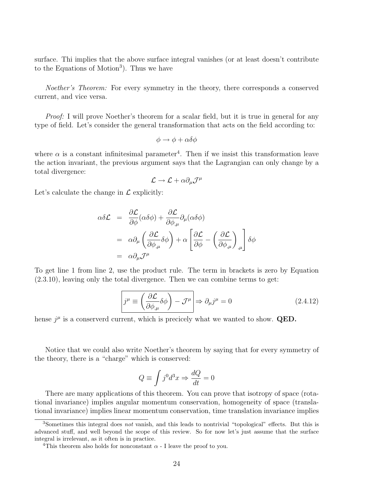surface. Thi implies that the above surface integral vanishes (or at least doesn't contribute to the Equations of Motion<sup>3</sup>). Thus we have

Noether's Theorem: For every symmetry in the theory, there corresponds a conserved current, and vice versa.

Proof: I will prove Noether's theorem for a scalar field, but it is true in general for any type of field. Let's consider the general transformation that acts on the field according to:

$$
\phi \to \phi + \alpha \delta \phi
$$

where  $\alpha$  is a constant infinitesimal parameter<sup>4</sup>. Then if we insist this transformation leave the action invariant, the previous argument says that the Lagrangian can only change by a total divergence:

$$
\mathcal{L} \to \mathcal{L} + \alpha \partial_\mu \mathcal{J}^\mu
$$

Let's calculate the change in  $\mathcal L$  explicitly:

$$
\alpha \delta \mathcal{L} = \frac{\partial \mathcal{L}}{\partial \phi} (\alpha \delta \phi) + \frac{\partial \mathcal{L}}{\partial \phi_{,\mu}} \partial_{\mu} (\alpha \delta \phi)
$$
  
=  $\alpha \partial_{\mu} \left( \frac{\partial \mathcal{L}}{\partial \phi_{,\mu}} \delta \phi \right) + \alpha \left[ \frac{\partial \mathcal{L}}{\partial \phi} - \left( \frac{\partial \mathcal{L}}{\partial \phi_{,\mu}} \right)_{,\mu} \right] \delta \phi$   
=  $\alpha \partial_{\mu} \mathcal{J}^{\mu}$ 

To get line 1 from line 2, use the product rule. The term in brackets is zero by Equation (2.3.10), leaving only the total divergence. Then we can combine terms to get:

$$
j^{\mu} \equiv \left(\frac{\partial \mathcal{L}}{\partial \phi_{,\mu}} \delta \phi\right) - \mathcal{J}^{\mu} \Rightarrow \partial_{\mu} j^{\mu} = 0 \qquad (2.4.12)
$$

hense  $j^{\mu}$  is a conserverd current, which is precicely what we wanted to show. **QED.** 

Notice that we could also write Noether's theorem by saying that for every symmetry of the theory, there is a "charge" which is conserved:

$$
Q \equiv \int j^0 d^3x \Rightarrow \frac{dQ}{dt} = 0
$$

There are many applications of this theorem. You can prove that isotropy of space (rotational invariance) implies angular momentum conservation, homogeneity of space (translational invariance) implies linear momentum conservation, time translation invariance implies

<sup>3</sup>Sometimes this integral does *not* vanish, and this leads to nontrivial "topological" effects. But this is advanced stuff, and well beyond the scope of this review. So for now let's just assume that the surface integral is irrelevant, as it often is in practice.

<sup>&</sup>lt;sup>4</sup>This theorem also holds for nonconstant  $\alpha$  - I leave the proof to you.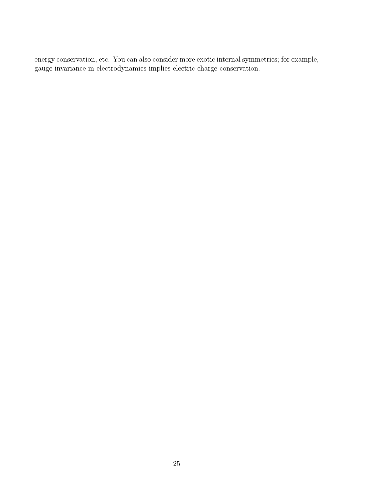energy conservation, etc. You can also consider more exotic internal symmetries; for example, gauge invariance in electrodynamics implies electric charge conservation.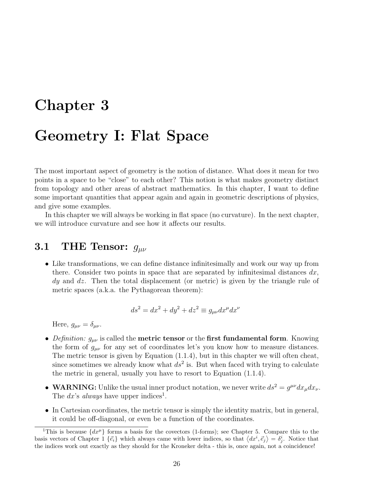# Chapter 3 Geometry I: Flat Space

The most important aspect of geometry is the notion of distance. What does it mean for two points in a space to be "close" to each other? This notion is what makes geometry distinct from topology and other areas of abstract mathematics. In this chapter, I want to define some important quantities that appear again and again in geometric descriptions of physics, and give some examples.

In this chapter we will always be working in flat space (no curvature). In the next chapter, we will introduce curvature and see how it affects our results.

## 3.1 THE Tensor:  $q_{\mu\nu}$

• Like transformations, we can define distance infinitesimally and work our way up from there. Consider two points in space that are separated by infinitesimal distances  $dx$ ,  $dy$  and  $dz$ . Then the total displacement (or metric) is given by the triangle rule of metric spaces (a.k.a. the Pythagorean theorem):

$$
ds^2 = dx^2 + dy^2 + dz^2 \equiv g_{\mu\nu} dx^{\mu} dx^{\nu}
$$

Here,  $g_{\mu\nu} = \delta_{\mu\nu}$ .

- Definition:  $g_{\mu\nu}$  is called the **metric tensor** or the **first fundamental form**. Knowing the form of  $g_{\mu\nu}$  for any set of coordinates let's you know how to measure distances. The metric tensor is given by Equation (1.1.4), but in this chapter we will often cheat, since sometimes we already know what  $ds^2$  is. But when faced with trying to calculate the metric in general, usually you have to resort to Equation (1.1.4).
- WARNING: Unlike the usual inner product notation, we never write  $ds^2 = g^{\mu\nu} dx_{\mu} dx_{\nu}$ . The dx's always have upper indices<sup>1</sup>.
- In Cartesian coordinates, the metric tensor is simply the identity matrix, but in general, it could be off-diagonal, or even be a function of the coordinates.

<sup>&</sup>lt;sup>1</sup>This is because  $\{dx^{\mu}\}\$ forms a basis for the covectors (1-forms); see Chapter 5. Compare this to the basis vectors of Chapter 1  $\{\vec{e}_i\}$  which always came with lower indices, so that  $\langle dx^i, \vec{e}_j \rangle = \delta_j^i$ . Notice that the indices work out exactly as they should for the Kroneker delta - this is, once again, not a coincidence!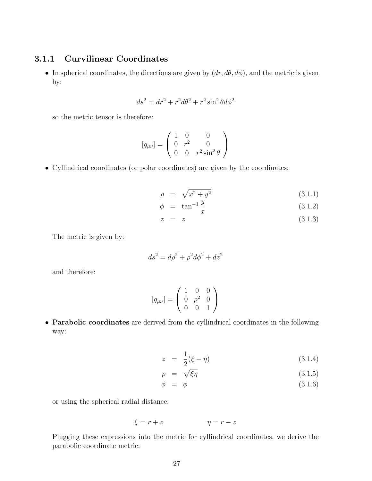### 3.1.1 Curvilinear Coordinates

• In spherical coordinates, the directions are given by  $(dr, d\theta, d\phi)$ , and the metric is given by:

$$
ds^2 = dr^2 + r^2 d\theta^2 + r^2 \sin^2 \theta d\phi^2
$$

so the metric tensor is therefore:

$$
[g_{\mu\nu}] = \begin{pmatrix} 1 & 0 & 0 \\ 0 & r^2 & 0 \\ 0 & 0 & r^2 \sin^2 \theta \end{pmatrix}
$$

• Cyllindrical coordinates (or polar coordinates) are given by the coordinates:

$$
\rho = \sqrt{x^2 + y^2} \tag{3.1.1}
$$

$$
\phi = \tan^{-1} \frac{y}{x} \tag{3.1.2}
$$

$$
z = z \tag{3.1.3}
$$

The metric is given by:

$$
ds^2 = d\rho^2 + \rho^2 d\phi^2 + dz^2
$$

and therefore:

$$
[g_{\mu\nu}]=\left(\begin{array}{ccc} 1 & 0 & 0 \\ 0 & \rho^2 & 0 \\ 0 & 0 & 1 \end{array}\right)
$$

• Parabolic coordinates are derived from the cyllindrical coordinates in the following way:

$$
z = \frac{1}{2}(\xi - \eta) \tag{3.1.4}
$$

$$
\rho = \sqrt{\xi \eta} \tag{3.1.5}
$$

$$
\phi = \phi \tag{3.1.6}
$$

or using the spherical radial distance:

$$
\xi = r + z \qquad \qquad \eta = r - z
$$

Plugging these expressions into the metric for cyllindrical coordinates, we derive the parabolic coordinate metric: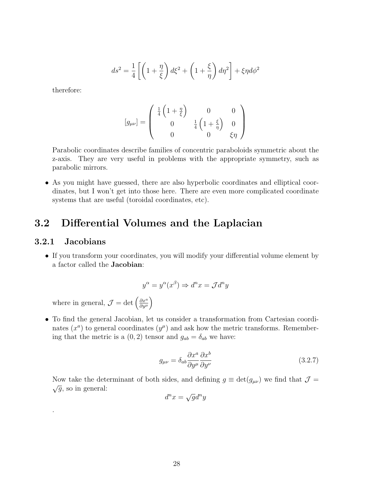$$
ds^{2} = \frac{1}{4} \left[ \left( 1 + \frac{\eta}{\xi} \right) d\xi^{2} + \left( 1 + \frac{\xi}{\eta} \right) d\eta^{2} \right] + \xi \eta d\phi^{2}
$$

therefore:

$$
[g_{\mu\nu}]=\left(\begin{array}{ccc} \frac{1}{4}\left(1+\frac{\eta}{\xi}\right)&0&0\\ 0&\frac{1}{4}\left(1+\frac{\xi}{\eta}\right)&0\\ 0&0&\xi\eta\end{array}\right)
$$

Parabolic coordinates describe families of concentric paraboloids symmetric about the z-axis. They are very useful in problems with the appropriate symmetry, such as parabolic mirrors.

• As you might have guessed, there are also hyperbolic coordinates and elliptical coordinates, but I won't get into those here. There are even more complicated coordinate systems that are useful (toroidal coordinates, etc).

## 3.2 Differential Volumes and the Laplacian

#### 3.2.1 Jacobians

.

• If you transform your coordinates, you will modify your differential volume element by a factor called the Jacobian:

$$
y^{\alpha} = y^{\alpha}(x^{\beta}) \Rightarrow d^{n}x = \mathcal{J}d^{n}y
$$

where in general,  $\mathcal{J} = \det \left( \frac{\partial x^a}{\partial y^\mu} \right)$  $\overline{\partial y^\mu}$  $\overline{ }$ 

• To find the general Jacobian, let us consider a transformation from Cartesian coordinates  $(x^a)$  to general coordinates  $(y^{\mu})$  and ask how the metric transforms. Remembering that the metric is a  $(0, 2)$  tensor and  $g_{ab} = \delta_{ab}$  we have:

$$
g_{\mu\nu} = \delta_{ab} \frac{\partial x^a}{\partial y^\mu} \frac{\partial x^b}{\partial y^\nu}
$$
\n(3.2.7)

Now take the determinant of both sides, and defining  $g \equiv \det(g_{\mu\nu})$  we find that  $\mathcal{J} = \sqrt{g}$ , so in general:

$$
d^n x = \sqrt{g} d^n y
$$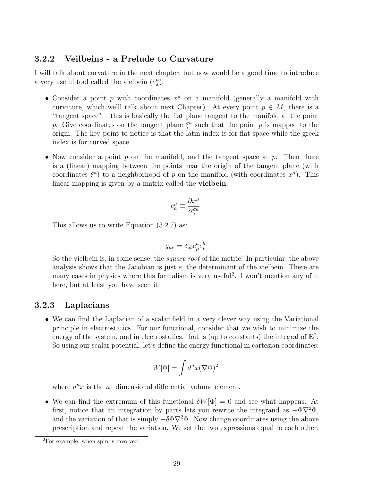#### 3.2.2 Veilbeins - a Prelude to Curvature

I will talk about curvature in the next chapter, but now would be a good time to introduce a very useful tool called the vielbein  $(e_a^{\mu})$ :

- Consider a point p with coordinates  $x^{\mu}$  on a manifold (generally a manifold with curvature, which we'll talk about next Chapter). At every point  $p \in M$ , there is a "tangent space" – this is basically the flat plane tangent to the manifold at the point p. Give coordinates on the tangent plane  $\xi^a$  such that the point p is mapped to the origin. The key point to notice is that the latin index is for flat space while the greek index is for curved space.
- Now consider a point  $p$  on the manifold, and the tangent space at  $p$ . Then there is a (linear) mapping between the points near the origin of the tangent plane (with coordinates  $\xi^a$  to a neighborhood of p on the manifold (with coordinates  $x^{\mu}$ ). This linear mapping is given by a matrix called the vielbein:

$$
e^\mu_a \equiv \frac{\partial x^\mu}{\partial \xi^a}
$$

This allows us to write Equation (3.2.7) as:

$$
g_{\mu\nu} = \delta_{ab} e^a_\mu e^b_\nu
$$

So the vielbein is, in some sense, the *square root* of the metric! In particular, the above analysis shows that the Jacobian is just e, the determinant of the vielbein. There are many cases in physics where this formalism is very useful<sup>2</sup>. I won't mention any of it here, but at least you have seen it.

#### 3.2.3 Laplacians

• We can find the Laplacian of a scalar field in a very clever way using the Variational principle in electrostatics. For our functional, consider that we wish to minimize the energy of the system, and in electrostatics, that is (up to constants) the integral of  $\mathbf{E}^2$ . So using our scalar potential, let's define the energy functional in cartesian coordinates:

$$
W[\Phi] = \int d^n x (\nabla \Phi)^2
$$

where  $d^n x$  is the n-dimensional differential volume element.

• We can find the extremum of this functional  $\delta W[\Phi] = 0$  and see what happens. At first, notice that an integration by parts lets you rewrite the integrand as  $-\Phi \nabla^2 \Phi$ , and the variation of that is simply  $-\delta \Phi \nabla^2 \Phi$ . Now change coordinates using the above prescription and repeat the variation. We set the two expressions equal to each other,

<sup>2</sup>For example, when spin is involved.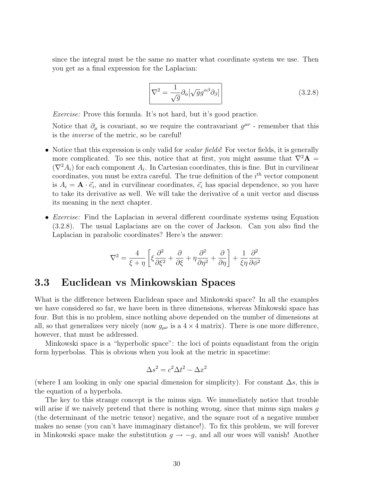since the integral must be the same no matter what coordinate system we use. Then you get as a final expression for the Laplacian:

$$
\nabla^2 = \frac{1}{\sqrt{g}} \partial_\alpha [\sqrt{g} g^{\alpha \beta} \partial_\beta] \tag{3.2.8}
$$

Exercise: Prove this formula. It's not hard, but it's good practice.

Notice that  $\partial_{\mu}$  is covariant, so we require the contravariant  $g^{\mu\nu}$  - remember that this is the inverse of the metric, so be careful!

- Notice that this expression is only valid for *scalar fields*! For vector fields, it is generally more complicated. To see this, notice that at first, you might assume that  $\nabla^2 \mathbf{A} =$  $(\nabla^2 A_i)$  for each component  $A_i$ . In Cartesian coordinates, this is fine. But in curvilinear coordinates, you must be extra careful. The true definition of the  $i<sup>th</sup>$  vector component is  $A_i = \mathbf{A} \cdot \vec{e}_i$ , and in curvilinear coordinates,  $\vec{e}_i$  has spacial dependence, so you have to take its derivative as well. We will take the derivative of a unit vector and discuss its meaning in the next chapter.
- *Exercise:* Find the Laplacian in several different coordinate systems using Equation (3.2.8). The usual Laplacians are on the cover of Jackson. Can you also find the Laplacian in parabolic coordinates? Here's the answer:

$$
\nabla^2=\frac{4}{\xi+\eta}\left[\xi\frac{\partial^2}{\partial\xi^2}+\frac{\partial}{\partial\xi}+\eta\frac{\partial^2}{\partial\eta^2}+\frac{\partial}{\partial\eta}\right]+\frac{1}{\xi\eta}\frac{\partial^2}{\partial\phi^2}
$$

## 3.3 Euclidean vs Minkowskian Spaces

What is the difference between Euclidean space and Minkowski space? In all the examples we have considered so far, we have been in three dimensions, whereas Minkowski space has four. But this is no problem, since nothing above depended on the number of dimensions at all, so that generalizes very nicely (now  $g_{\mu\nu}$  is a  $4 \times 4$  matrix). There is one more difference, however, that must be addressed.

Minkowski space is a "hyperbolic space": the loci of points equadistant from the origin form hyperbolas. This is obvious when you look at the metric in spacetime:

$$
\Delta s^2 = c^2 \Delta t^2 - \Delta x^2
$$

(where I am looking in only one spacial dimension for simplicity). For constant  $\Delta s$ , this is the equation of a hyperbola.

The key to this strange concept is the minus sign. We immediately notice that trouble will arise if we naively pretend that there is nothing wrong, since that minus sign makes q (the determinant of the metric tensor) negative, and the square root of a negative number makes no sense (you can't have immaginary distance!). To fix this problem, we will forever in Minkowski space make the substitution  $g \to -g$ , and all our woes will vanish! Another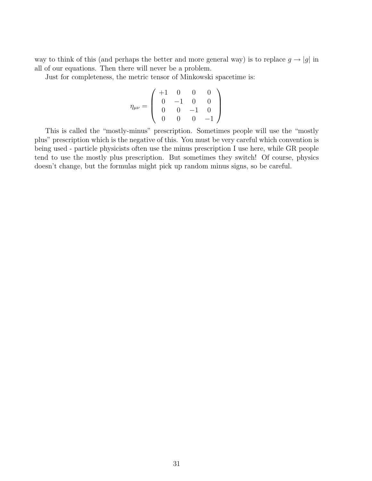way to think of this (and perhaps the better and more general way) is to replace  $g \to |g|$  in all of our equations. Then there will never be a problem.

Just for completeness, the metric tensor of Minkowski spacetime is:

$$
\eta_{\mu\nu} = \left( \begin{array}{cccc} +1 & 0 & 0 & 0 \\ 0 & -1 & 0 & 0 \\ 0 & 0 & -1 & 0 \\ 0 & 0 & 0 & -1 \end{array} \right)
$$

This is called the "mostly-minus" prescription. Sometimes people will use the "mostly plus" prescription which is the negative of this. You must be very careful which convention is being used - particle physicists often use the minus prescription I use here, while GR people tend to use the mostly plus prescription. But sometimes they switch! Of course, physics doesn't change, but the formulas might pick up random minus signs, so be careful.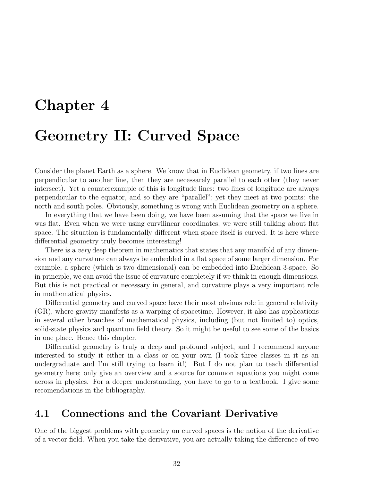# Chapter 4 Geometry II: Curved Space

Consider the planet Earth as a sphere. We know that in Euclidean geometry, if two lines are perpendicular to another line, then they are necessarely parallel to each other (they never intersect). Yet a counterexample of this is longitude lines: two lines of longitude are always perpendicular to the equator, and so they are "parallel"; yet they meet at two points: the north and south poles. Obviously, something is wrong with Euclidean geometry on a sphere.

In everything that we have been doing, we have been assuming that the space we live in was flat. Even when we were using curvilinear coordinates, we were still talking about flat space. The situation is fundamentally different when space itself is curved. It is here where differential geometry truly becomes interesting!

There is a *very* deep theorem in mathematics that states that any manifold of any dimension and any curvature can always be embedded in a flat space of some larger dimension. For example, a sphere (which is two dimensional) can be embedded into Euclidean 3-space. So in principle, we can avoid the issue of curvature completely if we think in enough dimensions. But this is not practical or necessary in general, and curvature plays a very important role in mathematical physics.

Differential geometry and curved space have their most obvious role in general relativity (GR), where gravity manifests as a warping of spacetime. However, it also has applications in several other branches of mathematical physics, including (but not limited to) optics, solid-state physics and quantum field theory. So it might be useful to see some of the basics in one place. Hence this chapter.

Differential geometry is truly a deep and profound subject, and I recommend anyone interested to study it either in a class or on your own (I took three classes in it as an undergraduate and I'm still trying to learn it!) But I do not plan to teach differential geometry here; only give an overview and a source for common equations you might come across in physics. For a deeper understanding, you have to go to a textbook. I give some recomendations in the bibliography.

# 4.1 Connections and the Covariant Derivative

One of the biggest problems with geometry on curved spaces is the notion of the derivative of a vector field. When you take the derivative, you are actually taking the difference of two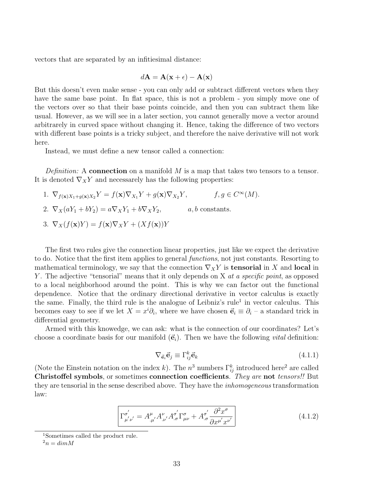vectors that are separated by an infitiesimal distance:

$$
d\mathbf{A} = \mathbf{A}(\mathbf{x} + \epsilon) - \mathbf{A}(\mathbf{x})
$$

But this doesn't even make sense - you can only add or subtract different vectors when they have the same base point. In flat space, this is not a problem - you simply move one of the vectors over so that their base points coincide, and then you can subtract them like usual. However, as we will see in a later section, you cannot generally move a vector around arbitrarely in curved space without changing it. Hence, taking the difference of two vectors with different base points is a tricky subject, and therefore the naive derivative will not work here.

Instead, we must define a new tensor called a connection:

Definition: A connection on a manifold  $M$  is a map that takes two tensors to a tensor. It is denoted  $\nabla_X Y$  and necessarely has the following properties:

1.  $\nabla_{f(\mathbf{x})X_1+g(\mathbf{x})X_2} Y = f(\mathbf{x}) \nabla_{X_1} Y + g(\mathbf{x}) \nabla_{X_2} Y,$   $f, g \in C^{\infty}(M).$ 2.  $\nabla_X(aY_1 + bY_2) = a\nabla_X Y_1 + b\nabla_X Y_2$ , a, b constants. 3.  $\nabla_X(f(\mathbf{x})Y) = f(\mathbf{x})\nabla_X Y + (Xf(\mathbf{x}))Y$ 

The first two rules give the connection linear properties, just like we expect the derivative to do. Notice that the first item applies to general *functions*, not just constants. Resorting to mathematical terminology, we say that the connection  $\nabla_X Y$  is **tensorial** in X and **local** in Y. The adjective "tensorial" means that it only depends on X at a specific point, as opposed to a local neighborhood around the point. This is why we can factor out the functional dependence. Notice that the ordinary directional derivative in vector calculus is exactly the same. Finally, the third rule is the analogue of Leibniz's rule<sup>1</sup> in vector calculus. This becomes easy to see if we let  $X = x^i \partial_i$ , where we have chosen  $\vec{e}_i \equiv \partial_i$  – a standard trick in differential geometry.

Armed with this knowedge, we can ask: what is the connection of our coordinates? Let's choose a coordinate basis for our manifold  $(\vec{e}_i)$ . Then we have the following *vital* definition:

$$
\nabla_{\vec{\mathbf{e}}_i} \vec{\mathbf{e}}_j \equiv \Gamma^k_{ij} \vec{\mathbf{e}}_k \tag{4.1.1}
$$

(Note the Einstein notation on the index k). The  $n^3$  numbers  $\Gamma_{ij}^k$  introduced here<sup>2</sup> are called Christoffel symbols, or sometimes connection coefficients. They are not tensors!! But they are tensorial in the sense described above. They have the *inhomogeneous* transformation law:

$$
\Gamma^{\sigma'}_{\mu'\nu'} = A^{\mu}_{.\mu'} A^{\nu}_{.\nu'} A^{\sigma'}_{.\sigma} \Gamma^{\sigma}_{\mu\nu} + A^{\sigma'}_{.\sigma} \frac{\partial^2 x^{\sigma}}{\partial x^{\mu'} x^{\nu'}} \tag{4.1.2}
$$

<sup>1</sup>Sometimes called the product rule.

 $^{2}n = dim M$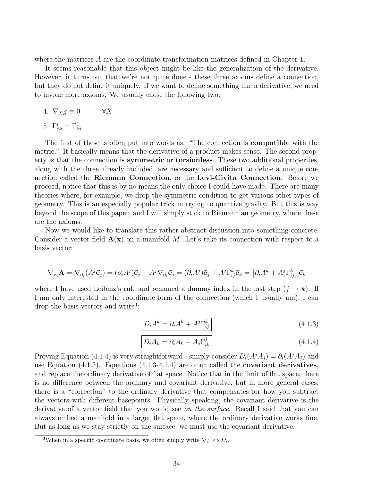where the matrices A are the coordinate transformation matrices defined in Chapter 1.

It seems reasonable that this object might be like the generalization of the derivative. However, it turns out that we're not quite done - these three axioms define a connection, but they do not define it uniquely. If we want to define something like a derivative, we need to invoke more axioms. We usually chose the following two:

4. 
$$
\nabla_X g \equiv 0 \qquad \forall X
$$

5. 
$$
\Gamma^i_{jk} = \Gamma^i_{kj}
$$

The first of these is often put into words as: "The connection is compatible with the metric." It basically means that the derivative of a product makes sense. The second property is that the connection is symmetric or torsionless. These two additional properties, along with the three already included, are necessary and sufficient to define a unique connection called the Riemann Connection, or the Levi-Civita Connection. Before we proceed, notice that this is by no means the only choice I could have made. There are many theories where, for example, we drop the symmetric condition to get various other types of geometry. This is an especially popular trick in trying to quantize gravity. But this is way beyond the scope of this paper, and I will simply stick to Riemannian geometry, where these are the axioms.

Now we would like to translate this rather abstract discussion into something concrete. Consider a vector field  $\mathbf{A}(\mathbf{x})$  on a manifold M. Let's take its connection with respect to a basis vector:

$$
\nabla_{\vec{\mathbf{e}}_i} \mathbf{A} = \nabla_{\vec{\mathbf{e}}_i} (A^j \vec{\mathbf{e}}_j) = (\partial_i A^j) \vec{\mathbf{e}}_j + A^j \nabla_{\vec{\mathbf{e}}_i} \vec{\mathbf{e}}_j = (\partial_i A^j) \vec{\mathbf{e}}_j + A^j \Gamma^k_{ij} \vec{\mathbf{e}}_k = [\partial_i A^k + A^j \Gamma^k_{ij}] \vec{\mathbf{e}}_k
$$

where I have used Leibniz's rule and renamed a dummy index in the last step  $(j \rightarrow k)$ . If I am only interested in the coordinate form of the connection (which I usually am), I can drop the basis vectors and write<sup>3</sup>:

$$
D_i A^k = \partial_i A^k + A^j \Gamma_{ij}^k
$$
\n(4.1.3)

$$
D_i A_k = \partial_i A_k - A_j \Gamma^j_{ik}
$$
\n(4.1.4)

Proving Equation (4.1.4) is very straightforward - simply consider  $D_i(A^jA_j) = \partial_i(A^jA_j)$  and use Equation  $(4.1.3)$ . Equations  $(4.1.3-4.1.4)$  are often called the **covariant derivatives**, and replace the ordinary derivative of flat space. Notice that in the limit of flat space, there is no difference between the ordinary and covariant derivative, but in more general cases, there is a "correction" to the ordinary derivative that compensates for how you subtract the vectors with different basepoints. Physically speaking, the covariant derivative is the derivative of a vector field that you would see on the surface. Recall I said that you can always embed a manifold in a larger flat space, where the ordinary derivative works fine. But as long as we stay strictly on the surface, we must use the covariant derivative.

<sup>&</sup>lt;sup>3</sup>When in a specific coordinate basis, we often simply write  $\nabla_{\partial_i} \Leftrightarrow D_i$ .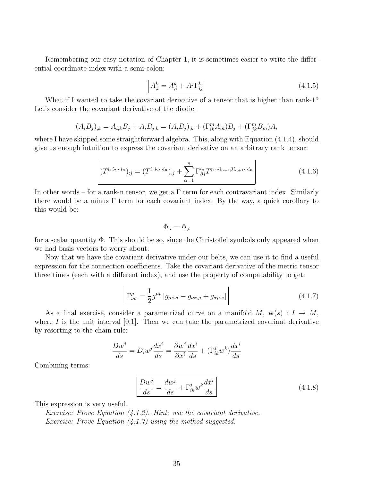Remembering our easy notation of Chapter 1, it is sometimes easier to write the differential coordinate index with a semi-colon:

$$
A_{;i}^{k} = A_{,i}^{k} + A^{j} \Gamma_{ij}^{k}
$$
 (4.1.5)

What if I wanted to take the covariant derivative of a tensor that is higher than rank-1? Let's consider the covariant derivative of the diadic:

$$
(A_i B_j)_{;k} = A_{i;k} B_j + A_i B_{j;k} = (A_i B_j)_{,k} + (\Gamma_{ik}^m A_m) B_j + (\Gamma_{jk}^m B_m) A_i
$$

where I have skipped some straightforward algebra. This, along with Equation (4.1.4), should give us enough intuition to express the covariant derivative on an arbitrary rank tensor:

$$
(T^{i_1 i_2 \cdots i_n})_{;j} = (T^{i_1 i_2 \cdots i_n})_{,j} + \sum_{\alpha=1}^n \Gamma^{i_\alpha}_{\beta j} T^{i_1 \cdots i_{\alpha-1} \beta i_{\alpha+1} \cdots i_n}
$$
(4.1.6)

In other words – for a rank-n tensor, we get a  $\Gamma$  term for each contravariant index. Similarly there would be a minus  $\Gamma$  term for each covariant index. By the way, a quick corollary to this would be:

$$
\Phi_{;i}=\Phi_{,i}
$$

for a scalar quantity Φ. This should be so, since the Christoffel symbols only appeared when we had basis vectors to worry about.

Now that we have the covariant derivative under our belts, we can use it to find a useful expression for the connection coefficients. Take the covariant derivative of the metric tensor three times (each with a different index), and use the property of compatability to get:

$$
\Gamma^{\rho}_{\nu\sigma} = \frac{1}{2} g^{\mu\rho} \left[ g_{\mu\nu,\sigma} - g_{\nu\sigma,\mu} + g_{\sigma\mu,\nu} \right]
$$
\n(4.1.7)

As a final exercise, consider a parametrized curve on a manifold M,  $\mathbf{w}(s) : I \to M$ , where  $I$  is the unit interval  $[0,1]$ . Then we can take the parametrized covariant derivative by resorting to the chain rule:

$$
\frac{Dw^j}{ds} = D_i w^j \frac{dx^i}{ds} = \frac{\partial w^j}{\partial x^i} \frac{dx^i}{ds} + (\Gamma^j_{ik} w^k) \frac{dx^i}{ds}
$$

Combining terms:

$$
\frac{Dw^j}{ds} = \frac{dw^j}{ds} + \Gamma^j_{ik} w^k \frac{dx^i}{ds}
$$
\n(4.1.8)

This expression is very useful.

*Exercise: Prove Equation*  $(4.1.2)$ *. Hint: use the covariant derivative.* Exercise: Prove Equation (4.1.7) using the method suggested.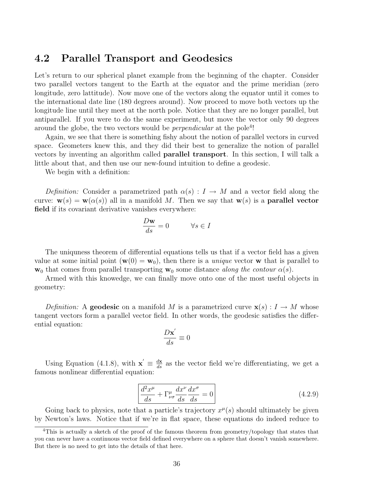# 4.2 Parallel Transport and Geodesics

Let's return to our spherical planet example from the beginning of the chapter. Consider two parallel vectors tangent to the Earth at the equator and the prime meridian (zero longitude, zero lattitude). Now move one of the vectors along the equator until it comes to the international date line (180 degrees around). Now proceed to move both vectors up the longitude line until they meet at the north pole. Notice that they are no longer parallel, but antiparallel. If you were to do the same experiment, but move the vector only 90 degrees around the globe, the two vectors would be *perpendicular* at the pole<sup>4</sup>!

Again, we see that there is something fishy about the notion of parallel vectors in curved space. Geometers knew this, and they did their best to generalize the notion of parallel vectors by inventing an algorithm called parallel transport. In this section, I will talk a little about that, and then use our new-found intuition to define a geodesic.

We begin with a definition:

Definition: Consider a parametrized path  $\alpha(s) : I \to M$  and a vector field along the curve:  $\mathbf{w}(s) = \mathbf{w}(\alpha(s))$  all in a manifold M. Then we say that  $\mathbf{w}(s)$  is a **parallel vector** field if its covariant derivative vanishes everywhere:

$$
\frac{D\mathbf{w}}{ds} = 0 \qquad \forall s \in I
$$

The uniquness theorem of differential equations tells us that if a vector field has a given value at some initial point  $(\mathbf{w}(0) = \mathbf{w}_0)$ , then there is a *unique* vector **w** that is parallel to  $\mathbf{w}_0$  that comes from parallel transporting  $\mathbf{w}_0$  some distance along the contour  $\alpha(s)$ .

Armed with this knowedge, we can finally move onto one of the most useful objects in geometry:

Definition: A geodesic on a manifold M is a parametrized curve  $\mathbf{x}(s): I \to M$  whose tangent vectors form a parallel vector field. In other words, the geodesic satisfies the differential equation:

$$
\frac{D\mathbf{x}'}{ds} \equiv 0
$$

Using Equation (4.1.8), with  $\mathbf{x}' \equiv \frac{d\mathbf{x}}{ds}$  as the vector field we're differentiating, we get a famous nonlinear differential equation:

$$
\frac{d^2x^{\mu}}{ds} + \Gamma^{\mu}_{\nu\sigma} \frac{dx^{\nu}}{ds} \frac{dx^{\sigma}}{ds} = 0
$$
\n(4.2.9)

Going back to physics, note that a particle's trajectory  $x^{\mu}(s)$  should ultimately be given by Newton's laws. Notice that if we're in flat space, these equations do indeed reduce to

<sup>&</sup>lt;sup>4</sup>This is actually a sketch of the proof of the famous theorem from geometry/topology that states that you can never have a continuous vector field defined everywhere on a sphere that doesn't vanish somewhere. But there is no need to get into the details of that here.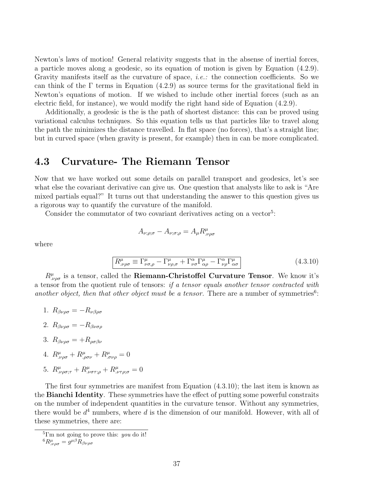Newton's laws of motion! General relativity suggests that in the absense of inertial forces, a particle moves along a geodesic, so its equation of motion is given by Equation (4.2.9). Gravity manifests itself as the curvature of space, *i.e.*: the connection coefficients. So we can think of the  $\Gamma$  terms in Equation (4.2.9) as source terms for the gravitational field in Newton's equations of motion. If we wished to include other inertial forces (such as an electric field, for instance), we would modify the right hand side of Equation (4.2.9).

Additionally, a geodesic is the is the path of shortest distance: this can be proved using variational calculus techniques. So this equation tells us that particles like to travel along the path the minimizes the distance travelled. In flat space (no forces), that's a straight line; but in curved space (when gravity is present, for example) then in can be more complicated.

### 4.3 Curvature- The Riemann Tensor

Now that we have worked out some details on parallel transport and geodesics, let's see what else the covariant derivative can give us. One question that analysts like to ask is "Are mixed partials equal?" It turns out that understanding the answer to this question gives us a rigorous way to quantify the curvature of the manifold.

Consider the commutator of two covariant derivatives acting on a vector<sup>5</sup>:

$$
A_{\nu;\rho;\sigma} - A_{\nu;\sigma;\rho} = A_{\mu} R^{\mu}_{.\nu\rho\sigma}
$$

where

$$
R^{\mu}_{.\nu\rho\sigma} \equiv \Gamma^{\mu}_{\nu\sigma,\rho} - \Gamma^{\mu}_{\nu\rho,\sigma} + \Gamma^{\alpha}_{\nu\sigma} \Gamma^{\mu}_{\alpha\rho} - \Gamma^{\alpha}_{\nu\rho} \Gamma^{\mu}_{\alpha\sigma}
$$
(4.3.10)

 $R^{\mu}_{\nu\rho\sigma}$  is a tensor, called the **Riemann-Christoffel Curvature Tensor**. We know it's a tensor from the quotient rule of tensors: if a tensor equals another tensor contracted with another object, then that other object must be a tensor. There are a number of symmetries<sup>6</sup>:

- 1.  $R_{\beta\nu\rho\sigma} = -R_{\nu\beta\rho\sigma}$
- 2.  $R_{\beta\nu\rho\sigma} = -R_{\beta\nu\sigma\rho}$
- 3.  $R_{\beta\nu\rho\sigma} = +R_{\rho\sigma\beta\nu}$
- 4.  $R^{\mu}_{\nu\rho\sigma} + R^{\mu}_{\rho\sigma\nu} + R^{\mu}_{\sigma\nu\rho} = 0$
- 5.  $R^{\mu}_{.\nu\rho\sigma;\tau} + R^{\mu}_{.\nu\sigma\tau;\rho} + R^{\mu}_{.\nu\tau\rho;\sigma} = 0$

The first four symmetries are manifest from Equation (4.3.10); the last item is known as the **Bianchi Identity**. These symmetries have the effect of putting some powerful constraits on the number of independent quantities in the curvature tensor. Without any symmetries, there would be  $d^4$  numbers, where d is the dimension of our manifold. However, with all of these symmetries, there are:

<sup>5</sup>I'm not going to prove this: *you* do it!

 $^{6}R^{\mu}_{.\nu\rho\sigma}=g^{\mu\beta}R_{\beta\nu\rho\sigma}$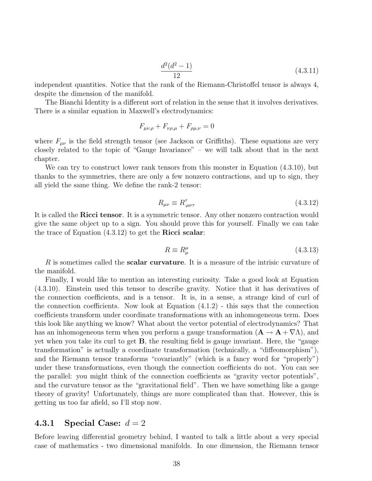$$
\frac{d^2(d^2-1)}{12} \tag{4.3.11}
$$

independent quantities. Notice that the rank of the Riemann-Christoffel tensor is always 4, despite the dimension of the manifold.

The Bianchi Identity is a different sort of relation in the sense that it involves derivatives. There is a similar equation in Maxwell's electrodynamics:

$$
F_{\mu\nu,\rho} + F_{\nu\rho,\mu} + F_{\rho\mu,\nu} = 0
$$

where  $F_{\mu\nu}$  is the field strength tensor (see Jackson or Griffiths). These equations are very closely related to the topic of "Gauge Invariance" – we will talk about that in the next chapter.

We can try to construct lower rank tensors from this monster in Equation (4.3.10), but thanks to the symmetries, there are only a few nonzero contractions, and up to sign, they all yield the same thing. We define the rank-2 tensor:

$$
R_{\mu\nu} \equiv R^{\tau}_{.\mu\nu\tau} \tag{4.3.12}
$$

It is called the Ricci tensor. It is a symmetric tensor. Any other nonzero contraction would give the same object up to a sign. You should prove this for yourself. Finally we can take the trace of Equation  $(4.3.12)$  to get the **Ricci scalar**:

$$
R \equiv R^{\mu}_{\mu} \tag{4.3.13}
$$

 $R$  is sometimes called the **scalar curvature**. It is a measure of the intrisic curvature of the manifold.

Finally, I would like to mention an interesting curiosity. Take a good look at Equation (4.3.10). Einstein used this tensor to describe gravity. Notice that it has derivatives of the connection coefficients, and is a tensor. It is, in a sense, a strange kind of curl of the connection coefficients. Now look at Equation (4.1.2) - this says that the connection coefficients transform under coordinate transformations with an inhomogeneous term. Does this look like anything we know? What about the vector potential of electrodynamics? That has an inhomogeneous term when you perform a gauge transformation  $(A \to A + \nabla \Lambda)$ , and yet when you take its curl to get B, the resulting field is gauge invariant. Here, the "gauge transformation" is actually a coordinate transformation (technically, a "diffeomorphism"), and the Riemann tensor transforms "covariantly" (which is a fancy word for "properly") under these transformations, even though the connection coefficients do not. You can see the parallel: you might think of the connection coefficients as "gravity vector potentials", and the curvature tensor as the "gravitational field". Then we have something like a gauge theory of gravity! Unfortunately, things are more complicated than that. However, this is getting us too far afield, so I'll stop now.

### 4.3.1 Special Case:  $d = 2$

Before leaving differential geometry behind, I wanted to talk a little about a very special case of mathematics - two dimensional manifolds. In one dimension, the Riemann tensor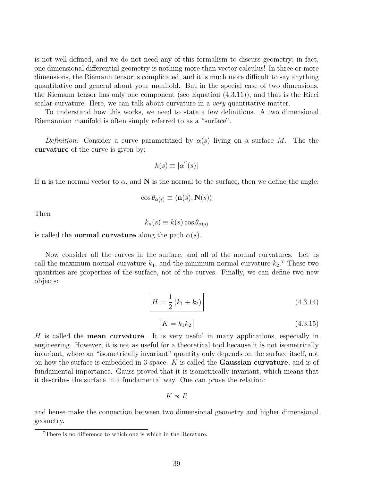is not well-defined, and we do not need any of this formalism to discuss geometry; in fact, one dimensional differential geometry is nothing more than vector calculus! In three or more dimensions, the Riemann tensor is complicated, and it is much more difficult to say anything quantitative and general about your manifold. But in the special case of two dimensions, the Riemann tensor has only one component (see Equation (4.3.11)), and that is the Ricci scalar curvature. Here, we can talk about curvature in a *very* quantitative matter.

To understand how this works, we need to state a few definitions. A two dimensional Riemannian manifold is often simply referred to as a "surface".

Definition: Consider a curve parametrized by  $\alpha(s)$  living on a surface M. The the curvature of the curve is given by:

$$
k(s) \equiv |\alpha''(s)|
$$

If **n** is the normal vector to  $\alpha$ , and **N** is the normal to the surface, then we define the angle:

$$
\cos \theta_{\alpha(s)} \equiv \langle \mathbf{n}(s), \mathbf{N}(s) \rangle
$$

Then

$$
k_n(s) \equiv k(s) \cos \theta_{\alpha(s)}
$$

is called the **normal curvature** along the path  $\alpha(s)$ .

Now consider all the curves in the surface, and all of the normal curvatures. Let us call the maximum normal curvature  $k_1$ , and the minimum normal curvature  $k_2$ <sup>7</sup>. These two quantities are properties of the surface, not of the curves. Finally, we can define two new objects:

$$
H = \frac{1}{2} (k_1 + k_2)
$$
 (4.3.14)

$$
K = k_1 k_2 \tag{4.3.15}
$$

H is called the **mean curvature**. It is very useful in many applications, especially in engineering. However, it is not as useful for a theoretical tool because it is not isometrically invariant, where an "isometrically invariant" quantity only depends on the surface itself, not on how the surface is embedded in 3-space.  $K$  is called the **Gaussian curvature**, and is of fundamental importance. Gauss proved that it is isometrically invariant, which means that it describes the surface in a fundamental way. One can prove the relation:

$$
K \propto R
$$

and hense make the connection between two dimensional geometry and higher dimensional geometry.

<sup>7</sup>There is no difference to which one is which in the literature.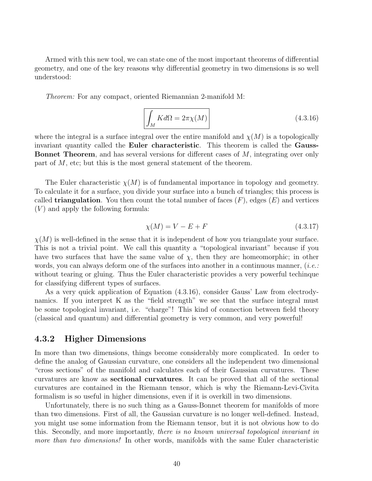Armed with this new tool, we can state one of the most important theorems of differential geometry, and one of the key reasons why differential geometry in two dimensions is so well understood:

Theorem: For any compact, oriented Riemannian 2-manifold M:

$$
\int_{M} K d\Omega = 2\pi \chi(M) \tag{4.3.16}
$$

where the integral is a surface integral over the entire manifold and  $\chi(M)$  is a topologically invariant quantity called the **Euler characteristic**. This theorem is called the **Gauss-Bonnet Theorem**, and has several versions for different cases of  $M$ , integrating over only part of  $M$ , etc; but this is the most general statement of the theorem.

The Euler characteristic  $\chi(M)$  is of fundamental importance in topology and geometry. To calculate it for a surface, you divide your surface into a bunch of triangles; this process is called **triangulation**. You then count the total number of faces  $(F)$ , edges  $(E)$  and vertices  $(V)$  and apply the following formula:

$$
\chi(M) = V - E + F \tag{4.3.17}
$$

 $\chi(M)$  is well-defined in the sense that it is independent of how you triangulate your surface. This is not a trivial point. We call this quantity a "topological invariant" because if you have two surfaces that have the same value of  $\chi$ , then they are homeomorphic; in other words, you can always deform one of the surfaces into another in a continuous manner,  $(i.e.:$ without tearing or gluing. Thus the Euler characteristic provides a very powerful techinque for classifying different types of surfaces.

As a very quick application of Equation (4.3.16), consider Gauss' Law from electrodynamics. If you interpret K as the "field strength" we see that the surface integral must be some topological invariant, i.e. "charge"! This kind of connection between field theory (classical and quantum) and differential geometry is very common, and very powerful!

#### 4.3.2 Higher Dimensions

In more than two dimensions, things become considerably more complicated. In order to define the analog of Gaussian curvature, one considers all the independent two dimensional "cross sections" of the manifold and calculates each of their Gaussian curvatures. These curvatures are know as sectional curvatures. It can be proved that all of the sectional curvatures are contained in the Riemann tensor, which is why the Riemann-Levi-Civita formalism is so useful in higher dimensions, even if it is overkill in two dimensions.

Unfortunately, there is no such thing as a Gauss-Bonnet theorem for manifolds of more than two dimensions. First of all, the Gaussian curvature is no longer well-defined. Instead, you might use some information from the Riemann tensor, but it is not obvious how to do this. Secondly, and more importantly, there is no known universal topological invariant in more than two dimensions! In other words, manifolds with the same Euler characteristic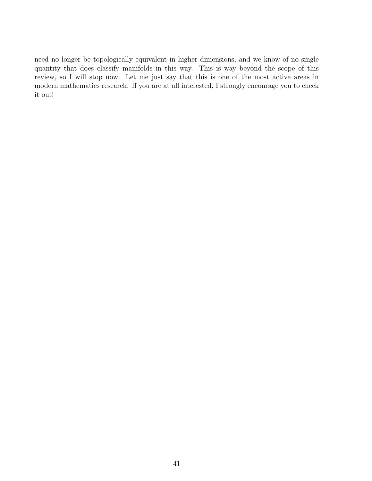need no longer be topologically equivalent in higher dimensions, and we know of no single quantity that does classify manifolds in this way. This is way beyond the scope of this review, so I will stop now. Let me just say that this is one of the most active areas in modern mathematics research. If you are at all interested, I strongly encourage you to check it out!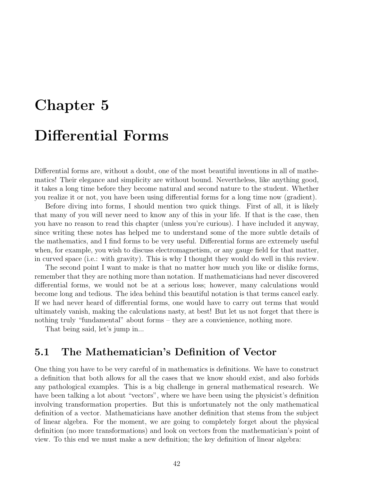# Chapter 5 Differential Forms

Differential forms are, without a doubt, one of the most beautiful inventions in all of mathematics! Their elegance and simplicity are without bound. Nevertheless, like anything good, it takes a long time before they become natural and second nature to the student. Whether you realize it or not, you have been using differential forms for a long time now (gradient).

Before diving into forms, I should mention two quick things. First of all, it is likely that many of you will never need to know any of this in your life. If that is the case, then you have no reason to read this chapter (unless you're curious). I have included it anyway, since writing these notes has helped me to understand some of the more subtle details of the mathematics, and I find forms to be very useful. Differential forms are extremely useful when, for example, you wish to discuss electromagnetism, or any gauge field for that matter, in curved space (i.e.: with gravity). This is why I thought they would do well in this review.

The second point I want to make is that no matter how much you like or dislike forms, remember that they are nothing more than notation. If mathematicians had never discovered differential forms, we would not be at a serious loss; however, many calculations would become long and tedious. The idea behind this beautiful notation is that terms cancel early. If we had never heard of differential forms, one would have to carry out terms that would ultimately vanish, making the calculations nasty, at best! But let us not forget that there is nothing truly "fundamental" about forms – they are a convienience, nothing more.

That being said, let's jump in...

# 5.1 The Mathematician's Definition of Vector

One thing you have to be very careful of in mathematics is definitions. We have to construct a definition that both allows for all the cases that we know should exist, and also forbids any pathological examples. This is a big challenge in general mathematical research. We have been talking a lot about "vectors", where we have been using the physicist's definition involving transformation properties. But this is unfortunately not the only mathematical definition of a vector. Mathematicians have another definition that stems from the subject of linear algebra. For the moment, we are going to completely forget about the physical definition (no more transformations) and look on vectors from the mathematician's point of view. To this end we must make a new definition; the key definition of linear algebra: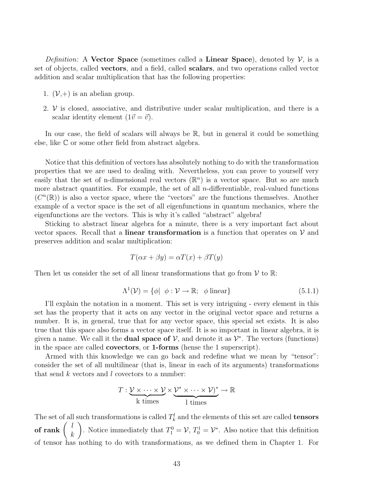*Definition:* A Vector Space (sometimes called a Linear Space), denoted by  $V$ , is a set of objects, called vectors, and a field, called scalars, and two operations called vector addition and scalar multiplication that has the following properties:

- 1.  $(\mathcal{V},+)$  is an abelian group.
- 2.  $\mathcal V$  is closed, associative, and distributive under scalar multiplication, and there is a scalar identity element  $(1\vec{v} = \vec{v})$ .

In our case, the field of scalars will always be R, but in general it could be something else, like C or some other field from abstract algebra.

Notice that this definition of vectors has absolutely nothing to do with the transformation properties that we are used to dealing with. Nevertheless, you can prove to yourself very easily that the set of n-dimensional real vectors  $(\mathbb{R}^n)$  is a vector space. But so are much more abstract quantities. For example, the set of all n-differentiable, real-valued functions  $(C^n(\mathbb{R}))$  is also a vector space, where the "vectors" are the functions themselves. Another example of a vector space is the set of all eigenfunctions in quantum mechanics, where the eigenfunctions are the vectors. This is why it's called "abstract" algebra!

Sticking to abstract linear algebra for a minute, there is a very important fact about vector spaces. Recall that a **linear transformation** is a function that operates on  $V$  and preserves addition and scalar multiplication:

$$
T(\alpha x + \beta y) = \alpha T(x) + \beta T(y)
$$

Then let us consider the set of all linear transformations that go from  $V$  to  $\mathbb{R}$ :

$$
\Lambda^{1}(\mathcal{V}) = \{ \phi \mid \phi : \mathcal{V} \to \mathbb{R}; \phi \text{ linear} \}
$$
\n(5.1.1)

I'll explain the notation in a moment. This set is very intriguing - every element in this set has the property that it acts on any vector in the original vector space and returns a number. It is, in general, true that for any vector space, this special set exists. It is also true that this space also forms a vector space itself. It is so important in linear algebra, it is given a name. We call it the **dual space of**  $V$ , and denote it as  $V^*$ . The vectors (functions) in the space are called covectors, or 1-forms (hense the 1 superscript).

Armed with this knowledge we can go back and redefine what we mean by "tensor": consider the set of all multilinear (that is, linear in each of its arguments) transformations that send  $k$  vectors and  $l$  covectors to a number:

$$
T: \underbrace{\mathcal{V} \times \cdots \times \mathcal{V}}_{k \text{ times}} \times \underbrace{\mathcal{V}^* \times \cdots \times \mathcal{V}}_{l \text{ times}})^* \to \mathbb{R}
$$

The set of all such transformations is called  $T_k^l$  and the elements of this set are called **tensors**  $\text{ of } \text{ rank} \left( \begin{array}{c} l \ k \end{array} \right)$ - . Notice immediately that  $T_1^0 = \mathcal{V}$ ,  $T_0^1 = \mathcal{V}^*$ . Also notice that this definition of tensor has nothing to do with transformations, as we defined them in Chapter 1. For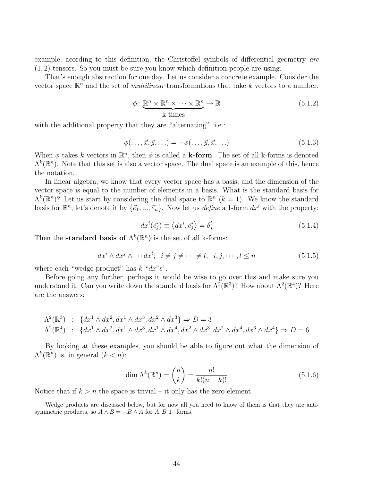example, acording to this definition, the Christoffel symbols of differential geometry are (1, 2) tensors. So you must be sure you know which definition people are using.

That's enough abstraction for one day. Let us consider a concrete example. Consider the vector space  $\mathbb{R}^n$  and the set of *multilinear* transformations that take k vectors to a number:

$$
\phi: \underbrace{\mathbb{R}^n \times \mathbb{R}^n \times \cdots \times \mathbb{R}^n}_{k \text{ times}} \to \mathbb{R}
$$
\n
$$
(5.1.2)
$$

with the additional property that they are "alternating", i.e.:

$$
\phi(\ldots, \vec{x}, \vec{y}, \ldots) = -\phi(\ldots, \vec{y}, \vec{x}, \ldots) \tag{5.1.3}
$$

When  $\phi$  takes k vectors in  $\mathbb{R}^n$ , then  $\phi$  is called a **k-form**. The set of all k-forms is denoted  $\Lambda^k(\mathbb{R}^n)$ . Note that this set is also a vector space. The dual space is an example of this, hence the notation.

In linear algebra, we know that every vector space has a basis, and the dimension of the vector space is equal to the number of elements in a basis. What is the standard basis for  $\Lambda^k(\mathbb{R}^n)$ ? Let us start by considering the dual space to  $\mathbb{R}^n$  ( $k=1$ ). We know the standard basis for  $\mathbb{R}^n$ ; let's denote it by  $\{\vec{e}_1, ..., \vec{e}_n\}$ . Now let us *define* a 1-form  $dx^i$  with the property:

$$
dx^{i}(\vec{e_{j}}) \equiv \langle dx^{i}, \vec{e_{j}} \rangle = \delta_{j}^{i} \tag{5.1.4}
$$

Then the **standard basis of**  $\Lambda^k(\mathbb{R}^n)$  is the set of all k-forms:

$$
dx^{i} \wedge dx^{j} \wedge \cdots dx^{l}; \quad i \neq j \neq \cdots \neq l; \quad i, j, \cdots, l \leq n
$$
\n
$$
(5.1.5)
$$

where each "wedge product" has  $k$  " $dx$ "s<sup>1</sup>.

Before going any further, perhaps it would be wise to go over this and make sure you understand it. Can you write down the standard basis for  $\Lambda^2(\mathbb{R}^3)$ ? How about  $\Lambda^2(\mathbb{R}^4)$ ? Here are the answers:

$$
\Lambda^{2}(\mathbb{R}^{3}) : \{dx^{1} \wedge dx^{2}, dx^{1} \wedge dx^{3}, dx^{2} \wedge dx^{3}\} \Rightarrow D = 3
$$
  

$$
\Lambda^{2}(\mathbb{R}^{4}) : \{dx^{1} \wedge dx^{2}, dx^{1} \wedge dx^{3}, dx^{1} \wedge dx^{4}, dx^{2} \wedge dx^{3}, dx^{2} \wedge dx^{4}, dx^{3} \wedge dx^{4}\} \Rightarrow D = 6
$$

By looking at these examples, you should be able to figure out what the dimension of  $\Lambda^k(\mathbb{R}^n)$  is, in general  $(k < n)$ :

$$
\dim \Lambda^k(\mathbb{R}^n) = \binom{n}{k} = \frac{n!}{k!(n-k)!}
$$
\n(5.1.6)

Notice that if  $k>n$  the space is trivial – it only has the zero element.

<sup>1</sup>Wedge products are discussed below, but for now all you need to know of them is that they are antisymmetric products, so  $A \wedge B = -B \wedge A$  for  $A, B$  1–forms.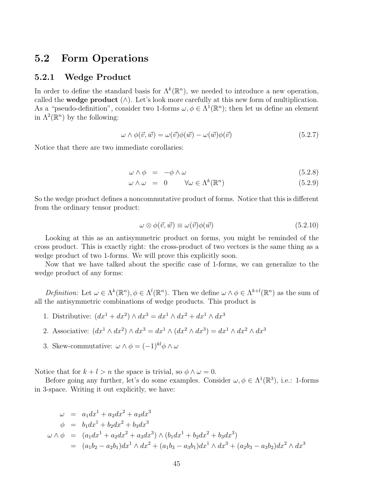## 5.2 Form Operations

#### 5.2.1 Wedge Product

In order to define the standard basis for  $\Lambda^k(\mathbb{R}^n)$ , we needed to introduce a new operation, called the **wedge product**  $(\wedge)$ . Let's look more carefully at this new form of multiplication. As a "pseudo-definition", consider two 1-forms  $\omega, \phi \in \Lambda^1(\mathbb{R}^n)$ ; then let us define an element in  $\Lambda^2(\mathbb{R}^n)$  by the following:

$$
\omega \wedge \phi(\vec{v}, \vec{w}) = \omega(\vec{v})\phi(\vec{w}) - \omega(\vec{w})\phi(\vec{v})
$$
\n(5.2.7)

Notice that there are two immediate corollaries:

$$
\omega \wedge \phi = -\phi \wedge \omega \tag{5.2.8}
$$

$$
\omega \wedge \omega = 0 \qquad \forall \omega \in \Lambda^k(\mathbb{R}^n) \tag{5.2.9}
$$

So the wedge product defines a noncommutative product of forms. Notice that this is different from the ordinary tensor product:

$$
\omega \otimes \phi(\vec{v}, \vec{w}) \equiv \omega(\vec{v})\phi(\vec{w}) \tag{5.2.10}
$$

Looking at this as an antisymmetric product on forms, you might be reminded of the cross product. This is exactly right: the cross-product of two vectors is the same thing as a wedge product of two 1-forms. We will prove this explicitly soon.

Now that we have talked about the specific case of 1-forms, we can generalize to the wedge product of any forms:

Definition: Let  $\omega \in \Lambda^k(\mathbb{R}^n)$ ,  $\phi \in \Lambda^l(\mathbb{R}^n)$ . Then we define  $\omega \wedge \phi \in \Lambda^{k+l}(\mathbb{R}^n)$  as the sum of all the antisymmetric combinations of wedge products. This product is

- 1. Distributive:  $(dx^1 + dx^2) \wedge dx^3 = dx^1 \wedge dx^2 + dx^1 \wedge dx^3$
- 2. Associative:  $(dx^1 \wedge dx^2) \wedge dx^3 = dx^1 \wedge (dx^2 \wedge dx^3) = dx^1 \wedge dx^2 \wedge dx^3$
- 3. Skew-commutative:  $\omega \wedge \phi = (-1)^{kl} \phi \wedge \omega$

Notice that for  $k + l > n$  the space is trivial, so  $\phi \wedge \omega = 0$ .

Before going any further, let's do some examples. Consider  $\omega, \phi \in \Lambda^1(\mathbb{R}^3)$ , i.e.: 1-forms in 3-space. Writing it out explicitly, we have:

$$
\omega = a_1 dx^1 + a_2 dx^2 + a_3 dx^3
$$
  
\n
$$
\phi = b_1 dx^1 + b_2 dx^2 + b_3 dx^3
$$
  
\n
$$
\omega \wedge \phi = (a_1 dx^1 + a_2 dx^2 + a_3 dx^3) \wedge (b_1 dx^1 + b_2 dx^2 + b_3 dx^3)
$$
  
\n
$$
= (a_1 b_2 - a_2 b_1) dx^1 \wedge dx^2 + (a_1 b_3 - a_3 b_1) dx^1 \wedge dx^3 + (a_2 b_3 - a_3 b_2) dx^2 \wedge dx^3
$$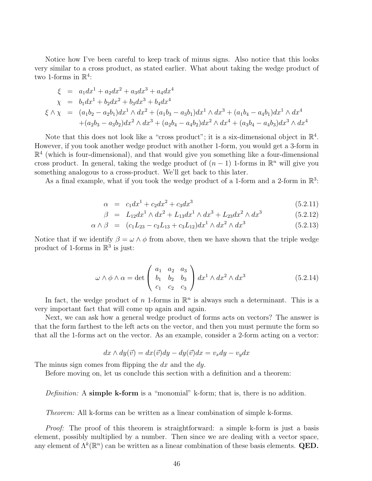Notice how I've been careful to keep track of minus signs. Also notice that this looks very similar to a cross product, as stated earlier. What about taking the wedge product of two 1-forms in  $\mathbb{R}^4$ :

$$
\xi = a_1 dx^1 + a_2 dx^2 + a_3 dx^3 + a_4 dx^4
$$
\n
$$
\chi = b_1 dx^1 + b_2 dx^2 + b_3 dx^3 + b_4 dx^4
$$
\n
$$
\xi \wedge \chi = (a_1 b_2 - a_2 b_1) dx^1 \wedge dx^2 + (a_1 b_3 - a_3 b_1) dx^1 \wedge dx^3 + (a_1 b_4 - a_4 b_1) dx^1 \wedge dx^4
$$
\n
$$
+ (a_2 b_3 - a_3 b_2) dx^2 \wedge dx^3 + (a_2 b_4 - a_4 b_2) dx^2 \wedge dx^4 + (a_3 b_4 - a_4 b_3) dx^3 \wedge dx^4
$$

Note that this does not look like a "cross product"; it is a six-dimensional object in  $\mathbb{R}^4$ . However, if you took another wedge product with another 1-form, you would get a 3-form in  $\mathbb{R}^4$  (which is four-dimensional), and that would give you something like a four-dimensional cross product. In general, taking the wedge product of  $(n - 1)$  1-forms in  $\mathbb{R}^n$  will give you something analogous to a cross-product. We'll get back to this later.

As a final example, what if you took the wedge product of a 1-form and a 2-form in  $\mathbb{R}^3$ :

$$
\alpha = c_1 dx^1 + c_2 dx^2 + c_3 dx^3 \tag{5.2.11}
$$

$$
\beta = L_{12}dx^1 \wedge dx^2 + L_{13}dx^1 \wedge dx^3 + L_{23}dx^2 \wedge dx^3 \qquad (5.2.12)
$$

$$
\alpha \wedge \beta = (c_1 L_{23} - c_2 L_{13} + c_3 L_{12}) dx^1 \wedge dx^2 \wedge dx^3 \qquad (5.2.13)
$$

Notice that if we identify  $\beta = \omega \wedge \phi$  from above, then we have shown that the triple wedge product of 1-forms in  $\mathbb{R}^3$  is just:

$$
\omega \wedge \phi \wedge \alpha = \det \begin{pmatrix} a_1 & a_2 & a_3 \\ b_1 & b_2 & b_3 \\ c_1 & c_2 & c_3 \end{pmatrix} dx^1 \wedge dx^2 \wedge dx^3 \qquad (5.2.14)
$$

In fact, the wedge product of n 1-forms in  $\mathbb{R}^n$  is always such a determinant. This is a very important fact that will come up again and again.

Next, we can ask how a general wedge product of forms acts on vectors? The answer is that the form farthest to the left acts on the vector, and then you must permute the form so that all the 1-forms act on the vector. As an example, consider a 2-form acting on a vector:

$$
dx \wedge dy(\vec{v}) = dx(\vec{v})dy - dy(\vec{v})dx = v_x dy - v_y dx
$$

The minus sign comes from flipping the  $dx$  and the  $dy$ .

Before moving on, let us conclude this section with a definition and a theorem:

*Definition:* A simple k-form is a "monomial" k-form; that is, there is no addition.

Theorem: All k-forms can be written as a linear combination of simple k-forms.

Proof: The proof of this theorem is straightforward: a simple k-form is just a basis element, possibly multiplied by a number. Then since we are dealing with a vector space, any element of  $\Lambda^k(\mathbb{R}^n)$  can be written as a linear combination of these basis elements. QED.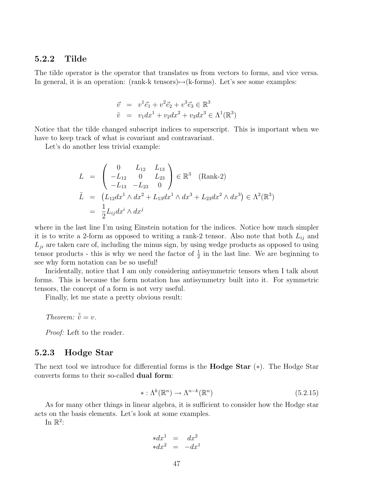#### 5.2.2 Tilde

The tilde operator is the operator that translates us from vectors to forms, and vice versa. In general, it is an operation:  $(rank-k \text{ tensors}) \rightarrow (k-forms)$ . Let's see some examples:

$$
\vec{v} = v^1 \vec{e}_1 + v^2 \vec{e}_2 + v^3 \vec{e}_3 \in \mathbb{R}^3
$$
  

$$
\tilde{v} = v_1 dx^1 + v_2 dx^2 + v_3 dx^3 \in \Lambda^1(\mathbb{R}^3)
$$

Notice that the tilde changed subscript indices to superscript. This is important when we have to keep track of what is covariant and contravariant.

Let's do another less trivial example:

$$
L = \begin{pmatrix} 0 & L_{12} & L_{13} \\ -L_{12} & 0 & L_{23} \\ -L_{13} & -L_{23} & 0 \end{pmatrix} \in \mathbb{R}^3 \quad (\text{Rank-2})
$$
  
\n
$$
\tilde{L} = (L_{12}dx^1 \wedge dx^2 + L_{13}dx^1 \wedge dx^3 + L_{23}dx^2 \wedge dx^3) \in \Lambda^2(\mathbb{R}^3)
$$
  
\n
$$
= \frac{1}{2}L_{ij}dx^i \wedge dx^j
$$

where in the last line I'm using Einstein notation for the indices. Notice how much simpler it is to write a 2-form as opposed to writing a rank-2 tensor. Also note that both  $L_{ij}$  and  $L_{ji}$  are taken care of, including the minus sign, by using wedge products as opposed to using tensor products - this is why we need the factor of  $\frac{1}{2}$  in the last line. We are beginning to see why form notation can be so useful!

Incidentally, notice that I am only considering antisymmetric tensors when I talk about forms. This is because the form notation has antisymmetry built into it. For symmetric tensors, the concept of a form is not very useful.

Finally, let me state a pretty obvious result:

Theorem:  $\tilde{\tilde{v}} = v$ .

Proof: Left to the reader.

#### 5.2.3 Hodge Star

The next tool we introduce for differential forms is the Hodge Star (∗). The Hodge Star converts forms to their so-called dual form:

$$
* : \Lambda^k(\mathbb{R}^n) \to \Lambda^{n-k}(\mathbb{R}^n)
$$
\n
$$
(5.2.15)
$$

As for many other things in linear algebra, it is sufficient to consider how the Hodge star acts on the basis elements. Let's look at some examples.

In  $\mathbb{R}^2$ :

$$
\begin{array}{rcl}\n *dx^1 & = & dx^2 \\
*dx^2 & = & -dx^1\n \end{array}
$$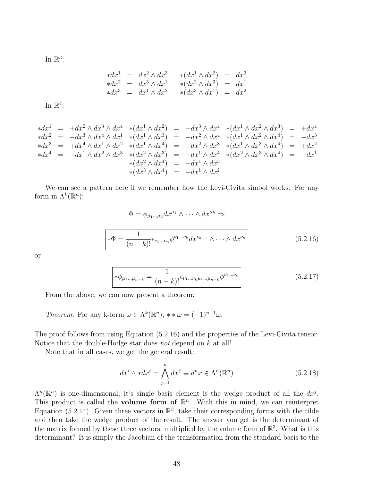In  $\mathbb{R}^3$ :

$$
\ast dx^{1} = dx^{2} \wedge dx^{3} \quad \ast (dx^{1} \wedge dx^{2}) = dx^{3}
$$
  
\n
$$
\ast dx^{2} = dx^{3} \wedge dx^{1} \quad \ast (dx^{2} \wedge dx^{3}) = dx^{1}
$$
  
\n
$$
\ast dx^{3} = dx^{1} \wedge dx^{2} \quad \ast (dx^{3} \wedge dx^{1}) = dx^{2}
$$

In  $\mathbb{R}^4$ :

$$
\ast dx^{1} = +dx^{2} \wedge dx^{3} \wedge dx^{4} \quad \ast (dx^{1} \wedge dx^{2}) = +dx^{3} \wedge dx^{4} \quad \ast (dx^{1} \wedge dx^{2} \wedge dx^{3}) = +dx^{4}
$$
\n
$$
\ast dx^{2} = -dx^{3} \wedge dx^{4} \wedge dx^{1} \quad \ast (dx^{1} \wedge dx^{3}) = -dx^{2} \wedge dx^{4} \quad \ast (dx^{1} \wedge dx^{2} \wedge dx^{4}) = -dx^{3}
$$
\n
$$
\ast dx^{3} = +dx^{4} \wedge dx^{1} \wedge dx^{2} \quad \ast (dx^{1} \wedge dx^{4}) = +dx^{2} \wedge dx^{3} \quad \ast (dx^{1} \wedge dx^{3} \wedge dx^{4}) = +dx^{2}
$$
\n
$$
\ast dx^{4} = -dx^{1} \wedge dx^{2} \wedge dx^{3} \quad \ast (dx^{2} \wedge dx^{3}) = +dx^{1} \wedge dx^{4} \quad \ast (dx^{2} \wedge dx^{3} \wedge dx^{4}) = -dx^{1}
$$
\n
$$
\ast (dx^{2} \wedge dx^{4}) = -dx^{1} \wedge dx^{3}
$$
\n
$$
\ast (dx^{3} \wedge dx^{4}) = +dx^{1} \wedge dx^{2}
$$

We can see a pattern here if we remember how the Levi-Civita simbol works. For any form in  $\Lambda^k(\mathbb{R}^n)$ :

$$
\Phi = \phi_{\mu_1...\mu_k} dx^{\mu_1} \wedge \cdots \wedge dx^{\mu_k} \Rightarrow
$$

$$
*\Phi = \frac{1}{(n-k)!} \epsilon_{\nu_1...\nu_n} \phi^{\nu_1...\nu_k} dx^{\nu_{k+1}} \wedge \cdots \wedge dx^{\nu_n}
$$
 (5.2.16)

or

$$
*\phi_{\mu_1...\mu_{n-k}} = \frac{1}{(n-k)!} \epsilon_{\nu_1...\nu_k\mu_1...\mu_{n-k}} \phi^{\nu_1...\nu_k}
$$
(5.2.17)

From the above, we can now present a theorem:

Theorem: For any k-form  $\omega \in \Lambda^k(\mathbb{R}^n)$ ,  $** \omega = (-1)^{n-1}\omega$ .

The proof follows from using Equation (5.2.16) and the properties of the Levi-Civita tensor. Notice that the double-Hodge star does not depend on k at all!

Note that in all cases, we get the general result:

$$
dx^{i} \wedge *dx^{i} = \bigwedge_{j=1}^{n} dx^{j} \equiv d^{n}x \in \Lambda^{n}(\mathbb{R}^{n})
$$
\n(5.2.18)

 $\Lambda^n(\mathbb{R}^n)$  is one-dimensional; it's single basis element is the wedge product of all the  $dx^j$ . This product is called the **volume form of**  $\mathbb{R}^n$ . With this in mind, we can reinterpret Equation (5.2.14). Given three vectors in  $\mathbb{R}^3$ , take their corresponding forms with the tilde and then take the wedge product of the result. The answer you get is the determinant of the matrix formed by these three vectors, multiplied by the volume form of  $\mathbb{R}^3$ . What is this determinant? It is simply the Jacobian of the transformation from the standard basis to the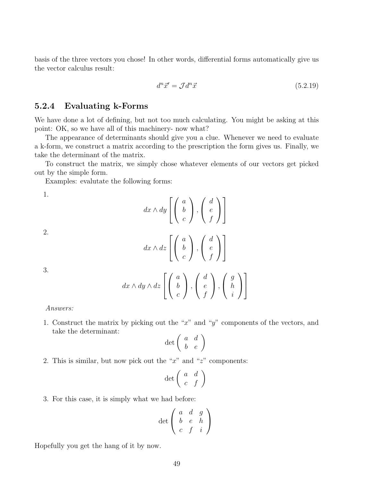basis of the three vectors you chose! In other words, differential forms automatically give us the vector calculus result:

$$
d^n \vec{x}' = \mathcal{J} d^n \vec{x} \tag{5.2.19}
$$

#### 5.2.4 Evaluating k-Forms

We have done a lot of defining, but not too much calculating. You might be asking at this point: OK, so we have all of this machinery- now what?

The appearance of determinants should give you a clue. Whenever we need to evaluate a k-form, we construct a matrix according to the prescription the form gives us. Finally, we take the determinant of the matrix.

To construct the matrix, we simply chose whatever elements of our vectors get picked out by the simple form.

Examples: evalutate the following forms:

$$
dx \wedge dy \left[ \left( \begin{array}{c} a \\ b \\ c \end{array} \right), \left( \begin{array}{c} d \\ e \\ f \end{array} \right) \right]
$$

2.

1.

$$
dx \wedge dz \left[ \left( \begin{array}{c} a \\ b \\ c \end{array} \right), \left( \begin{array}{c} d \\ e \\ f \end{array} \right) \right]
$$

3.

$$
dx \wedge dy \wedge dz \left[ \left( \begin{array}{c} a \\ b \\ c \end{array} \right), \left( \begin{array}{c} d \\ e \\ f \end{array} \right), \left( \begin{array}{c} g \\ h \\ i \end{array} \right) \right]
$$

Answers:

1. Construct the matrix by picking out the "x" and "y" components of the vectors, and take the determinant:

$$
\det\left(\begin{array}{cc}a&d\\b&e\end{array}\right)
$$

2. This is similar, but now pick out the " $x$ " and " $z$ " components:

$$
\det\left(\begin{array}{cc}a&d\\c&f\end{array}\right)
$$

3. For this case, it is simply what we had before:

$$
\det \left(\begin{array}{ccc} a & d & g \\ b & e & h \\ c & f & i \end{array}\right)
$$

Hopefully you get the hang of it by now.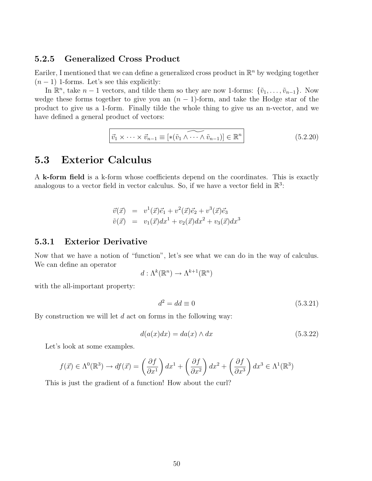#### 5.2.5 Generalized Cross Product

Eariler, I mentioned that we can define a generalized cross product in  $\mathbb{R}^n$  by wedging together  $(n-1)$  1-forms. Let's see this explicitly:

In  $\mathbb{R}^n$ , take  $n-1$  vectors, and tilde them so they are now 1-forms:  $\{\tilde{v}_1,\ldots,\tilde{v}_{n-1}\}$ . Now wedge these forms together to give you an  $(n - 1)$ -form, and take the Hodge star of the product to give us a 1-form. Finally tilde the whole thing to give us an n-vector, and we have defined a general product of vectors:

$$
\vec{v}_1 \times \cdots \times \vec{v}_{n-1} \equiv [\ast (\tilde{v}_1 \wedge \cdots \wedge \tilde{v}_{n-1})] \in \mathbb{R}^n \tag{5.2.20}
$$

# 5.3 Exterior Calculus

A k-form field is a k-form whose coefficients depend on the coordinates. This is exactly analogous to a vector field in vector calculus. So, if we have a vector field in  $\mathbb{R}^3$ :

$$
\vec{v}(\vec{x}) = v^1(\vec{x})\vec{e}_1 + v^2(\vec{x})\vec{e}_2 + v^3(\vec{x})\vec{e}_3 \n\tilde{v}(\vec{x}) = v_1(\vec{x})dx^1 + v_2(\vec{x})dx^2 + v_3(\vec{x})dx^3
$$

#### 5.3.1 Exterior Derivative

Now that we have a notion of "function", let's see what we can do in the way of calculus. We can define an operator

$$
d: \Lambda^k(\mathbb{R}^n) \to \Lambda^{k+1}(\mathbb{R}^n)
$$

with the all-important property:

$$
d^2 = dd \equiv 0 \tag{5.3.21}
$$

By construction we will let  $d$  act on forms in the following way:

$$
d(a(x)dx) = da(x) \wedge dx \tag{5.3.22}
$$

Let's look at some examples.

$$
f(\vec{x}) \in \Lambda^0(\mathbb{R}^3) \to df(\vec{x}) = \left(\frac{\partial f}{\partial x^1}\right)dx^1 + \left(\frac{\partial f}{\partial x^2}\right)dx^2 + \left(\frac{\partial f}{\partial x^3}\right)dx^3 \in \Lambda^1(\mathbb{R}^3)
$$

This is just the gradient of a function! How about the curl?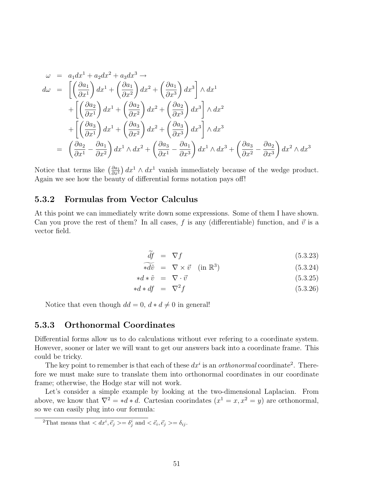$$
\omega = a_1 dx^1 + a_2 dx^2 + a_3 dx^3 \rightarrow
$$
  
\n
$$
d\omega = \left[ \left( \frac{\partial a_1}{\partial x^1} \right) dx^1 + \left( \frac{\partial a_1}{\partial x^2} \right) dx^2 + \left( \frac{\partial a_1}{\partial x^3} \right) dx^3 \right] \wedge dx^1
$$
\n
$$
+ \left[ \left( \frac{\partial a_2}{\partial x^1} \right) dx^1 + \left( \frac{\partial a_2}{\partial x^2} \right) dx^2 + \left( \frac{\partial a_2}{\partial x^3} \right) dx^3 \right] \wedge dx^2
$$
\n
$$
+ \left[ \left( \frac{\partial a_3}{\partial x^1} \right) dx^1 + \left( \frac{\partial a_3}{\partial x^2} \right) dx^2 + \left( \frac{\partial a_3}{\partial x^3} \right) dx^3 \right] \wedge dx^3
$$
\n
$$
= \left( \frac{\partial a_2}{\partial x^1} - \frac{\partial a_1}{\partial x^2} \right) dx^1 \wedge dx^2 + \left( \frac{\partial a_3}{\partial x^1} - \frac{\partial a_1}{\partial x^3} \right) dx^1 \wedge dx^3 + \left( \frac{\partial a_3}{\partial x^2} - \frac{\partial a_2}{\partial x^3} \right) dx^2 \wedge dx^3
$$

Notice that terms like  $\left(\frac{\partial a_1}{\partial x^1}\right)dx^1 \wedge dx^1$  vanish immediately because of the wedge product. Again we see how the beauty of differential forms notation pays off!

#### 5.3.2 Formulas from Vector Calculus

At this point we can immediately write down some expressions. Some of them I have shown. Can you prove the rest of them? In all cases, f is any (differentiable) function, and  $\vec{v}$  is a vector field.

$$
df = \nabla f \tag{5.3.23}
$$

$$
\widetilde{*d\tilde{v}} = \nabla \times \vec{v} \quad (\text{in } \mathbb{R}^3) \tag{5.3.24}
$$

$$
*d * \tilde{v} = \nabla \cdot \vec{v} \tag{5.3.25}
$$

$$
*d*df = \nabla^2 f \tag{5.3.26}
$$

Notice that even though  $dd = 0$ ,  $d * d \neq 0$  in general!

#### 5.3.3 Orthonormal Coordinates

Differential forms allow us to do calculations without ever refering to a coordinate system. However, sooner or later we will want to get our answers back into a coordinate frame. This could be tricky.

The key point to remember is that each of these  $dx^{i}$  is an *orthonormal* coordinate<sup>2</sup>. Therefore we must make sure to translate them into orthonormal coordinates in our coordinate frame; otherwise, the Hodge star will not work.

Let's consider a simple example by looking at the two-dimensional Laplacian. From above, we know that  $\nabla^2 = *d * d$ . Cartesian coorindates  $(x^1 = x, x^2 = y)$  are orthonormal, so we can easily plug into our formula:

<sup>2</sup>That means that  $\langle dx^i, \vec{e}_j \rangle = \delta_j^i$  and  $\langle \vec{e}_i, \vec{e}_j \rangle = \delta_{ij}$ .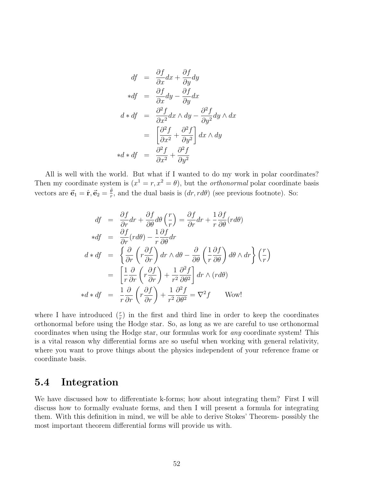$$
df = \frac{\partial f}{\partial x} dx + \frac{\partial f}{\partial y} dy
$$
  
\n
$$
*df = \frac{\partial f}{\partial x} dy - \frac{\partial f}{\partial y} dx
$$
  
\n
$$
d * df = \frac{\partial^2 f}{\partial x^2} dx \wedge dy - \frac{\partial^2 f}{\partial y^2} dy \wedge dx
$$
  
\n
$$
= \left[ \frac{\partial^2 f}{\partial x^2} + \frac{\partial^2 f}{\partial y^2} \right] dx \wedge dy
$$
  
\n
$$
*d * df = \frac{\partial^2 f}{\partial x^2} + \frac{\partial^2 f}{\partial y^2}
$$

All is well with the world. But what if I wanted to do my work in polar coordinates? Then my coordinate system is  $(x^1 = r, x^2 = \theta)$ , but the *orthonormal* polar coordinate basis vectors are  $\vec{e}_1 = \hat{r}, \vec{e}_2 = \frac{\hat{\theta}}{r}$ , and the dual basis is  $(dr, rd\theta)$  (see previous footnote). So:

$$
df = \frac{\partial f}{\partial r} dr + \frac{\partial f}{\partial \theta} d\theta \left(\frac{r}{r}\right) = \frac{\partial f}{\partial r} dr + \frac{1}{r} \frac{\partial f}{\partial \theta} (r d\theta)
$$
  
\n
$$
*df = \frac{\partial f}{\partial r} (r d\theta) - \frac{1}{r} \frac{\partial f}{\partial \theta} dr
$$
  
\n
$$
d * df = \left\{ \frac{\partial}{\partial r} \left( r \frac{\partial f}{\partial r} \right) dr \wedge d\theta - \frac{\partial}{\partial \theta} \left( \frac{1}{r} \frac{\partial f}{\partial \theta} \right) d\theta \wedge dr \right\} \left(\frac{r}{r}\right)
$$
  
\n
$$
= \left[ \frac{1}{r} \frac{\partial}{\partial r} \left( r \frac{\partial f}{\partial r} \right) + \frac{1}{r^2} \frac{\partial^2 f}{\partial \theta^2} \right] dr \wedge (r d\theta)
$$
  
\n
$$
*d * df = \frac{1}{r} \frac{\partial}{\partial r} \left( r \frac{\partial f}{\partial r} \right) + \frac{1}{r^2} \frac{\partial^2 f}{\partial \theta^2} = \nabla^2 f \qquad \text{Wow!}
$$

where I have introduced  $(\frac{r}{r})$  in the first and third line in order to keep the coordinates orthonormal before using the Hodge star. So, as long as we are careful to use orthonormal coordinates when using the Hodge star, our formulas work for any coordinate system! This is a vital reason why differential forms are so useful when working with general relativity, where you want to prove things about the physics independent of your reference frame or coordinate basis.

# 5.4 Integration

We have discussed how to differentiate k-forms; how about integrating them? First I will discuss how to formally evaluate forms, and then I will present a formula for integrating them. With this definition in mind, we will be able to derive Stokes' Theorem- possibly the most important theorem differential forms will provide us with.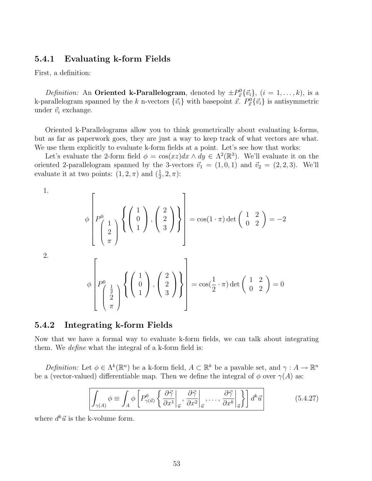#### 5.4.1 Evaluating k-form Fields

First, a definition:

*Definition:* An **Oriented k-Parallelogram**, denoted by  $\pm P_{\vec{x}}^0\{\vec{v}_i\}$ ,  $(i = 1, ..., k)$ , is a k-parallelogram spanned by the k n-vectors  $\{\vec{v}_i\}$  with basepoint  $\vec{x}$ .  $P_{\vec{x}}^0 \{\vec{v}_i\}$  is antisymmetric under  $\vec{v}_i$  exchange.

Oriented k-Parallelograms allow you to think geometrically about evaluating k-forms, but as far as paperwork goes, they are just a way to keep track of what vectors are what. We use them explicitly to evaluate k-form fields at a point. Let's see how that works:

Let's evaluate the 2-form field  $\phi = \cos(xz)dx \wedge dy \in \Lambda^2(\mathbb{R}^3)$ . We'll evaluate it on the oriented 2-parallelogram spanned by the 3-vectors  $\vec{v}_1 = (1, 0, 1)$  and  $\vec{v}_2 = (2, 2, 3)$ . We'll evaluate it at two points:  $(1, 2, \pi)$  and  $(\frac{1}{2}, 2, \pi)$ :

1.  
\n
$$
\phi \begin{bmatrix} P^0 & 1 \\ 2 \\ \pi \end{bmatrix} \left\{ \begin{pmatrix} 1 \\ 0 \\ 1 \end{pmatrix}, \begin{pmatrix} 2 \\ 2 \\ 3 \end{pmatrix} \right\} = \cos(1 \cdot \pi) \det \begin{pmatrix} 1 & 2 \\ 0 & 2 \end{pmatrix} = -2
$$
\n2.  
\n
$$
\phi \begin{bmatrix} P^0 & 1 \\ P^0 & \frac{1}{2} \\ \frac{2}{\pi} \end{bmatrix} \left\{ \begin{pmatrix} 1 \\ 0 \\ 1 \end{pmatrix}, \begin{pmatrix} 2 \\ 2 \\ 3 \end{pmatrix} \right\} = \cos(\frac{1}{2} \cdot \pi) \det \begin{pmatrix} 1 & 2 \\ 0 & 2 \end{pmatrix} = 0
$$

#### 5.4.2 Integrating k-form Fields

Now that we have a formal way to evaluate k-form fields, we can talk about integrating them. We *define* what the integral of a k-form field is:

Definition: Let  $\phi \in \Lambda^k(\mathbb{R}^n)$  be a k-form field,  $A \subset \mathbb{R}^k$  be a pavable set, and  $\gamma : A \to \mathbb{R}^n$ be a (vector-valued) differentiable map. Then we define the integral of  $\phi$  over  $\gamma(A)$  as:

$$
\int_{\gamma(A)} \phi \equiv \int_A \phi \left[ P_{\gamma(\vec{u})}^0 \left\{ \left. \frac{\partial \vec{\gamma}}{\partial x^1} \right|_{\vec{u}}, \left. \frac{\partial \vec{\gamma}}{\partial x^2} \right|_{\vec{u}}, \dots, \left. \frac{\partial \vec{\gamma}}{\partial x^k} \right|_{\vec{u}} \right\} \right] d^k \vec{u} \right] \tag{5.4.27}
$$

where  $d^k\vec{u}$  is the k-volume form.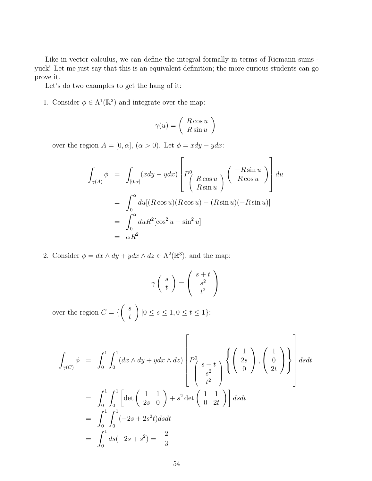Like in vector calculus, we can define the integral formally in terms of Riemann sums yuck! Let me just say that this is an equivalent definition; the more curious students can go prove it.

Let's do two examples to get the hang of it:

1. Consider  $\phi \in \Lambda^1(\mathbb{R}^2)$  and integrate over the map:

$$
\gamma(u)=\left(\begin{array}{c} R\cos u\\ R\sin u\end{array}\right)
$$

over the region  $A = [0, \alpha], (\alpha > 0)$ . Let  $\phi = xdy - ydx$ :

$$
\int_{\gamma(A)} \phi = \int_{[0,\alpha]} (xdy - ydx) \left[ P^0 \left( \begin{array}{c} -R\sin u \\ R\cos u \end{array} \right) \right] du
$$
  
\n
$$
= \int_0^\alpha du [(R\cos u)(R\cos u) - (R\sin u)(-R\sin u)]
$$
  
\n
$$
= \int_0^\alpha du R^2 [\cos^2 u + \sin^2 u]
$$
  
\n
$$
= \alpha R^2
$$

2. Consider  $\phi = dx \wedge dy + ydx \wedge dz \in \Lambda^2(\mathbb{R}^3)$ , and the map:

$$
\gamma \left( \begin{array}{c} s \\ t \end{array} \right) = \left( \begin{array}{c} s+t \\ s^2 \\ t^2 \end{array} \right)
$$

over the region  $C = \{$  $\int$  s t  $\lambda$  $|0 \le s \le 1, 0 \le t \le 1$ :

$$
\int_{\gamma(C)} \phi = \int_0^1 \int_0^1 (dx \wedge dy + y dx \wedge dz) \left[ P^0 \left( \begin{array}{c} 1 \\ s + t \\ s^2 \end{array} \right) \left\{ \left( \begin{array}{c} 1 \\ 2s \\ 0 \end{array} \right), \left( \begin{array}{c} 1 \\ 0 \\ 2t \end{array} \right) \right\} \right] ds dt
$$
  
\n
$$
= \int_0^1 \int_0^1 \left[ \det \left( \begin{array}{cc} 1 & 1 \\ 2s & 0 \end{array} \right) + s^2 \det \left( \begin{array}{cc} 1 & 1 \\ 0 & 2t \end{array} \right) \right] ds dt
$$
  
\n
$$
= \int_0^1 \int_0^1 (-2s + 2s^2t) ds dt
$$
  
\n
$$
= \int_0^1 ds (-2s + s^2) = -\frac{2}{3}
$$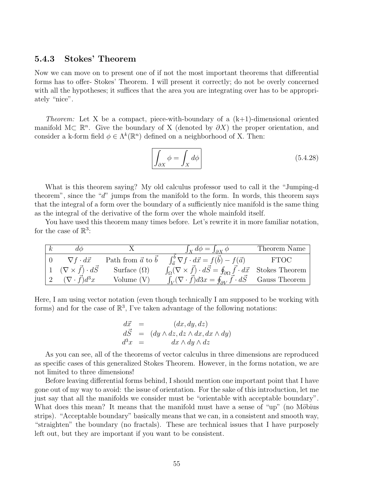#### 5.4.3 Stokes' Theorem

Now we can move on to present one of if not the most important theorems that differential forms has to offer- Stokes' Theorem. I will present it correctly; do not be overly concerned with all the hypotheses; it suffices that the area you are integrating over has to be appropriately "nice".

*Theorem:* Let X be a compact, piece-with-boundary of a  $(k+1)$ -dimensional oriented manifold M⊂  $\mathbb{R}^n$ . Give the boundary of X (denoted by  $\partial X$ ) the proper orientation, and consider a k-form field  $\phi \in \Lambda^k(\mathbb{R}^n)$  defined on a neighborhood of X. Then:

$$
\int_{\partial X} \phi = \int_X d\phi \tag{5.4.28}
$$

What is this theorem saying? My old calculus professor used to call it the "Jumping-d theorem", since the "d" jumps from the manifold to the form. In words, this theorem says that the integral of a form over the boundary of a sufficiently nice manifold is the same thing as the integral of the derivative of the form over the whole mainfold itself.

You have used this theorem many times before. Let's rewrite it in more familiar notation, for the case of  $\mathbb{R}^3$ :

| $\kappa$ | $d\phi$                                          |                                  | $\int_X d\phi = \int_{\partial X} \phi$                                                                                | Theorem Name  |
|----------|--------------------------------------------------|----------------------------------|------------------------------------------------------------------------------------------------------------------------|---------------|
|          | $\nabla f \cdot d\vec{x}$                        | Path from $\vec{a}$ to $\vec{b}$ | $\int_{\vec{a}}^b \nabla f \cdot d\vec{x} = f(\vec{b}) - f(\vec{a})$                                                   | $_{\rm FTOC}$ |
|          | $1 \quad (\nabla \times \vec{f}) \cdot d\vec{S}$ | Surface $(\Omega)$               | $\int_{\Omega} (\nabla \times \vec{f}) \cdot d\vec{S} = \oint_{\partial \Omega} \vec{f} \cdot d\vec{x}$ Stokes Theorem |               |
|          | 2 $(\nabla \cdot \vec{f})d^3x$                   | Volume $(V)$                     | $\int_V (\nabla \cdot \vec{f}) d3x = \oint_{\partial V} \vec{f} \cdot d\vec{S}$ Gauss Theorem                          |               |

Here, I am using vector notation (even though technically I am supposed to be working with forms) and for the case of  $\mathbb{R}^3$ , I've taken advantage of the following notations:

$$
d\vec{x} = (dx, dy, dz)
$$
  
\n
$$
d\vec{S} = (dy \wedge dz, dz \wedge dx, dx \wedge dy)
$$
  
\n
$$
d^{3}x = dx \wedge dy \wedge dz
$$

As you can see, all of the theorems of vector calculus in three dimensions are reproduced as specific cases of this generalized Stokes Theorem. However, in the forms notation, we are not limited to three dimensions!

Before leaving differential forms behind, I should mention one important point that I have gone out of my way to avoid: the issue of orientation. For the sake of this introduction, let me just say that all the manifolds we consider must be "orientable with acceptable boundary". What does this mean? It means that the manifold must have a sense of "up" (no Möbius strips). "Acceptable boundary" basically means that we can, in a consistent and smooth way, "straighten" the boundary (no fractals). These are technical issues that I have purposely left out, but they are important if you want to be consistent.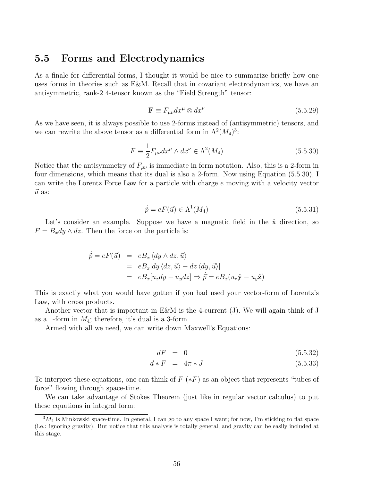# 5.5 Forms and Electrodynamics

As a finale for differential forms, I thought it would be nice to summarize briefly how one uses forms in theories such as E&M. Recall that in covariant electrodynamics, we have an antisymmetric, rank-2 4-tensor known as the "Field Strength" tensor:

$$
\mathbf{F} \equiv F_{\mu\nu} dx^{\mu} \otimes dx^{\nu} \tag{5.5.29}
$$

As we have seen, it is always possible to use 2-forms instead of (antisymmetric) tensors, and we can rewrite the above tensor as a differential form in  $\Lambda^2(M_4)^3$ :

$$
F \equiv \frac{1}{2} F_{\mu\nu} dx^{\mu} \wedge dx^{\nu} \in \Lambda^2(M_4)
$$
\n(5.5.30)

Notice that the antisymmetry of  $F_{\mu\nu}$  is immediate in form notation. Also, this is a 2-form in four dimensions, which means that its dual is also a 2-form. Now using Equation (5.5.30), I can write the Lorentz Force Law for a particle with charge e moving with a velocity vector  $\vec{u}$  as:

$$
\dot{\tilde{p}} = eF(\vec{u}) \in \Lambda^1(M_4)
$$
\n(5.5.31)

Let's consider an example. Suppose we have a magnetic field in the  $\hat{\mathbf{x}}$  direction, so  $F = B_x dy \wedge dz$ . Then the force on the particle is:

$$
\dot{\tilde{p}} = eF(\vec{u}) = eB_x \langle dy \wedge dz, \vec{u} \rangle \n= eB_x[dy \langle dz, \vec{u} \rangle - dz \langle dy, \vec{u} \rangle] \n= eB_x[u_z dy - u_y dz] \Rightarrow \dot{\vec{p}} = eB_x(u_z \hat{\mathbf{y}} - u_y \hat{\mathbf{z}})
$$

This is exactly what you would have gotten if you had used your vector-form of Lorentz's Law, with cross products.

Another vector that is important in E&M is the 4-current (J). We will again think of J as a 1-form in  $M_4$ ; therefore, it's dual is a 3-form.

Armed with all we need, we can write down Maxwell's Equations:

$$
dF = 0 \tag{5.5.32}
$$

$$
d * F = 4\pi * J \tag{5.5.33}
$$

To interpret these equations, one can think of  $F(*F)$  as an object that represents "tubes of force" flowing through space-time.

We can take advantage of Stokes Theorem (just like in regular vector calculus) to put these equations in integral form:

 $3M_4$  is Minkowski space-time. In general, I can go to any space I want; for now, I'm sticking to flat space (i.e.: ignoring gravity). But notice that this analysis is totally general, and gravity can be easily included at this stage.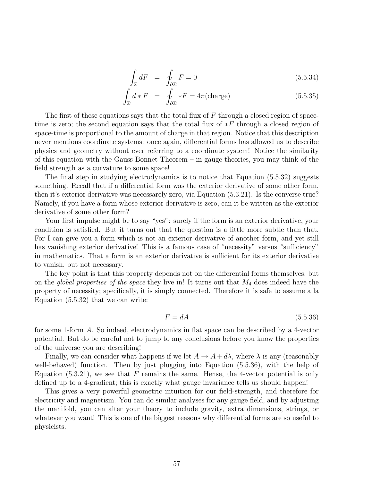$$
\int_{\Sigma} dF = \oint_{\partial \Sigma} F = 0 \tag{5.5.34}
$$

$$
\int_{\Sigma} d * F = \oint_{\partial \Sigma} *F = 4\pi \text{(charge)} \tag{5.5.35}
$$

The first of these equations says that the total flux of  $F$  through a closed region of spacetime is zero; the second equation says that the total flux of  $*F$  through a closed region of space-time is proportional to the amount of charge in that region. Notice that this description never mentions coordinate systems: once again, differential forms has allowed us to describe physics and geometry without ever referring to a coordinate system! Notice the similarity of this equation with the Gauss-Bonnet Theorem – in gauge theories, you may think of the field strength as a curvature to some space!

The final step in studying electrodynamics is to notice that Equation (5.5.32) suggests something. Recall that if a differential form was the exterior derivative of some other form, then it's exterior derivative was necessarely zero, via Equation (5.3.21). Is the converse true? Namely, if you have a form whose exterior derivative is zero, can it be written as the exterior derivative of some other form?

Your first impulse might be to say "yes": surely if the form is an exterior derivative, your condition is satisfied. But it turns out that the question is a little more subtle than that. For I can give you a form which is not an exterior derivative of another form, and yet still has vanishing exterior derivative! This is a famous case of "necessity" versus "sufficiency" in mathematics. That a form is an exterior derivative is sufficient for its exterior derivative to vanish, but not necessary.

The key point is that this property depends not on the differential forms themselves, but on the *global properties of the space* they live in! It turns out that  $M_4$  does indeed have the property of necessity; specifically, it is simply connected. Therefore it is safe to assume a la Equation (5.5.32) that we can write:

$$
F = dA \tag{5.5.36}
$$

for some 1-form A. So indeed, electrodynamics in flat space can be described by a 4-vector potential. But do be careful not to jump to any conclusions before you know the properties of the universe you are describing!

Finally, we can consider what happens if we let  $A \to A + d\lambda$ , where  $\lambda$  is any (reasonably well-behaved) function. Then by just plugging into Equation (5.5.36), with the help of Equation (5.3.21), we see that F remains the same. Hense, the 4-vector potential is only defined up to a 4-gradient; this is exactly what gauge invariance tells us should happen!

This gives a very powerful geometric intuition for our field-strength, and therefore for electricity and magnetism. You can do similar analyses for any gauge field, and by adjusting the manifold, you can alter your theory to include gravity, extra dimensions, strings, or whatever you want! This is one of the biggest reasons why differential forms are so useful to physicists.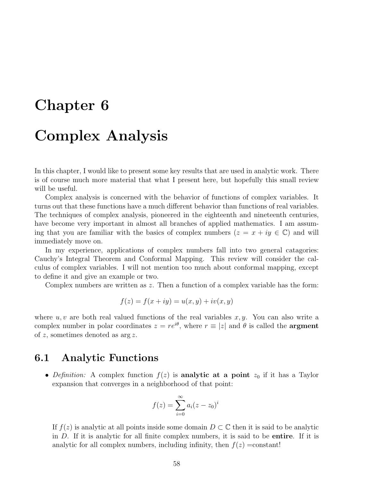# Chapter 6

# Complex Analysis

In this chapter, I would like to present some key results that are used in analytic work. There is of course much more material that what I present here, but hopefully this small review will be useful.

Complex analysis is concerned with the behavior of functions of complex variables. It turns out that these functions have a much different behavior than functions of real variables. The techniques of complex analysis, pioneered in the eighteenth and nineteenth centuries, have become very important in almost all branches of applied mathematics. I am assuming that you are familiar with the basics of complex numbers  $(z = x + iy \in \mathbb{C})$  and will immediately move on.

In my experience, applications of complex numbers fall into two general catagories: Cauchy's Integral Theorem and Conformal Mapping. This review will consider the calculus of complex variables. I will not mention too much about conformal mapping, except to define it and give an example or two.

Complex numbers are written as z. Then a function of a complex variable has the form:

$$
f(z) = f(x + iy) = u(x, y) + iv(x, y)
$$

where  $u, v$  are both real valued functions of the real variables  $x, y$ . You can also write a complex number in polar coordinates  $z = re^{i\theta}$ , where  $r \equiv |z|$  and  $\theta$  is called the **argment** of z, sometimes denoted as arg z.

# 6.1 Analytic Functions

• Definition: A complex function  $f(z)$  is analytic at a point  $z_0$  if it has a Taylor expansion that converges in a neighborhood of that point:

$$
f(z) = \sum_{i=0}^{\infty} a_i (z - z_0)^i
$$

If  $f(z)$  is analytic at all points inside some domain  $D \subset \mathbb{C}$  then it is said to be analytic in D. If it is analytic for all finite complex numbers, it is said to be entire. If it is analytic for all complex numbers, including infinity, then  $f(z) = constant!$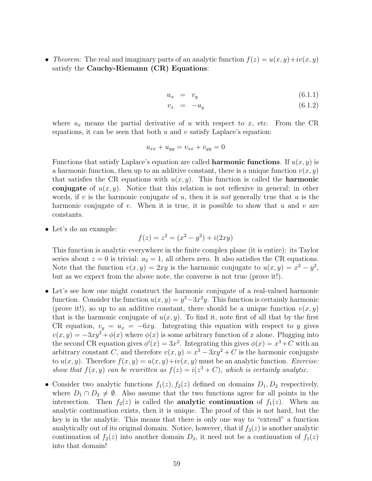• Theorem: The real and imaginary parts of an analytic function  $f(z) = u(x, y) + iv(x, y)$ satisfy the Cauchy-Riemann (CR) Equations:

$$
u_x = v_y \tag{6.1.1}
$$

$$
v_x = -u_y \tag{6.1.2}
$$

where  $u_x$  means the partial derivative of u with respect to x, etc. From the CR equations, it can be seen that both  $u$  and  $v$  satisfy Laplace's equation:

$$
u_{xx} + u_{yy} = v_{xx} + v_{yy} = 0
$$

Functions that satisfy Laplace's equation are called **harmonic functions**. If  $u(x, y)$  is a harmonic function, then up to an additive constant, there is a unique function  $v(x, y)$ that satisfies the CR equations with  $u(x, y)$ . This function is called the **harmonic** conjugate of  $u(x, y)$ . Notice that this relation is not reflexive in general; in other words, if v is the harmonic conjugate of u, then it is not generally true that u is the harmonic conjugate of v. When it is true, it is possible to show that u and v are constants.

• Let's do an example:

$$
f(z) = z^2 = (x^2 - y^2) + i(2xy)
$$

This function is analytic everywhere in the finite complex plane (it is entire): its Taylor series about  $z = 0$  is trivial:  $a_2 = 1$ , all others zero. It also satisfies the CR equations. Note that the function  $v(x, y) = 2xy$  is the harmonic conjugate to  $u(x, y) = x^2 - y^2$ , but as we expect from the above note, the converse is not true (prove it!).

- Let's see how one might construct the harmonic conjugate of a real-valued harmonic function. Consider the function  $u(x, y) = y^3 - 3x^2y$ . This function is certainly harmonic (prove it!), so up to an additive constant, there should be a unique function  $v(x, y)$ that is the harmonic conjugate of  $u(x, y)$ . To find it, note first of all that by the first CR equation,  $v_y = u_x = -6xy$ . Integrating this equation with respect to y gives  $v(x, y) = -3xy^{2} + \phi(x)$  where  $\phi(x)$  is some arbitrary function of x alone. Plugging into the second CR equation gives  $\phi'(x) = 3x^2$ . Integrating this gives  $\phi(x) = x^3 + C$  with an arbitrary constant C, and therefore  $v(x, y) = x^3 - 3xy^2 + C$  is the harmonic conjugate to  $u(x, y)$ . Therefore  $f(x, y) = u(x, y) + iv(x, y)$  must be an analytic function. Exercise: show that  $f(x, y)$  can be rewritten as  $f(z) = i(z^3 + C)$ , which is certainly analytic.
- Consider two analytic functions  $f_1(z)$ ,  $f_2(z)$  defined on domains  $D_1, D_2$  respectively, where  $D_1 \cap D_2 \neq \emptyset$ . Also assume that the two functions agree for all points in the intersection. Then  $f_2(z)$  is called the **analytic continuation** of  $f_1(z)$ . When an analytic continuation exists, then it is unique. The proof of this is not hard, but the key is in the analytic. This means that there is only one way to "extend" a function analytically out of its original domain. Notice, however, that if  $f_3(z)$  is another analytic continuation of  $f_2(z)$  into another domain  $D_3$ , it need not be a continuation of  $f_1(z)$ into that domain!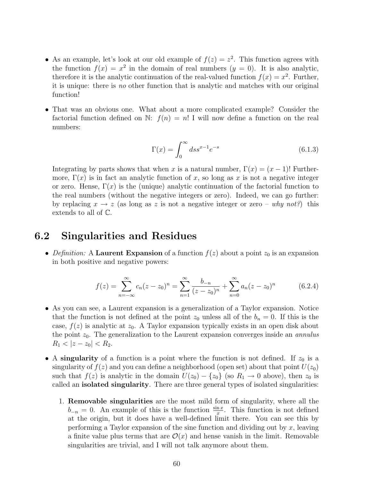- As an example, let's look at our old example of  $f(z) = z^2$ . This function agrees with the function  $f(x) = x^2$  in the domain of real numbers  $(y = 0)$ . It is also analytic, therefore it is the analytic continuation of the real-valued function  $f(x) = x^2$ . Further, it is unique: there is no other function that is analytic and matches with our original function!
- That was an obvious one. What about a more complicated example? Consider the factorial function defined on  $\mathbb{N}$ :  $f(n) = n!$  I will now define a function on the real numbers:

$$
\Gamma(x) = \int_0^\infty ds s^{x-1} e^{-s} \tag{6.1.3}
$$

Integrating by parts shows that when x is a natural number,  $\Gamma(x)=(x - 1)!$  Furthermore,  $\Gamma(x)$  is in fact an analytic function of x, so long as x is not a negative integer or zero. Hense,  $\Gamma(x)$  is the (unique) analytic continuation of the factorial function to the real numbers (without the negative integers or zero). Indeed, we can go further: by replacing  $x \to z$  (as long as z is not a negative integer or zero – why not?) this extends to all of C.

# 6.2 Singularities and Residues

• Definition: A Laurent Expansion of a function  $f(z)$  about a point  $z_0$  is an expansion in both positive and negative powers:

$$
f(z) = \sum_{n = -\infty}^{\infty} c_n (z - z_0)^n = \sum_{n = 1}^{\infty} \frac{b_{-n}}{(z - z_0)^n} + \sum_{n = 0}^{\infty} a_n (z - z_0)^n
$$
 (6.2.4)

- As you can see, a Laurent expansion is a generalization of a Taylor expansion. Notice that the function is not defined at the point  $z_0$  unless all of the  $b_n = 0$ . If this is the case,  $f(z)$  is analytic at  $z_0$ . A Taylor expansion typically exists in an open disk about the point  $z_0$ . The generalization to the Laurent expansion converges inside an *annulus*  $R_1 < |z - z_0| < R_2.$
- A singularity of a function is a point where the function is not defined. If  $z_0$  is a singularity of  $f(z)$  and you can define a neighborhood (open set) about that point  $U(z_0)$ such that  $f(z)$  is analytic in the domain  $U(z_0) - \{z_0\}$  (so  $R_1 \rightarrow 0$  above), then  $z_0$  is called an isolated singularity. There are three general types of isolated singularities:
	- 1. Removable singularities are the most mild form of singularity, where all the  $b_{-n} = 0$ . An example of this is the function  $\frac{\sin x}{x}$ . This function is not defined at the origin, but it does have a well-defined limit there. You can see this by performing a Taylor expansion of the sine function and dividing out by  $x$ , leaving a finite value plus terms that are  $\mathcal{O}(x)$  and hense vanish in the limit. Removable singularities are trivial, and I will not talk anymore about them.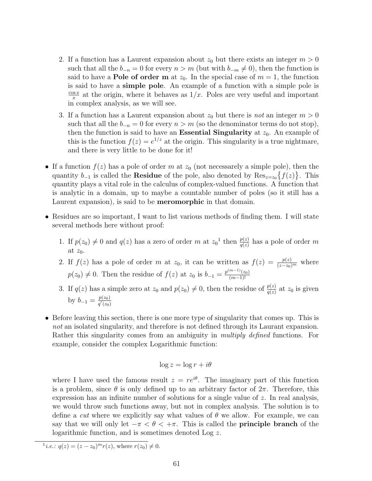- 2. If a function has a Laurent expansion about  $z_0$  but there exists an integer  $m > 0$ such that all the  $b_{-n} = 0$  for every  $n > m$  (but with  $b_{-m} \neq 0$ ), then the function is said to have a **Pole of order m** at  $z_0$ . In the special case of  $m = 1$ , the function is said to have a simple pole. An example of a function with a simple pole is  $\frac{\cos x}{x}$  at the origin, where it behaves as  $1/x$ . Poles are very useful and important in complex analysis, as we will see.
- 3. If a function has a Laurent expansion about  $z_0$  but there is not an integer  $m > 0$ such that all the  $b_{-n} = 0$  for every  $n > m$  (so the denominator terms do not stop), then the function is said to have an **Essential Singularity** at  $z_0$ . An example of this is the function  $f(z) = e^{1/z}$  at the origin. This singularity is a true nightmare, and there is very little to be done for it!
- If a function  $f(z)$  has a pole of order m at  $z_0$  (not necessarely a simple pole), then the quantity  $b_{-1}$  is called the **Residue** of the pole, also denoted by  $\text{Res}_{z=z_0} \{f(z)\}\$ . This quantity plays a vital role in the calculus of complex-valued functions. A function that is analytic in a domain, up to maybe a countable number of poles (so it still has a Laurent expansion), is said to be meromorphic in that domain.
- Residues are so important, I want to list various methods of finding them. I will state several methods here without proof:
	- 1. If  $p(z_0) \neq 0$  and  $q(z)$  has a zero of order m at  $z_0$ <sup>1</sup> then  $\frac{p(z)}{q(z)}$  has a pole of order m at  $z_0$ .
	- 2. If  $f(z)$  has a pole of order m at  $z_0$ , it can be written as  $f(z) = \frac{p(z)}{(z-z_0)^m}$  where  $p(z_0) \neq 0$ . Then the residue of  $f(z)$  at  $z_0$  is  $b_{-1} = \frac{p^{(m-1)}(z_0)}{(m-1)!}$
	- 3. If  $q(z)$  has a simple zero at  $z_0$  and  $p(z_0) \neq 0$ , then the residue of  $\frac{p(z)}{q(z)}$  at  $z_0$  is given by  $b_{-1} = \frac{p(z_0)}{q'(z_0)}$
- Before leaving this section, there is one more type of singularity that comes up. This is not an isolated singularity, and therefore is not defined through its Laurant expansion. Rather this singularity comes from an ambiguity in *multiply defined* functions. For example, consider the complex Logarithmic function:

$$
\log z = \log r + i\theta
$$

where I have used the famous result  $z = re^{i\theta}$ . The imaginary part of this function is a problem, since  $\theta$  is only defined up to an arbitrary factor of  $2\pi$ . Therefore, this expression has an infinite number of solutions for a single value of  $z$ . In real analysis, we would throw such functions away, but not in complex analysis. The solution is to define a *cut* where we explicitly say what values of  $\theta$  we allow. For example, we can say that we will only let  $-\pi < \theta < +\pi$ . This is called the **principle branch** of the logarithmic function, and is sometimes denoted Log z.

 $1$ *i.e.:*  $q(z) = (z - z_0)^m r(z)$ , where  $r(z_0) \neq 0$ .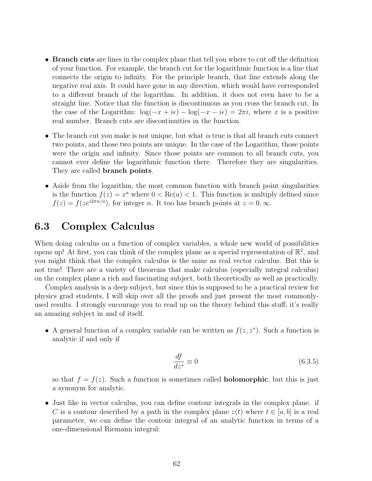- Branch cuts are lines in the complex plane that tell you where to cut off the definition of your function. For example, the branch cut for the logarithmic function is a line that connects the origin to infinity. For the principle branch, that line extends along the negative real axis. It could have gone in any direction, which would have corresponded to a different branch of the logarithm. In addition, it does not even have to be a straight line. Notice that the function is discontinuous as you cross the branch cut. In the case of the Logarithm:  $\log(-x + i\epsilon) - \log(-x - i\epsilon) = 2\pi i$ , where x is a positive real number. Branch cuts are discontinuities in the function.
- The branch cut you make is not unique, but what is true is that all branch cuts connect two points, and those two points are unique. In the case of the Logarithm, those points were the origin and infinity. Since those points are common to all branch cuts, you cannot ever define the logarithmic function there. Therefore they are singularities. They are called **branch** points.
- Aside from the logarithm, the most common function with branch point singularities is the function  $f(z) = x^a$  where  $0 < \text{Re}(a) < 1$ . This function is multiply defined since  $f(z) = f(ze^{i2\pi n/a})$ , for integer n. It too has branch points at  $z = 0, \infty$ .

# 6.3 Complex Calculus

When doing calculus on a function of complex variables, a whole new world of possibilities opens up! At first, you can think of the complex plane as a special representation of  $\mathbb{R}^2$ , and you might think that the complex calculus is the same as real vector calculus. But this is not true! There are a variety of theorems that make calculus (especially integral calculus) on the complex plane a rich and fascinating subject, both theoretically as well as practically.

Complex analysis is a deep subject, but since this is supposed to be a practical review for physics grad students, I will skip over all the proofs and just present the most commonlyused results. I strongly encourage you to read up on the theory behind this stuff; it's really an amazing subject in and of itself.

• A general function of a complex variable can be written as  $f(z, z^*)$ . Such a function is analytic if and only if

$$
\frac{df}{dz^*} \equiv 0\tag{6.3.5}
$$

so that  $f = f(z)$ . Such a function is sometimes called **holomorphic**, but this is just a synonym for analytic.

• Just like in vector calculus, you can define contour integrals in the complex plane. if C is a contour described by a path in the complex plane  $z(t)$  where  $t \in [a, b]$  is a real parameter, we can define the contour integral of an analytic function in terms of a one-dimensional Riemann integral: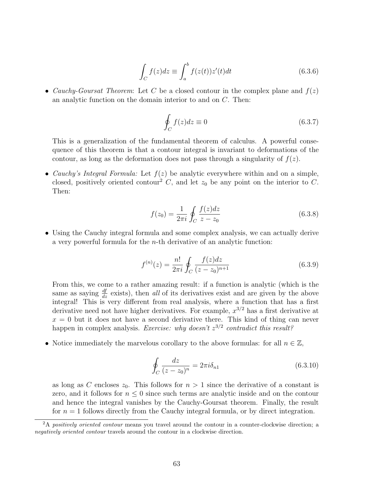$$
\int_C f(z)dz \equiv \int_a^b f(z(t))z'(t)dt
$$
\n(6.3.6)

• Cauchy-Goursat Theorem: Let C be a closed contour in the complex plane and  $f(z)$ an analytic function on the domain interior to and on C. Then:

$$
\oint_C f(z)dz \equiv 0\tag{6.3.7}
$$

This is a generalization of the fundamental theorem of calculus. A powerful consequence of this theorem is that a contour integral is invariant to deformations of the contour, as long as the deformation does not pass through a singularity of  $f(z)$ .

• *Cauchy's Integral Formula:* Let  $f(z)$  be analytic everywhere within and on a simple, closed, positively oriented contour<sup>2</sup> C, and let  $z_0$  be any point on the interior to C. Then:

$$
f(z_0) = \frac{1}{2\pi i} \oint_C \frac{f(z)dz}{z - z_0}
$$
 (6.3.8)

• Using the Cauchy integral formula and some complex analysis, we can actually derive a very powerful formula for the  $n$ -th derivative of an analytic function:

$$
f^{(n)}(z) = \frac{n!}{2\pi i} \oint_C \frac{f(z)dz}{(z - z_0)^{n+1}}\tag{6.3.9}
$$

From this, we come to a rather amazing result: if a function is analytic (which is the same as saying  $\frac{df}{dz}$  exists), then all of its derivatives exist and are given by the above integral! This is very different from real analysis, where a function that has a first derivative need not have higher derivatives. For example,  $x^{3/2}$  has a first derivative at  $x = 0$  but it does not have a second derivative there. This kind of thing can never happen in complex analysis. Exercise: why doesn't  $z^{3/2}$  contradict this result?

• Notice immediately the marvelous corollary to the above formulas: for all  $n \in \mathbb{Z}$ ,

$$
\oint_C \frac{dz}{(z - z_0)^n} = 2\pi i \delta_{n1}
$$
\n(6.3.10)

as long as C encloses  $z_0$ . This follows for  $n > 1$  since the derivative of a constant is zero, and it follows for  $n \leq 0$  since such terms are analytic inside and on the contour and hence the integral vanishes by the Cauchy-Goursat theorem. Finally, the result for  $n = 1$  follows directly from the Cauchy integral formula, or by direct integration.

<sup>2</sup>A *positively oriented contour* means you travel around the contour in a counter-clockwise direction; a *negatively oriented contour* travels around the contour in a clockwise direction.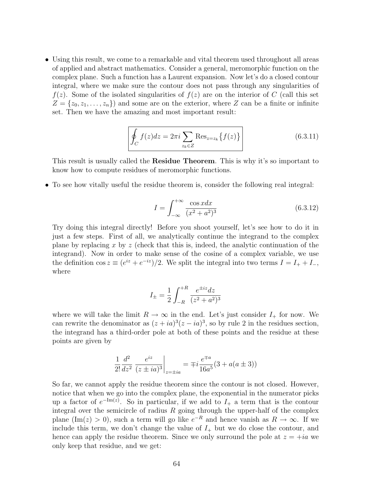• Using this result, we come to a remarkable and vital theorem used throughout all areas of applied and abstract mathematics. Consider a general, meromorphic function on the complex plane. Such a function has a Laurent expansion. Now let's do a closed contour integral, where we make sure the contour does not pass through any singularities of  $f(z)$ . Some of the isolated singularities of  $f(z)$  are on the interior of C (call this set  $Z = \{z_0, z_1, \ldots, z_n\}$  and some are on the exterior, where Z can be a finite or infinite set. Then we have the amazing and most important result:

$$
\left| \oint_C f(z)dz = 2\pi i \sum_{z_k \in Z} \text{Res}_{z=z_k} \{f(z)\} \right| \tag{6.3.11}
$$

This result is usually called the Residue Theorem. This is why it's so important to know how to compute residues of meromorphic functions.

• To see how vitally useful the residue theorem is, consider the following real integral:

$$
I = \int_{-\infty}^{+\infty} \frac{\cos x dx}{(x^2 + a^2)^3}
$$
 (6.3.12)

Try doing this integral directly! Before you shoot yourself, let's see how to do it in just a few steps. First of all, we analytically continue the integrand to the complex plane by replacing x by  $z$  (check that this is, indeed, the analytic continuation of the integrand). Now in order to make sense of the cosine of a complex variable, we use the definition  $\cos z \equiv (e^{iz} + e^{-iz})/2$ . We split the integral into two terms  $I = I_+ + I_-$ , where

$$
I_{\pm} = \frac{1}{2} \int_{-R}^{+R} \frac{e^{\pm iz} dz}{(z^2 + a^2)^3}
$$

where we will take the limit  $R \to \infty$  in the end. Let's just consider  $I_+$  for now. We can rewrite the denominator as  $(z + ia)^3(z - ia)^3$ , so by rule 2 in the residues section, the integrand has a third-order pole at both of these points and the residue at these points are given by

$$
\frac{1}{2!} \frac{d^2}{dz^2} \left. \frac{e^{iz}}{(z \pm ia)^3} \right|_{z=\pm ia} = \mp i \frac{e^{\mp a}}{16a^5} (3 + a(a \pm 3))
$$

So far, we cannot apply the residue theorem since the contour is not closed. However, notice that when we go into the complex plane, the exponential in the numerator picks up a factor of  $e^{-\text{Im}(z)}$ . So in particular, if we add to  $I_+$  a term that is the contour integral over the semicircle of radius  $R$  going through the upper-half of the complex plane (Im(z) > 0), such a term will go like  $e^{-R}$  and hence vanish as  $R \to \infty$ . If we include this term, we don't change the value of  $I_{+}$  but we do close the contour, and hence can apply the residue theorem. Since we only surround the pole at  $z = +ia$  we only keep that residue, and we get: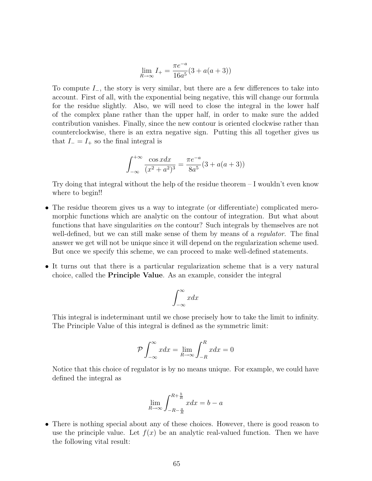$$
\lim_{R \to \infty} I_{+} = \frac{\pi e^{-a}}{16a^5} (3 + a(a+3))
$$

To compute  $I_-,$ , the story is very similar, but there are a few differences to take into account. First of all, with the exponential being negative, this will change our formula for the residue slightly. Also, we will need to close the integral in the lower half of the complex plane rather than the upper half, in order to make sure the added contribution vanishes. Finally, since the new contour is oriented clockwise rather than counterclockwise, there is an extra negative sign. Putting this all together gives us that  $I_-=I_+$  so the final integral is

$$
\int_{-\infty}^{+\infty} \frac{\cos x dx}{(x^2 + a^2)^3} = \frac{\pi e^{-a}}{8a^5} (3 + a(a+3))
$$

Try doing that integral without the help of the residue theorem – I wouldn't even know where to begin!!

- The residue theorem gives us a way to integrate (or differentiate) complicated meromorphic functions which are analytic on the contour of integration. But what about functions that have singularities on the contour? Such integrals by themselves are not well-defined, but we can still make sense of them by means of a *regulator*. The final answer we get will not be unique since it will depend on the regularization scheme used. But once we specify this scheme, we can proceed to make well-defined statements.
- It turns out that there is a particular regularization scheme that is a very natural choice, called the Principle Value. As an example, consider the integral

$$
\int_{-\infty}^{\infty} x dx
$$

This integral is indeterminant until we chose precisely how to take the limit to infinity. The Principle Value of this integral is defined as the symmetric limit:

$$
\mathcal{P}\int_{-\infty}^{\infty} x dx = \lim_{R \to \infty} \int_{-R}^{R} x dx = 0
$$

Notice that this choice of regulator is by no means unique. For example, we could have defined the integral as

$$
\lim_{R \to \infty} \int_{-R - \frac{a}{R}}^{R + \frac{b}{R}} x dx = b - a
$$

• There is nothing special about any of these choices. However, there is good reason to use the principle value. Let  $f(x)$  be an analytic real-valued function. Then we have the following vital result: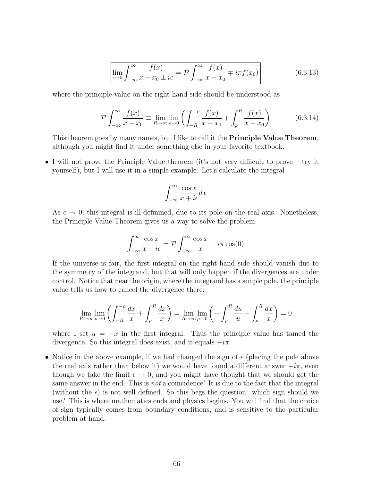$$
\lim_{\epsilon \to 0} \int_{-\infty}^{\infty} \frac{f(x)}{x - x_0 \pm i\epsilon} = \mathcal{P} \int_{-\infty}^{\infty} \frac{f(x)}{x - x_0} \mp i\pi f(x_0)
$$
(6.3.13)

where the principle value on the right hand side should be understood as

$$
\mathcal{P} \int_{-\infty}^{\infty} \frac{f(x)}{x - x_0} \equiv \lim_{R \to \infty} \lim_{\rho \to 0} \left( \int_{-R}^{-\rho} \frac{f(x)}{x - x_0} + \int_{\rho}^{R} \frac{f(x)}{x - x_0} \right) \tag{6.3.14}
$$

This theorem goes by many names, but I like to call it the Principle Value Theorem, although you might find it under something else in your favorite textbook.

• I will not prove the Principle Value theorem (it's not very difficult to prove – try it yourself), but I will use it in a simple example. Let's calculate the integral

$$
\int_{-\infty}^{\infty} \frac{\cos x}{x + i\epsilon} dx
$$

As  $\epsilon \to 0$ , this integral is ill-definined, due to its pole on the real axis. Nonetheless, the Principle Value Theorem gives us a way to solve the problem:

$$
\int_{-\infty}^{\infty} \frac{\cos x}{x + i\epsilon} = \mathcal{P} \int_{-\infty}^{\infty} \frac{\cos x}{x} - i\pi \cos(0)
$$

If the universe is fair, the first integral on the right-hand side should vanish due to the symmetry of the integrand, but that will only happen if the divergences are under control. Notice that near the origin, where the integrand has a simple pole, the principle value tells us how to cancel the divergence there:

$$
\lim_{R \to \infty} \lim_{\rho \to 0} \left( \int_{-R}^{-\rho} \frac{dx}{x} + \int_{\rho}^{R} \frac{dx}{x} \right) = \lim_{R \to \infty} \lim_{\rho \to 0} \left( - \int_{\rho}^{R} \frac{du}{u} + \int_{\rho}^{R} \frac{dx}{x} \right) = 0
$$

where I set  $u = -x$  in the first integral. Thus the principle value has tamed the divergence. So this integral does exist, and it equals  $-i\pi$ .

• Notice in the above example, if we had changed the sign of  $\epsilon$  (placing the pole above the real axis rather than below it) we would have found a different answer  $+i\pi$ , even though we take the limit  $\epsilon \to 0$ , and you might have thought that we should get the same answer in the end. This is not a coincidence! It is due to the fact that the integral (without the  $\epsilon$ ) is not well defined. So this begs the question: which sign should we use? This is where mathematics ends and physics begins. You will find that the choice of sign typically comes from boundary conditions, and is sensitive to the particular problem at hand.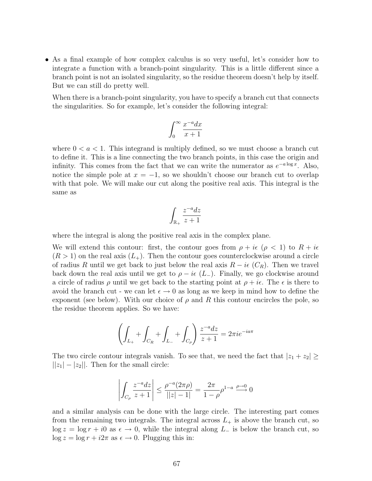• As a final example of how complex calculus is so very useful, let's consider how to integrate a function with a branch-point singularity. This is a little different since a branch point is not an isolated singularity, so the residue theorem doesn't help by itself. But we can still do pretty well.

When there is a branch-point singularity, you have to specify a branch cut that connects the singularities. So for example, let's consider the following integral:

$$
\int_0^\infty \frac{x^{-a}dx}{x+1}
$$

where  $0 < a < 1$ . This integrand is multiply defined, so we must choose a branch cut to define it. This is a line connecting the two branch points, in this case the origin and infinity. This comes from the fact that we can write the numerator as  $e^{-a \log x}$ . Also, notice the simple pole at  $x = -1$ , so we shouldn't choose our branch cut to overlap with that pole. We will make our cut along the positive real axis. This integral is the same as

$$
\int_{\mathbb{R}_+}\frac{z^{-a}dz}{z+1}
$$

where the integral is along the positive real axis in the complex plane.

We will extend this contour: first, the contour goes from  $\rho + i\epsilon$  ( $\rho < 1$ ) to  $R + i\epsilon$  $(R > 1)$  on the real axis  $(L<sub>+</sub>)$ . Then the contour goes counterclockwise around a circle of radius R until we get back to just below the real axis  $R - i\epsilon$  (C<sub>R</sub>). Then we travel back down the real axis until we get to  $\rho - i\epsilon$  (L\_). Finally, we go clockwise around a circle of radius  $\rho$  until we get back to the starting point at  $\rho + i\epsilon$ . The  $\epsilon$  is there to avoid the branch cut - we can let  $\epsilon \to 0$  as long as we keep in mind how to define the exponent (see below). With our choice of  $\rho$  and R this contour encircles the pole, so the residue theorem applies. So we have:

$$
\left(\int_{L_{+}} + \int_{C_{R}} + \int_{L_{-}} + \int_{C_{\rho}}\right) \frac{z^{-a} dz}{z+1} = 2\pi i e^{-ia\pi}
$$

The two circle contour integrals vanish. To see that, we need the fact that  $|z_1 + z_2| \ge$  $||z_1| - |z_2||$ . Then for the small circle:

$$
\left|\int_{C_{\rho}}\frac{z^{-a}dz}{z+1}\right|\leq\frac{\rho^{-a}(2\pi\rho)}{||z|-1|}=\frac{2\pi}{1-\rho}\rho^{1-a}\xrightarrow{\rho\to 0}0
$$

and a similar analysis can be done with the large circle. The interesting part comes from the remaining two integrals. The integral across  $L_{+}$  is above the branch cut, so  $\log z = \log r + i0$  as  $\epsilon \to 0$ , while the integral along L\_ is below the branch cut, so  $\log z = \log r + i2\pi$  as  $\epsilon \to 0$ . Plugging this in: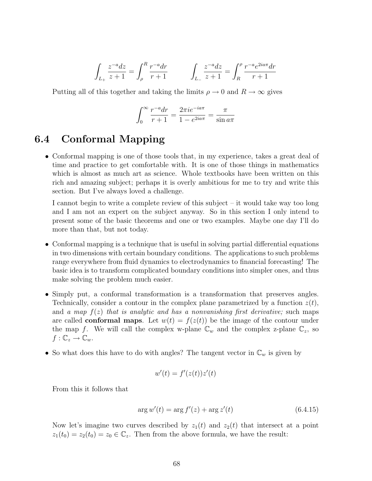$$
\int_{L_{+}} \frac{z^{-a} dz}{z+1} = \int_{\rho}^{R} \frac{r^{-a} dr}{r+1} \qquad \qquad \int_{L_{-}} \frac{z^{-a} dz}{z+1} = \int_{R}^{\rho} \frac{r^{-a} e^{2ia\pi} dr}{r+1}
$$

Putting all of this together and taking the limits  $\rho \to 0$  and  $R \to \infty$  gives

$$
\int_0^\infty \frac{r^{-a} dr}{r+1} = \frac{2\pi i e^{-ia\pi}}{1 - e^{2ia\pi}} = \frac{\pi}{\sin a\pi}
$$

## 6.4 Conformal Mapping

• Conformal mapping is one of those tools that, in my experience, takes a great deal of time and practice to get comfortable with. It is one of those things in mathematics which is almost as much art as science. Whole textbooks have been written on this rich and amazing subject; perhaps it is overly ambitious for me to try and write this section. But I've always loved a challenge.

I cannot begin to write a complete review of this subject – it would take way too long and I am not an expert on the subject anyway. So in this section I only intend to present some of the basic theorems and one or two examples. Maybe one day I'll do more than that, but not today.

- Conformal mapping is a technique that is useful in solving partial differential equations in two dimensions with certain boundary conditions. The applications to such problems range everywhere from fluid dynamics to electrodynamics to financial forecasting! The basic idea is to transform complicated boundary conditions into simpler ones, and thus make solving the problem much easier.
- Simply put, a conformal transformation is a transformation that preserves angles. Technically, consider a contour in the complex plane parametrized by a function  $z(t)$ , and a map  $f(z)$  that is analytic and has a nonvanishing first derivative; such maps are called **conformal maps**. Let  $w(t) = f(z(t))$  be the image of the contour under the map f. We will call the complex w-plane  $\mathbb{C}_w$  and the complex z-plane  $\mathbb{C}_z$ , so  $f: \mathbb{C}_z \to \mathbb{C}_w$ .
- So what does this have to do with angles? The tangent vector in  $\mathbb{C}_w$  is given by

$$
w'(t) = f'(z(t))z'(t)
$$

From this it follows that

$$
\arg w'(t) = \arg f'(z) + \arg z'(t) \tag{6.4.15}
$$

Now let's imagine two curves described by  $z_1(t)$  and  $z_2(t)$  that intersect at a point  $z_1(t_0) = z_2(t_0) = z_0 \in \mathbb{C}_z$ . Then from the above formula, we have the result: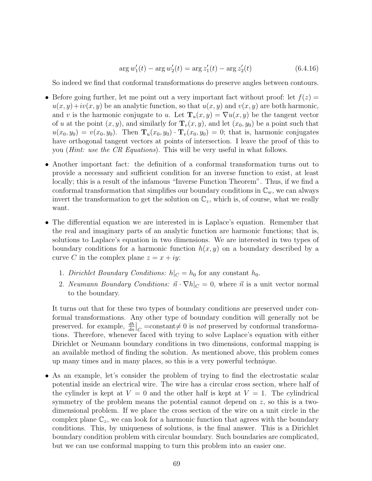$$
\arg w_1'(t) - \arg w_2'(t) = \arg z_1'(t) - \arg z_2'(t) \tag{6.4.16}
$$

So indeed we find that conformal transformations do preserve angles between contours.

- Before going further, let me point out a very important fact without proof: let  $f(z) =$  $u(x, y) + iv(x, y)$  be an analytic function, so that  $u(x, y)$  and  $v(x, y)$  are both harmonic, and v is the harmonic conjugate to u. Let  $T_u(x, y) = \nabla u(x, y)$  be the tangent vector of u at the point  $(x, y)$ , and similarly for  $\mathbf{T}_v(x, y)$ , and let  $(x_0, y_0)$  be a point such that  $u(x_0, y_0) = v(x_0, y_0)$ . Then  $\mathbf{T}_u(x_0, y_0) \cdot \mathbf{T}_v(x_0, y_0) = 0$ ; that is, harmonic conjugates have orthogonal tangent vectors at points of intersection. I leave the proof of this to you *(Hint: use the CR Equations)*. This will be very useful in what follows.
- Another important fact: the definition of a conformal transformation turns out to provide a necessary and sufficient condition for an inverse function to exist, at least locally; this is a result of the infamous "Inverse Function Theorem". Thus, if we find a conformal transformation that simplifies our boundary conditions in  $\mathbb{C}_w$ , we can always invert the transformation to get the solution on  $\mathbb{C}_z$ , which is, of course, what we really want.
- The differential equation we are interested in is Laplace's equation. Remember that the real and imaginary parts of an analytic function are harmonic functions; that is, solutions to Laplace's equation in two dimensions. We are interested in two types of boundary conditions for a harmonic function  $h(x, y)$  on a boundary described by a curve C in the complex plane  $z = x + iy$ :
	- 1. Dirichlet Boundary Conditions:  $h|_C = h_0$  for any constant  $h_0$ .
	- 2. Neumann Boundary Conditions:  $\vec{n} \cdot \nabla h|_C = 0$ , where  $\vec{n}$  is a unit vector normal to the boundary.

It turns out that for these two types of boundary conditions are preserved under conformal transformations. Any other type of boundary condition will generally not be preserved. for example,  $\frac{dh}{dn}\Big|_{C}$  =constant  $\neq 0$  is not preserved by conformal transformations. Therefore, whenever faced with trying to solve Laplace's equation with either Dirichlet or Neumann boundary conditions in two dimensions, conformal mapping is an available method of finding the solution. As mentioned above, this problem comes up many times and in many places, so this is a very powerful technique.

• As an example, let's consider the problem of trying to find the electrostatic scalar potential inside an electrical wire. The wire has a circular cross section, where half of the cylinder is kept at  $V = 0$  and the other half is kept at  $V = 1$ . The cylindrical symmetry of the problem means the potential cannot depend on  $z$ , so this is a twodimensional problem. If we place the cross section of the wire on a unit circle in the complex plane  $\mathbb{C}_z$ , we can look for a harmonic function that agrees with the boundary conditions. This, by uniqueness of solutions, is the final answer. This is a Dirichlet boundary condition problem with circular boundary. Such boundaries are complicated, but we can use conformal mapping to turn this problem into an easier one.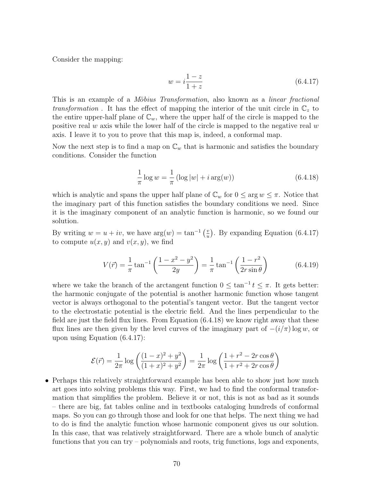Consider the mapping:

$$
w = i\frac{1-z}{1+z}
$$
 (6.4.17)

This is an example of a Möbius Transformation, also known as a linear fractional *transformation*. It has the effect of mapping the interior of the unit circle in  $\mathbb{C}_z$  to the entire upper-half plane of  $\mathbb{C}_w$ , where the upper half of the circle is mapped to the positive real w axis while the lower half of the circle is mapped to the negative real  $w$ axis. I leave it to you to prove that this map is, indeed, a conformal map.

Now the next step is to find a map on  $\mathbb{C}_w$  that is harmonic and satisfies the boundary conditions. Consider the function

$$
\frac{1}{\pi}\log w = \frac{1}{\pi}\left(\log|w| + i\arg(w)\right) \tag{6.4.18}
$$

which is analytic and spans the upper half plane of  $\mathbb{C}_w$  for  $0 \le \arg w \le \pi$ . Notice that the imaginary part of this function satisfies the boundary conditions we need. Since it is the imaginary component of an analytic function is harmonic, so we found our solution.

By writing  $w = u + iv$ , we have  $\arg(w) = \tan^{-1}\left(\frac{v}{u}\right)$ . By expanding Equation (6.4.17) to compute  $u(x, y)$  and  $v(x, y)$ , we find

$$
V(\vec{r}) = \frac{1}{\pi} \tan^{-1} \left( \frac{1 - x^2 - y^2}{2y} \right) = \frac{1}{\pi} \tan^{-1} \left( \frac{1 - r^2}{2r \sin \theta} \right)
$$
(6.4.19)

where we take the branch of the arctangent function  $0 \leq \tan^{-1} t \leq \pi$ . It gets better: the harmonic conjugate of the potential is another harmonic function whose tangent vector is always orthogonal to the potential's tangent vector. But the tangent vector to the electrostatic potential is the electric field. And the lines perpendicular to the field are just the field flux lines. From Equation (6.4.18) we know right away that these flux lines are then given by the level curves of the imaginary part of  $-(i/\pi)$  log w, or upon using Equation (6.4.17):

$$
\mathcal{E}(\vec{r}) = \frac{1}{2\pi} \log \left( \frac{(1-x)^2 + y^2}{(1+x)^2 + y^2} \right) = \frac{1}{2\pi} \log \left( \frac{1+r^2 - 2r\cos\theta}{1+r^2 + 2r\cos\theta} \right)
$$

• Perhaps this relatively straightforward example has been able to show just how much art goes into solving problems this way. First, we had to find the conformal transformation that simplifies the problem. Believe it or not, this is not as bad as it sounds – there are big, fat tables online and in textbooks cataloging hundreds of conformal maps. So you can go through those and look for one that helps. The next thing we had to do is find the analytic function whose harmonic component gives us our solution. In this case, that was relatively straightforward. There are a whole bunch of analytic functions that you can try – polynomials and roots, trig functions, logs and exponents,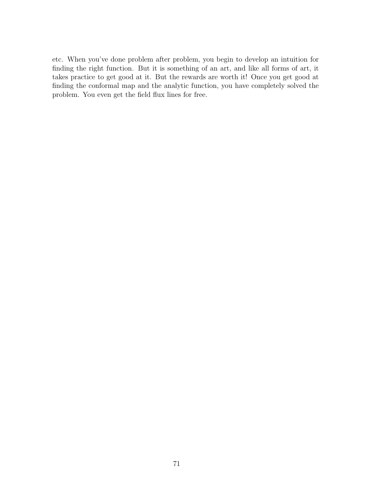etc. When you've done problem after problem, you begin to develop an intuition for finding the right function. But it is something of an art, and like all forms of art, it takes practice to get good at it. But the rewards are worth it! Once you get good at finding the conformal map and the analytic function, you have completely solved the problem. You even get the field flux lines for free.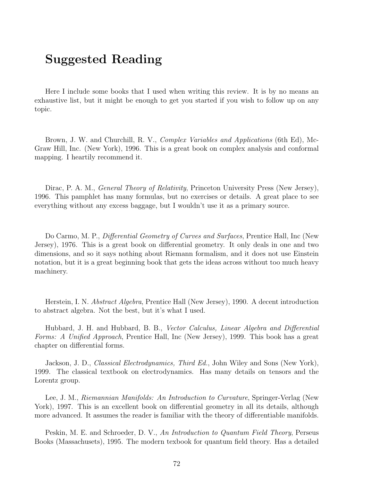## Suggested Reading

Here I include some books that I used when writing this review. It is by no means an exhaustive list, but it might be enough to get you started if you wish to follow up on any topic.

Brown, J. W. and Churchill, R. V., Complex Variables and Applications (6th Ed), Mc-Graw Hill, Inc. (New York), 1996. This is a great book on complex analysis and conformal mapping. I heartily recommend it.

Dirac, P. A. M., *General Theory of Relativity*, Princeton University Press (New Jersey), 1996. This pamphlet has many formulas, but no exercises or details. A great place to see everything without any excess baggage, but I wouldn't use it as a primary source.

Do Carmo, M. P., Differential Geometry of Curves and Surfaces, Prentice Hall, Inc (New Jersey), 1976. This is a great book on differential geometry. It only deals in one and two dimensions, and so it says nothing about Riemann formalism, and it does not use Einstein notation, but it is a great beginning book that gets the ideas across without too much heavy machinery.

Herstein, I. N. Abstract Algebra, Prentice Hall (New Jersey), 1990. A decent introduction to abstract algebra. Not the best, but it's what I used.

Hubbard, J. H. and Hubbard, B. B., Vector Calculus, Linear Algebra and Differential Forms: A Unified Approach, Prentice Hall, Inc (New Jersey), 1999. This book has a great chapter on differential forms.

Jackson, J. D., Classical Electrodynamics, Third Ed., John Wiley and Sons (New York), 1999. The classical textbook on electrodynamics. Has many details on tensors and the Lorentz group.

Lee, J. M., Riemannian Manifolds: An Introduction to Curvature, Springer-Verlag (New York), 1997. This is an excellent book on differential geometry in all its details, although more advanced. It assumes the reader is familiar with the theory of differentiable manifolds.

Peskin, M. E. and Schroeder, D. V., An Introduction to Quantum Field Theory, Perseus Books (Massachusets), 1995. The modern texbook for quantum field theory. Has a detailed